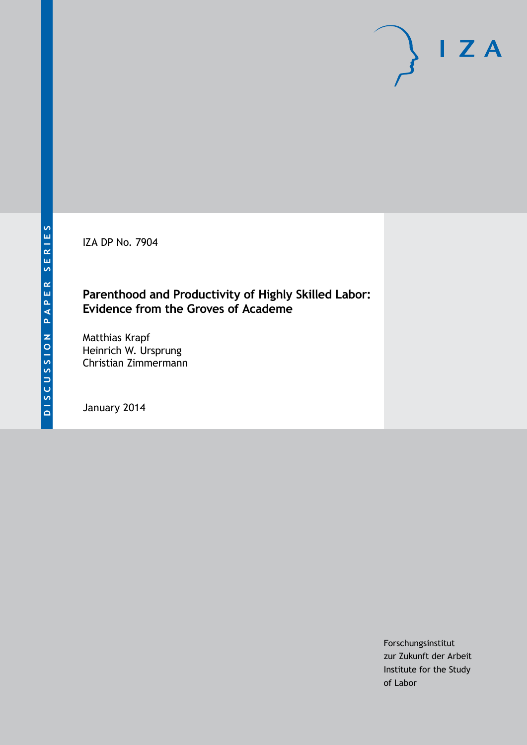IZA DP No. 7904

## **Parenthood and Productivity of Highly Skilled Labor: Evidence from the Groves of Academe**

Matthias Krapf Heinrich W. Ursprung Christian Zimmermann

January 2014

Forschungsinstitut zur Zukunft der Arbeit Institute for the Study of Labor

 $I Z A$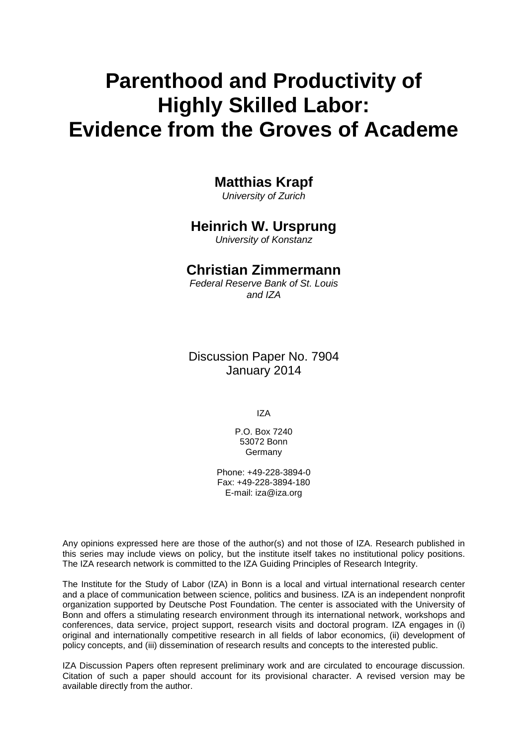# **Parenthood and Productivity of Highly Skilled Labor: Evidence from the Groves of Academe**

## **Matthias Krapf**

*University of Zurich*

### **Heinrich W. Ursprung**

*University of Konstanz*

### **Christian Zimmermann**

*Federal Reserve Bank of St. Louis and IZA*

Discussion Paper No. 7904 January 2014

IZA

P.O. Box 7240 53072 Bonn Germany

Phone: +49-228-3894-0 Fax: +49-228-3894-180 E-mail: [iza@iza.org](mailto:iza@iza.org)

Any opinions expressed here are those of the author(s) and not those of IZA. Research published in this series may include views on policy, but the institute itself takes no institutional policy positions. The IZA research network is committed to the IZA Guiding Principles of Research Integrity.

The Institute for the Study of Labor (IZA) in Bonn is a local and virtual international research center and a place of communication between science, politics and business. IZA is an independent nonprofit organization supported by Deutsche Post Foundation. The center is associated with the University of Bonn and offers a stimulating research environment through its international network, workshops and conferences, data service, project support, research visits and doctoral program. IZA engages in (i) original and internationally competitive research in all fields of labor economics, (ii) development of policy concepts, and (iii) dissemination of research results and concepts to the interested public.

<span id="page-1-0"></span>IZA Discussion Papers often represent preliminary work and are circulated to encourage discussion. Citation of such a paper should account for its provisional character. A revised version may be available directly from the author.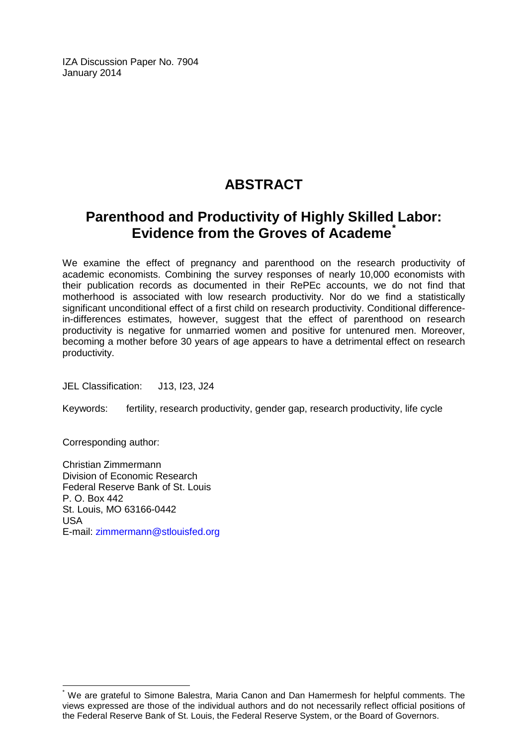IZA Discussion Paper No. 7904 January 2014

# **ABSTRACT**

# **Parenthood and Productivity of Highly Skilled Labor: Evidence from the Groves of Academe[\\*](#page-1-0)**

We examine the effect of pregnancy and parenthood on the research productivity of academic economists. Combining the survey responses of nearly 10,000 economists with their publication records as documented in their RePEc accounts, we do not find that motherhood is associated with low research productivity. Nor do we find a statistically significant unconditional effect of a first child on research productivity. Conditional differencein-differences estimates, however, suggest that the effect of parenthood on research productivity is negative for unmarried women and positive for untenured men. Moreover, becoming a mother before 30 years of age appears to have a detrimental effect on research productivity.

JEL Classification: J13, I23, J24

Keywords: fertility, research productivity, gender gap, research productivity, life cycle

Corresponding author:

Christian Zimmermann Division of Economic Research Federal Reserve Bank of St. Louis P. O. Box 442 St. Louis, MO 63166-0442 USA E-mail: [zimmermann@stlouisfed.org](mailto:zimmermann@stlouisfed.org)

We are grateful to Simone Balestra, Maria Canon and Dan Hamermesh for helpful comments. The views expressed are those of the individual authors and do not necessarily reflect official positions of the Federal Reserve Bank of St. Louis, the Federal Reserve System, or the Board of Governors.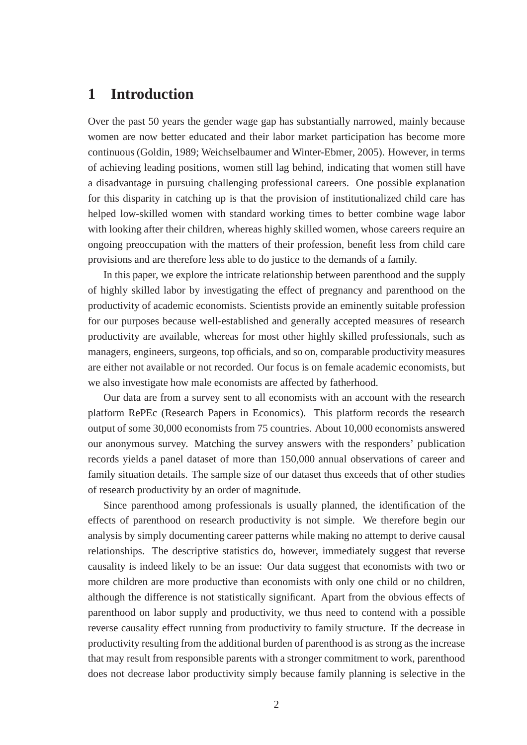## **1 Introduction**

Over the past 50 years the gender wage gap has substantially narrowed, mainly because women are now better educated and their labor market participation has become more continuous (Goldin, 1989; Weichselbaumer and Winter-Ebmer, 2005). However, in terms of achieving leading positions, women still lag behind, indicating that women still have a disadvantage in pursuing challenging professional careers. One possible explanation for this disparity in catching up is that the provision of institutionalized child care has helped low-skilled women with standard working times to better combine wage labor with looking after their children, whereas highly skilled women, whose careers require an ongoing preoccupation with the matters of their profession, benefit less from child care provisions and are therefore less able to do justice to the demands of a family.

In this paper, we explore the intricate relationship between parenthood and the supply of highly skilled labor by investigating the effect of pregnancy and parenthood on the productivity of academic economists. Scientists provide an eminently suitable profession for our purposes because well-established and generally accepted measures of research productivity are available, whereas for most other highly skilled professionals, such as managers, engineers, surgeons, top officials, and so on, comparable productivity measures are either not available or not recorded. Our focus is on female academic economists, but we also investigate how male economists are affected by fatherhood.

Our data are from a survey sent to all economists with an account with the research platform RePEc (Research Papers in Economics). This platform records the research output of some 30,000 economists from 75 countries. About 10,000 economists answered our anonymous survey. Matching the survey answers with the responders' publication records yields a panel dataset of more than 150,000 annual observations of career and family situation details. The sample size of our dataset thus exceeds that of other studies of research productivity by an order of magnitude.

Since parenthood among professionals is usually planned, the identification of the effects of parenthood on research productivity is not simple. We therefore begin our analysis by simply documenting career patterns while making no attempt to derive causal relationships. The descriptive statistics do, however, immediately suggest that reverse causality is indeed likely to be an issue: Our data suggest that economists with two or more children are more productive than economists with only one child or no children, although the difference is not statistically significant. Apart from the obvious effects of parenthood on labor supply and productivity, we thus need to contend with a possible reverse causality effect running from productivity to family structure. If the decrease in productivity resulting from the additional burden of parenthood is as strong as the increase that may result from responsible parents with a stronger commitment to work, parenthood does not decrease labor productivity simply because family planning is selective in the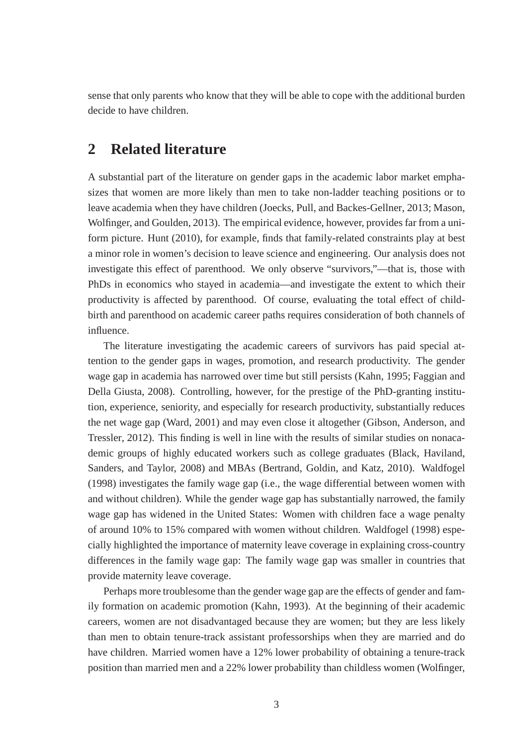sense that only parents who know that they will be able to cope with the additional burden decide to have children.

## **2 Related literature**

A substantial part of the literature on gender gaps in the academic labor market emphasizes that women are more likely than men to take non-ladder teaching positions or to leave academia when they have children (Joecks, Pull, and Backes-Gellner, 2013; Mason, Wolfinger, and Goulden, 2013). The empirical evidence, however, provides far from a uniform picture. Hunt (2010), for example, finds that family-related constraints play at best a minor role in women's decision to leave science and engineering. Our analysis does not investigate this effect of parenthood. We only observe "survivors,"—that is, those with PhDs in economics who stayed in academia—and investigate the extent to which their productivity is affected by parenthood. Of course, evaluating the total effect of childbirth and parenthood on academic career paths requires consideration of both channels of influence.

The literature investigating the academic careers of survivors has paid special attention to the gender gaps in wages, promotion, and research productivity. The gender wage gap in academia has narrowed over time but still persists (Kahn, 1995; Faggian and Della Giusta, 2008). Controlling, however, for the prestige of the PhD-granting institution, experience, seniority, and especially for research productivity, substantially reduces the net wage gap (Ward, 2001) and may even close it altogether (Gibson, Anderson, and Tressler, 2012). This finding is well in line with the results of similar studies on nonacademic groups of highly educated workers such as college graduates (Black, Haviland, Sanders, and Taylor, 2008) and MBAs (Bertrand, Goldin, and Katz, 2010). Waldfogel (1998) investigates the family wage gap (i.e., the wage differential between women with and without children). While the gender wage gap has substantially narrowed, the family wage gap has widened in the United States: Women with children face a wage penalty of around 10% to 15% compared with women without children. Waldfogel (1998) especially highlighted the importance of maternity leave coverage in explaining cross-country differences in the family wage gap: The family wage gap was smaller in countries that provide maternity leave coverage.

Perhaps more troublesome than the gender wage gap are the effects of gender and family formation on academic promotion (Kahn, 1993). At the beginning of their academic careers, women are not disadvantaged because they are women; but they are less likely than men to obtain tenure-track assistant professorships when they are married and do have children. Married women have a 12% lower probability of obtaining a tenure-track position than married men and a 22% lower probability than childless women (Wolfinger,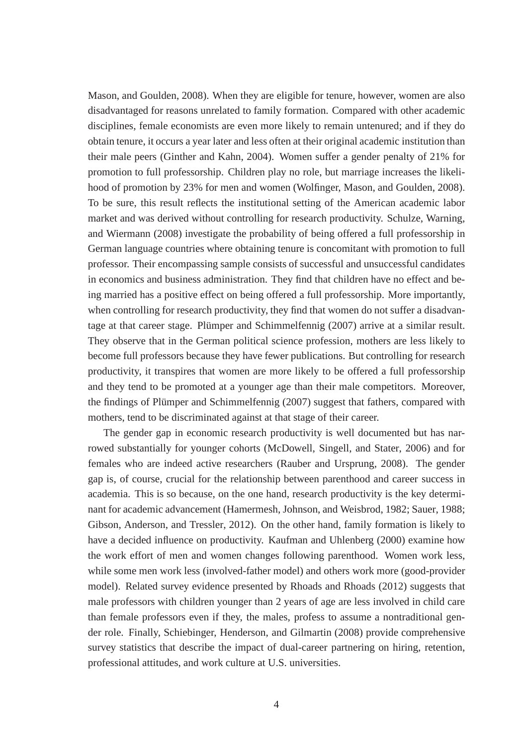Mason, and Goulden, 2008). When they are eligible for tenure, however, women are also disadvantaged for reasons unrelated to family formation. Compared with other academic disciplines, female economists are even more likely to remain untenured; and if they do obtain tenure, it occurs a year later and less often at their original academic institution than their male peers (Ginther and Kahn, 2004). Women suffer a gender penalty of 21% for promotion to full professorship. Children play no role, but marriage increases the likelihood of promotion by 23% for men and women (Wolfinger, Mason, and Goulden, 2008). To be sure, this result reflects the institutional setting of the American academic labor market and was derived without controlling for research productivity. Schulze, Warning, and Wiermann (2008) investigate the probability of being offered a full professorship in German language countries where obtaining tenure is concomitant with promotion to full professor. Their encompassing sample consists of successful and unsuccessful candidates in economics and business administration. They find that children have no effect and being married has a positive effect on being offered a full professorship. More importantly, when controlling for research productivity, they find that women do not suffer a disadvantage at that career stage. Plümper and Schimmelfennig (2007) arrive at a similar result. They observe that in the German political science profession, mothers are less likely to become full professors because they have fewer publications. But controlling for research productivity, it transpires that women are more likely to be offered a full professorship and they tend to be promoted at a younger age than their male competitors. Moreover, the findings of Plümper and Schimmelfennig (2007) suggest that fathers, compared with mothers, tend to be discriminated against at that stage of their career.

The gender gap in economic research productivity is well documented but has narrowed substantially for younger cohorts (McDowell, Singell, and Stater, 2006) and for females who are indeed active researchers (Rauber and Ursprung, 2008). The gender gap is, of course, crucial for the relationship between parenthood and career success in academia. This is so because, on the one hand, research productivity is the key determinant for academic advancement (Hamermesh, Johnson, and Weisbrod, 1982; Sauer, 1988; Gibson, Anderson, and Tressler, 2012). On the other hand, family formation is likely to have a decided influence on productivity. Kaufman and Uhlenberg (2000) examine how the work effort of men and women changes following parenthood. Women work less, while some men work less (involved-father model) and others work more (good-provider model). Related survey evidence presented by Rhoads and Rhoads (2012) suggests that male professors with children younger than 2 years of age are less involved in child care than female professors even if they, the males, profess to assume a nontraditional gender role. Finally, Schiebinger, Henderson, and Gilmartin (2008) provide comprehensive survey statistics that describe the impact of dual-career partnering on hiring, retention, professional attitudes, and work culture at U.S. universities.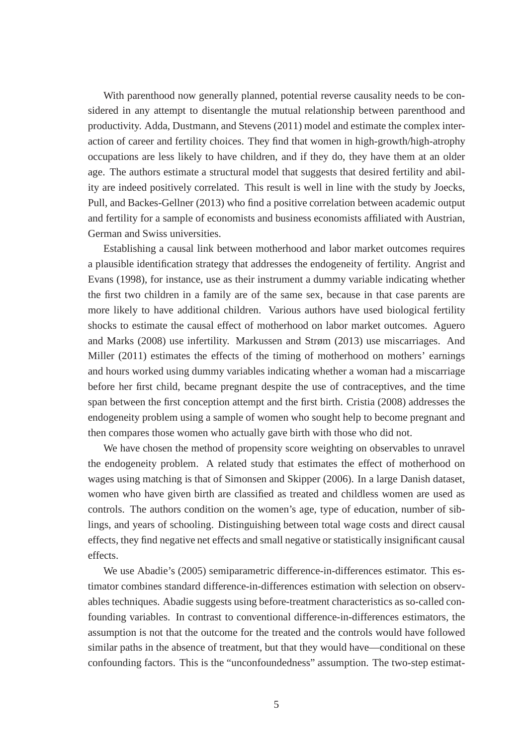With parenthood now generally planned, potential reverse causality needs to be considered in any attempt to disentangle the mutual relationship between parenthood and productivity. Adda, Dustmann, and Stevens (2011) model and estimate the complex interaction of career and fertility choices. They find that women in high-growth/high-atrophy occupations are less likely to have children, and if they do, they have them at an older age. The authors estimate a structural model that suggests that desired fertility and ability are indeed positively correlated. This result is well in line with the study by Joecks, Pull, and Backes-Gellner (2013) who find a positive correlation between academic output and fertility for a sample of economists and business economists affiliated with Austrian, German and Swiss universities.

Establishing a causal link between motherhood and labor market outcomes requires a plausible identification strategy that addresses the endogeneity of fertility. Angrist and Evans (1998), for instance, use as their instrument a dummy variable indicating whether the first two children in a family are of the same sex, because in that case parents are more likely to have additional children. Various authors have used biological fertility shocks to estimate the causal effect of motherhood on labor market outcomes. Aguero and Marks (2008) use infertility. Markussen and Strøm (2013) use miscarriages. And Miller (2011) estimates the effects of the timing of motherhood on mothers' earnings and hours worked using dummy variables indicating whether a woman had a miscarriage before her first child, became pregnant despite the use of contraceptives, and the time span between the first conception attempt and the first birth. Cristia (2008) addresses the endogeneity problem using a sample of women who sought help to become pregnant and then compares those women who actually gave birth with those who did not.

We have chosen the method of propensity score weighting on observables to unravel the endogeneity problem. A related study that estimates the effect of motherhood on wages using matching is that of Simonsen and Skipper (2006). In a large Danish dataset, women who have given birth are classified as treated and childless women are used as controls. The authors condition on the women's age, type of education, number of siblings, and years of schooling. Distinguishing between total wage costs and direct causal effects, they find negative net effects and small negative or statistically insignificant causal effects.

We use Abadie's (2005) semiparametric difference-in-differences estimator. This estimator combines standard difference-in-differences estimation with selection on observables techniques. Abadie suggests using before-treatment characteristics as so-called confounding variables. In contrast to conventional difference-in-differences estimators, the assumption is not that the outcome for the treated and the controls would have followed similar paths in the absence of treatment, but that they would have—conditional on these confounding factors. This is the "unconfoundedness" assumption. The two-step estimat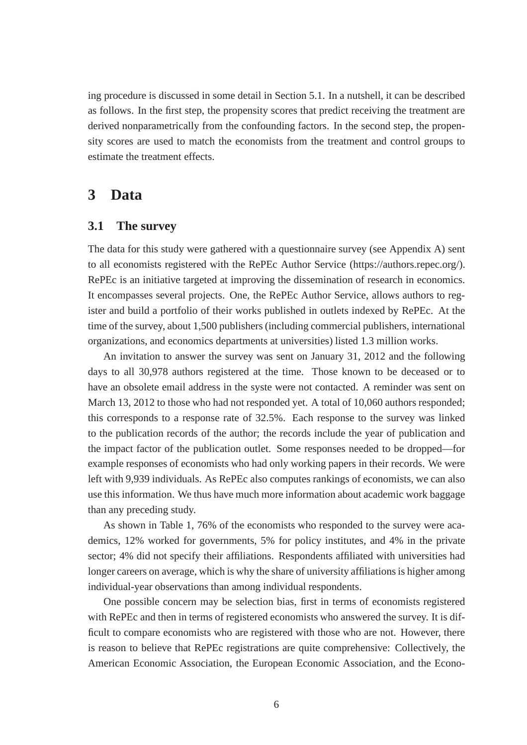ing procedure is discussed in some detail in Section 5.1. In a nutshell, it can be described as follows. In the first step, the propensity scores that predict receiving the treatment are derived nonparametrically from the confounding factors. In the second step, the propensity scores are used to match the economists from the treatment and control groups to estimate the treatment effects.

## **3 Data**

#### **3.1 The survey**

The data for this study were gathered with a questionnaire survey (see Appendix A) sent to all economists registered with the RePEc Author Service (https://authors.repec.org/). RePEc is an initiative targeted at improving the dissemination of research in economics. It encompasses several projects. One, the RePEc Author Service, allows authors to register and build a portfolio of their works published in outlets indexed by RePEc. At the time of the survey, about 1,500 publishers (including commercial publishers, international organizations, and economics departments at universities) listed 1.3 million works.

An invitation to answer the survey was sent on January 31, 2012 and the following days to all 30,978 authors registered at the time. Those known to be deceased or to have an obsolete email address in the syste were not contacted. A reminder was sent on March 13, 2012 to those who had not responded yet. A total of 10,060 authors responded; this corresponds to a response rate of 32.5%. Each response to the survey was linked to the publication records of the author; the records include the year of publication and the impact factor of the publication outlet. Some responses needed to be dropped—for example responses of economists who had only working papers in their records. We were left with 9,939 individuals. As RePEc also computes rankings of economists, we can also use this information. We thus have much more information about academic work baggage than any preceding study.

As shown in Table 1, 76% of the economists who responded to the survey were academics, 12% worked for governments, 5% for policy institutes, and 4% in the private sector; 4% did not specify their affiliations. Respondents affiliated with universities had longer careers on average, which is why the share of university affiliations is higher among individual-year observations than among individual respondents.

One possible concern may be selection bias, first in terms of economists registered with RePEc and then in terms of registered economists who answered the survey. It is difficult to compare economists who are registered with those who are not. However, there is reason to believe that RePEc registrations are quite comprehensive: Collectively, the American Economic Association, the European Economic Association, and the Econo-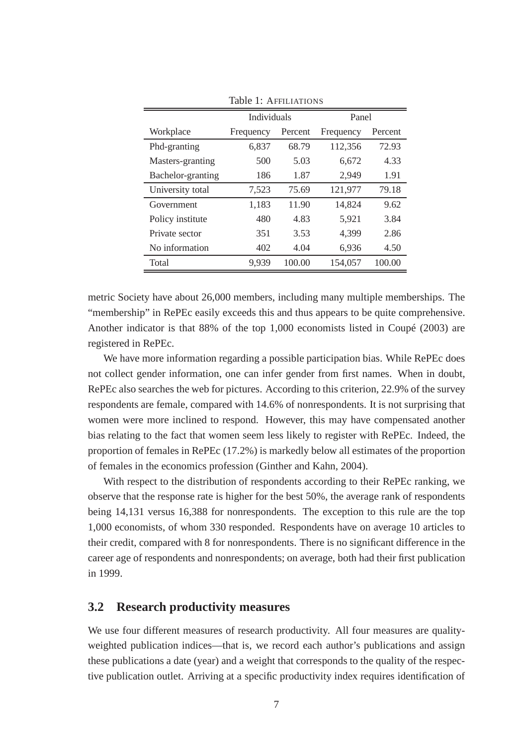|                   | Individuals |         | Panel     |         |  |
|-------------------|-------------|---------|-----------|---------|--|
| Workplace         | Frequency   | Percent | Frequency | Percent |  |
| Phd-granting      | 6,837       | 68.79   | 112,356   | 72.93   |  |
| Masters-granting  | 500         | 5.03    | 6,672     | 4.33    |  |
| Bachelor-granting | 186         | 1.87    | 2,949     | 1.91    |  |
| University total  | 7,523       | 75.69   | 121,977   | 79.18   |  |
| Government        | 1,183       | 11.90   | 14,824    | 9.62    |  |
| Policy institute  | 480         | 4.83    | 5,921     | 3.84    |  |
| Private sector    | 351         | 3.53    | 4,399     | 2.86    |  |
| No information    | 402         | 4.04    | 6,936     | 4.50    |  |
| Total             | 9,939       | 100.00  | 154,057   | 100.00  |  |

Table 1: AFFILIATIONS

metric Society have about 26,000 members, including many multiple memberships. The "membership" in RePEc easily exceeds this and thus appears to be quite comprehensive. Another indicator is that 88% of the top 1,000 economists listed in Coupé (2003) are registered in RePEc.

We have more information regarding a possible participation bias. While RePEc does not collect gender information, one can infer gender from first names. When in doubt, RePEc also searches the web for pictures. According to this criterion, 22.9% of the survey respondents are female, compared with 14.6% of nonrespondents. It is not surprising that women were more inclined to respond. However, this may have compensated another bias relating to the fact that women seem less likely to register with RePEc. Indeed, the proportion of females in RePEc (17.2%) is markedly below all estimates of the proportion of females in the economics profession (Ginther and Kahn, 2004).

With respect to the distribution of respondents according to their RePEc ranking, we observe that the response rate is higher for the best 50%, the average rank of respondents being 14,131 versus 16,388 for nonrespondents. The exception to this rule are the top 1,000 economists, of whom 330 responded. Respondents have on average 10 articles to their credit, compared with 8 for nonrespondents. There is no significant difference in the career age of respondents and nonrespondents; on average, both had their first publication in 1999.

#### **3.2 Research productivity measures**

We use four different measures of research productivity. All four measures are qualityweighted publication indices—that is, we record each author's publications and assign these publications a date (year) and a weight that corresponds to the quality of the respective publication outlet. Arriving at a specific productivity index requires identification of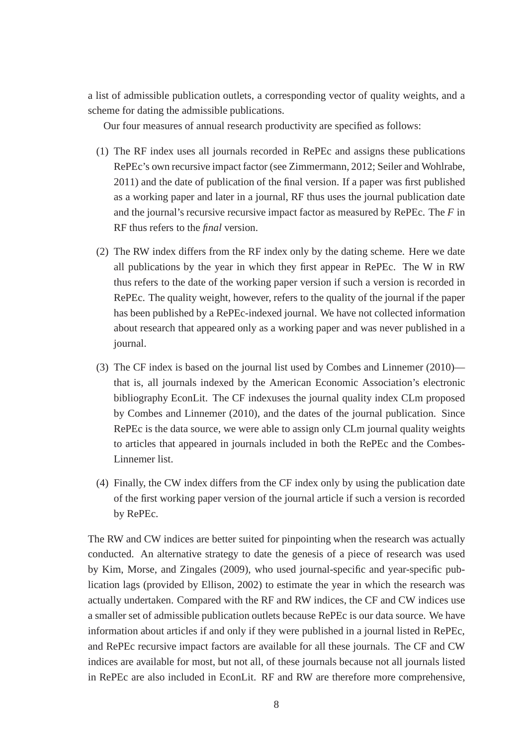a list of admissible publication outlets, a corresponding vector of quality weights, and a scheme for dating the admissible publications.

Our four measures of annual research productivity are specified as follows:

- (1) The RF index uses all journals recorded in RePEc and assigns these publications RePEc's own recursive impact factor (see Zimmermann, 2012; Seiler and Wohlrabe, 2011) and the date of publication of the final version. If a paper was first published as a working paper and later in a journal, RF thus uses the journal publication date and the journal's recursive recursive impact factor as measured by RePEc. The *F* in RF thus refers to the *final* version.
- (2) The RW index differs from the RF index only by the dating scheme. Here we date all publications by the year in which they first appear in RePEc. The W in RW thus refers to the date of the working paper version if such a version is recorded in RePEc. The quality weight, however, refers to the quality of the journal if the paper has been published by a RePEc-indexed journal. We have not collected information about research that appeared only as a working paper and was never published in a journal.
- (3) The CF index is based on the journal list used by Combes and Linnemer (2010) that is, all journals indexed by the American Economic Association's electronic bibliography EconLit. The CF indexuses the journal quality index CLm proposed by Combes and Linnemer (2010), and the dates of the journal publication. Since RePEc is the data source, we were able to assign only CLm journal quality weights to articles that appeared in journals included in both the RePEc and the Combes-Linnemer list.
- (4) Finally, the CW index differs from the CF index only by using the publication date of the first working paper version of the journal article if such a version is recorded by RePEc.

The RW and CW indices are better suited for pinpointing when the research was actually conducted. An alternative strategy to date the genesis of a piece of research was used by Kim, Morse, and Zingales (2009), who used journal-specific and year-specific publication lags (provided by Ellison, 2002) to estimate the year in which the research was actually undertaken. Compared with the RF and RW indices, the CF and CW indices use a smaller set of admissible publication outlets because RePEc is our data source. We have information about articles if and only if they were published in a journal listed in RePEc, and RePEc recursive impact factors are available for all these journals. The CF and CW indices are available for most, but not all, of these journals because not all journals listed in RePEc are also included in EconLit. RF and RW are therefore more comprehensive,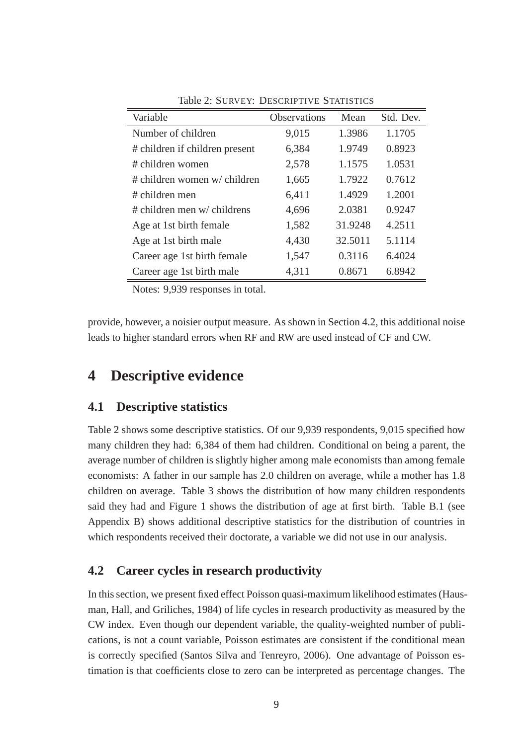| Variable                       | <b>Observations</b> | Mean    | Std. Dev. |
|--------------------------------|---------------------|---------|-----------|
| Number of children             | 9,015               | 1.3986  | 1.1705    |
| # children if children present | 6,384               | 1.9749  | 0.8923    |
| # children women               | 2,578               | 1.1575  | 1.0531    |
| # children women w/ children   | 1,665               | 1.7922  | 0.7612    |
| # children men                 | 6,411               | 1.4929  | 1.2001    |
| $#$ children men w/ childrens  | 4,696               | 2.0381  | 0.9247    |
| Age at 1st birth female        | 1,582               | 31.9248 | 4.2511    |
| Age at 1st birth male          | 4,430               | 32.5011 | 5.1114    |
| Career age 1st birth female    | 1,547               | 0.3116  | 6.4024    |
| Career age 1st birth male      | 4,311               | 0.8671  | 6.8942    |

Table 2: SURVEY: DESCRIPTIVE STATISTICS

Notes: 9,939 responses in total.

provide, however, a noisier output measure. As shown in Section 4.2, this additional noise leads to higher standard errors when RF and RW are used instead of CF and CW.

# **4 Descriptive evidence**

#### **4.1 Descriptive statistics**

Table 2 shows some descriptive statistics. Of our 9,939 respondents, 9,015 specified how many children they had: 6,384 of them had children. Conditional on being a parent, the average number of children is slightly higher among male economists than among female economists: A father in our sample has 2.0 children on average, while a mother has 1.8 children on average. Table 3 shows the distribution of how many children respondents said they had and Figure 1 shows the distribution of age at first birth. Table B.1 (see Appendix B) shows additional descriptive statistics for the distribution of countries in which respondents received their doctorate, a variable we did not use in our analysis.

#### **4.2 Career cycles in research productivity**

In this section, we present fixed effect Poisson quasi-maximum likelihood estimates (Hausman, Hall, and Griliches, 1984) of life cycles in research productivity as measured by the CW index. Even though our dependent variable, the quality-weighted number of publications, is not a count variable, Poisson estimates are consistent if the conditional mean is correctly specified (Santos Silva and Tenreyro, 2006). One advantage of Poisson estimation is that coefficients close to zero can be interpreted as percentage changes. The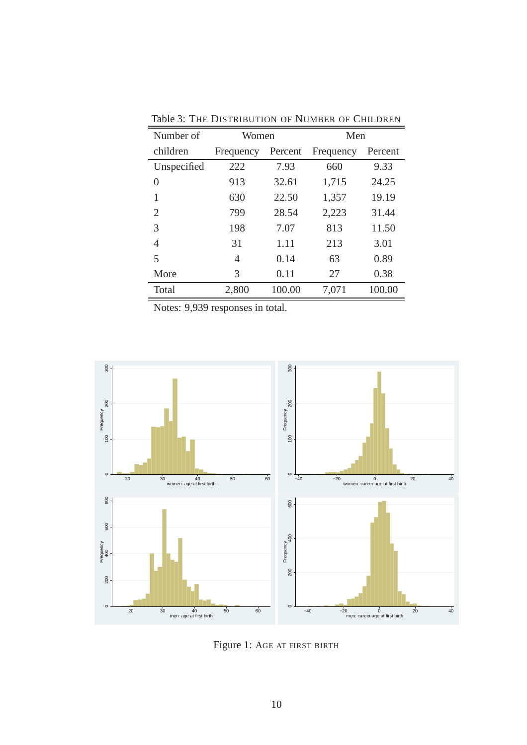| Number of      | Women     |         | Men       |         |
|----------------|-----------|---------|-----------|---------|
| children       | Frequency | Percent | Frequency | Percent |
| Unspecified    | 222       | 7.93    | 660       | 9.33    |
| $\overline{0}$ | 913       | 32.61   | 1,715     | 24.25   |
| 1              | 630       | 22.50   | 1,357     | 19.19   |
| 2              | 799       | 28.54   | 2,223     | 31.44   |
| 3              | 198       | 7.07    | 813       | 11.50   |
| 4              | 31        | 1.11    | 213       | 3.01    |
| 5              | 4         | 0.14    | 63        | 0.89    |
| More           | 3         | 0.11    | 27        | 0.38    |
| Total          | 2,800     | 100.00  | 7,071     | 100.00  |

Table 3: THE DISTRIBUTION OF NUMBER OF CHILDREN

Notes: 9,939 responses in total.



Figure 1: AGE AT FIRST BIRTH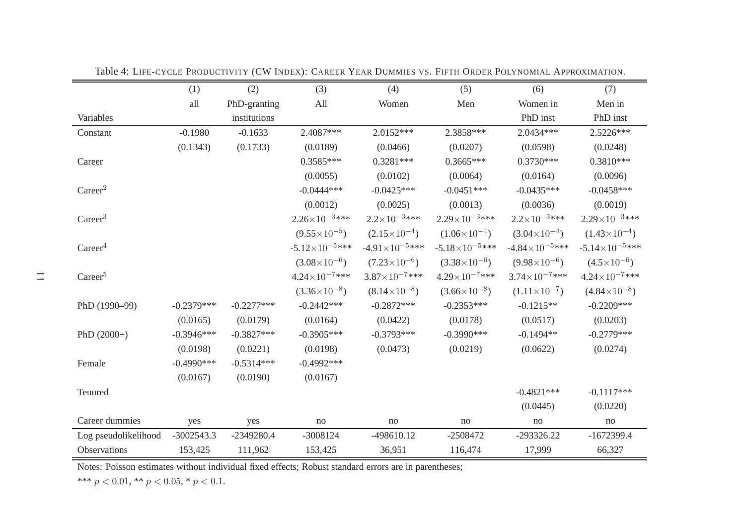|                      | (1)           | (2)          | (3)                     | (4)                     | (5)                     | (6)                      | (7)                     |
|----------------------|---------------|--------------|-------------------------|-------------------------|-------------------------|--------------------------|-------------------------|
|                      | all           | PhD-granting | All                     | Women                   | Men                     | Women in                 | Men in                  |
| Variables            |               | institutions |                         |                         |                         | PhD inst                 | PhD inst                |
| Constant             | $-0.1980$     | $-0.1633$    | 2.4087***               | $2.0152***$             | 2.3858***               | 2.0434 ***               | 2.5226***               |
|                      | (0.1343)      | (0.1733)     | (0.0189)                | (0.0466)                | (0.0207)                | (0.0598)                 | (0.0248)                |
| Career               |               |              | $0.3585***$             | $0.3281***$             | $0.3665***$             | $0.3730***$              | $0.3810***$             |
|                      |               |              | (0.0055)                | (0.0102)                | (0.0064)                | (0.0164)                 | (0.0096)                |
| Career <sup>2</sup>  |               |              | $-0.0444***$            | $-0.0425***$            | $-0.0451***$            | $-0.0435***$             | $-0.0458***$            |
|                      |               |              | (0.0012)                | (0.0025)                | (0.0013)                | (0.0036)                 | (0.0019)                |
| Career <sup>3</sup>  |               |              | $2.26\times10^{-3***}$  | $2.2 \times 10^{-3***}$ | $2.29\times10^{-3***}$  | $2.2 \times 10^{-3***}$  | $2.29\times10^{-3***}$  |
|                      |               |              | $(9.55\times10^{-5})$   | $(2.15\times10^{-4})$   | $(1.06\times10^{-4})$   | $(3.04\times10^{-4})$    | $(1.43\times10^{-4})$   |
| Career <sup>4</sup>  |               |              | $-5.12\times10^{-5***}$ | $-4.91\times10^{-5***}$ | $-5.18\times10^{-5***}$ | $-4.84\times10^{-5***}$  | $-5.14\times10^{-5***}$ |
|                      |               |              | $(3.08\times10^{-6})$   | $(7.23\times10^{-6})$   | $(3.38\times10^{-6})$   | $(9.98\times10^{-6})$    | $(4.5 \times 10^{-6})$  |
| Career <sup>5</sup>  |               |              | $4.24\times10^{-7***}$  | $3.87\times10^{-7***}$  | $4.29\times10^{-7***}$  | $3.74 \times 10^{-7***}$ | $4.24\times10^{-7***}$  |
|                      |               |              | $(3.36\times10^{-8})$   | $(8.14\times10^{-8})$   | $(3.66\times10^{-8})$   | $(1.11\times10^{-7})$    | $(4.84\times10^{-8})$   |
| PhD (1990-99)        | $-0.2379***$  | $-0.2277***$ | $-0.2442***$            | $-0.2872***$            | $-0.2353***$            | $-0.1215**$              | $-0.2209***$            |
|                      | (0.0165)      | (0.0179)     | (0.0164)                | (0.0422)                | (0.0178)                | (0.0517)                 | (0.0203)                |
| PhD $(2000+)$        | $-0.3946***$  | $-0.3827***$ | $-0.3905***$            | $-0.3793***$            | $-0.3990$ ***           | $-0.1494**$              | $-0.2779***$            |
|                      | (0.0198)      | (0.0221)     | (0.0198)                | (0.0473)                | (0.0219)                | (0.0622)                 | (0.0274)                |
| Female               | $-0.4990$ *** | $-0.5314***$ | $-0.4992***$            |                         |                         |                          |                         |
|                      | (0.0167)      | (0.0190)     | (0.0167)                |                         |                         |                          |                         |
| Tenured              |               |              |                         |                         |                         | $-0.4821***$             | $-0.1117***$            |
|                      |               |              |                         |                         |                         | (0.0445)                 | (0.0220)                |
| Career dummies       | yes           | yes          | no                      | no                      | no                      | no                       | no                      |
| Log pseudolikelihood | $-3002543.3$  | -2349280.4   | $-3008124$              | -498610.12              | $-2508472$              | $-293326.22$             | $-1672399.4$            |
| Observations         | 153,425       | 111,962      | 153,425                 | 36,951                  | 116,474                 | 17,999                   | 66,327                  |

Table 4: <sup>L</sup>IFE-CYCLE <sup>P</sup>RODUCTIVITY (CW <sup>I</sup>NDEX): <sup>C</sup>AREER <sup>Y</sup>EAR <sup>D</sup>UMMIES VS. <sup>F</sup>IFTH <sup>O</sup>RDER <sup>P</sup>OLYNOMIAL <sup>A</sup>PPROXIMATION.

\*\*\*  $p < 0.01$ , \*\*  $p < 0.05$ , \*  $p < 0.1$ .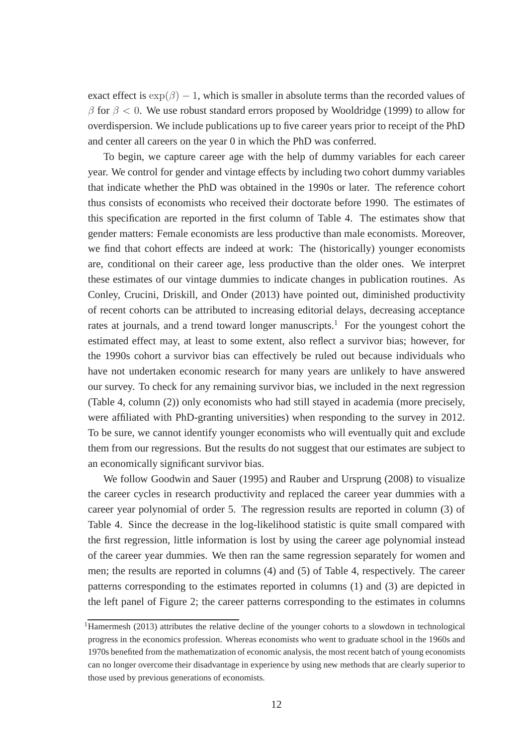exact effect is  $\exp(\beta) - 1$ , which is smaller in absolute terms than the recorded values of  $β$  for  $β < 0$ . We use robust standard errors proposed by Wooldridge (1999) to allow for overdispersion. We include publications up to five career years prior to receipt of the PhD and center all careers on the year 0 in which the PhD was conferred.

To begin, we capture career age with the help of dummy variables for each career year. We control for gender and vintage effects by including two cohort dummy variables that indicate whether the PhD was obtained in the 1990s or later. The reference cohort thus consists of economists who received their doctorate before 1990. The estimates of this specification are reported in the first column of Table 4. The estimates show that gender matters: Female economists are less productive than male economists. Moreover, we find that cohort effects are indeed at work: The (historically) younger economists are, conditional on their career age, less productive than the older ones. We interpret these estimates of our vintage dummies to indicate changes in publication routines. As Conley, Crucini, Driskill, and Onder (2013) have pointed out, diminished productivity of recent cohorts can be attributed to increasing editorial delays, decreasing acceptance rates at journals, and a trend toward longer manuscripts.<sup>1</sup> For the youngest cohort the estimated effect may, at least to some extent, also reflect a survivor bias; however, for the 1990s cohort a survivor bias can effectively be ruled out because individuals who have not undertaken economic research for many years are unlikely to have answered our survey. To check for any remaining survivor bias, we included in the next regression (Table 4, column (2)) only economists who had still stayed in academia (more precisely, were affiliated with PhD-granting universities) when responding to the survey in 2012. To be sure, we cannot identify younger economists who will eventually quit and exclude them from our regressions. But the results do not suggest that our estimates are subject to an economically significant survivor bias.

We follow Goodwin and Sauer (1995) and Rauber and Ursprung (2008) to visualize the career cycles in research productivity and replaced the career year dummies with a career year polynomial of order 5. The regression results are reported in column (3) of Table 4. Since the decrease in the log-likelihood statistic is quite small compared with the first regression, little information is lost by using the career age polynomial instead of the career year dummies. We then ran the same regression separately for women and men; the results are reported in columns (4) and (5) of Table 4, respectively. The career patterns corresponding to the estimates reported in columns (1) and (3) are depicted in the left panel of Figure 2; the career patterns corresponding to the estimates in columns

<sup>&</sup>lt;sup>1</sup>Hamermesh (2013) attributes the relative decline of the younger cohorts to a slowdown in technological progress in the economics profession. Whereas economists who went to graduate school in the 1960s and 1970s benefited from the mathematization of economic analysis, the most recent batch of young economists can no longer overcome their disadvantage in experience by using new methods that are clearly superior to those used by previous generations of economists.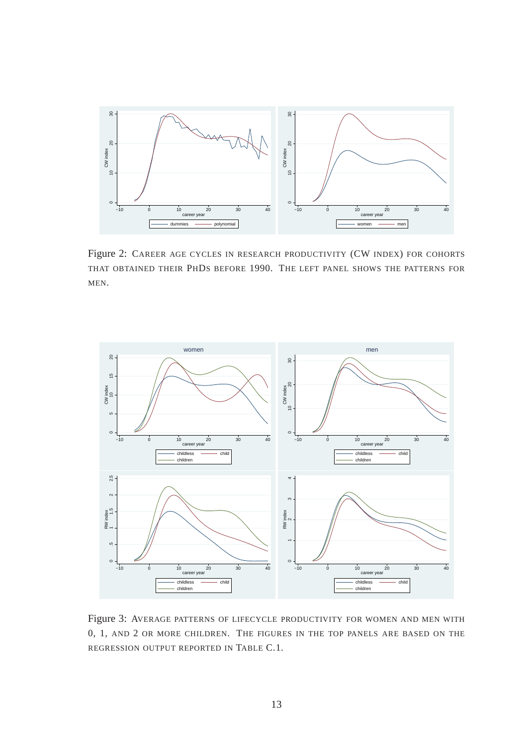

Figure 2: CAREER AGE CYCLES IN RESEARCH PRODUCTIVITY (CW INDEX) FOR COHORTS THAT OBTAINED THEIR PHDS BEFORE 1990. THE LEFT PANEL SHOWS THE PATTERNS FOR MEN.



Figure 3: AVERAGE PATTERNS OF LIFECYCLE PRODUCTIVITY FOR WOMEN AND MEN WITH 0, 1, AND 2 OR MORE CHILDREN. THE FIGURES IN THE TOP PANELS ARE BASED ON THE REGRESSION OUTPUT REPORTED IN TABLE C.1.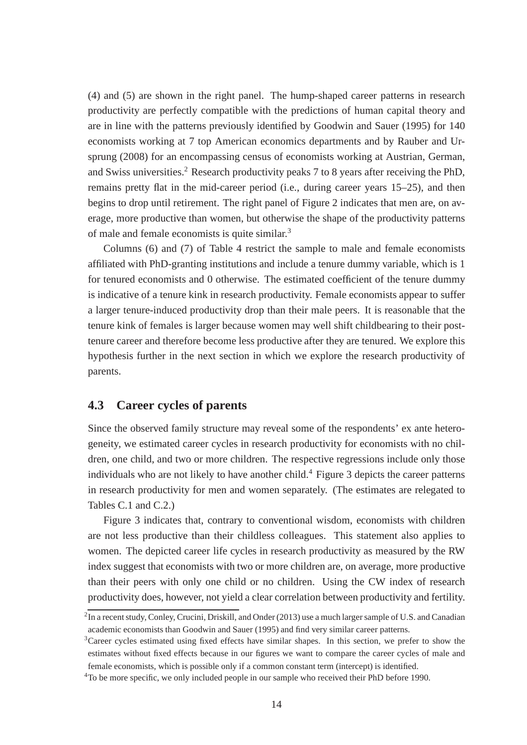(4) and (5) are shown in the right panel. The hump-shaped career patterns in research productivity are perfectly compatible with the predictions of human capital theory and are in line with the patterns previously identified by Goodwin and Sauer (1995) for 140 economists working at 7 top American economics departments and by Rauber and Ursprung (2008) for an encompassing census of economists working at Austrian, German, and Swiss universities.<sup>2</sup> Research productivity peaks 7 to 8 years after receiving the PhD, remains pretty flat in the mid-career period (i.e., during career years 15–25), and then begins to drop until retirement. The right panel of Figure 2 indicates that men are, on average, more productive than women, but otherwise the shape of the productivity patterns of male and female economists is quite similar.<sup>3</sup>

Columns (6) and (7) of Table 4 restrict the sample to male and female economists affiliated with PhD-granting institutions and include a tenure dummy variable, which is 1 for tenured economists and 0 otherwise. The estimated coefficient of the tenure dummy is indicative of a tenure kink in research productivity. Female economists appear to suffer a larger tenure-induced productivity drop than their male peers. It is reasonable that the tenure kink of females is larger because women may well shift childbearing to their posttenure career and therefore become less productive after they are tenured. We explore this hypothesis further in the next section in which we explore the research productivity of parents.

#### **4.3 Career cycles of parents**

Since the observed family structure may reveal some of the respondents' ex ante heterogeneity, we estimated career cycles in research productivity for economists with no children, one child, and two or more children. The respective regressions include only those individuals who are not likely to have another child.<sup>4</sup> Figure 3 depicts the career patterns in research productivity for men and women separately. (The estimates are relegated to Tables C.1 and C.2.)

Figure 3 indicates that, contrary to conventional wisdom, economists with children are not less productive than their childless colleagues. This statement also applies to women. The depicted career life cycles in research productivity as measured by the RW index suggest that economists with two or more children are, on average, more productive than their peers with only one child or no children. Using the CW index of research productivity does, however, not yield a clear correlation between productivity and fertility.

 $^2$ In a recent study, Conley, Crucini, Driskill, and Onder (2013) use a much larger sample of U.S. and Canadian academic economists than Goodwin and Sauer (1995) and find very similar career patterns.

<sup>3</sup>Career cycles estimated using fixed effects have similar shapes. In this section, we prefer to show the estimates without fixed effects because in our figures we want to compare the career cycles of male and female economists, which is possible only if a common constant term (intercept) is identified.

<sup>&</sup>lt;sup>4</sup>To be more specific, we only included people in our sample who received their PhD before 1990.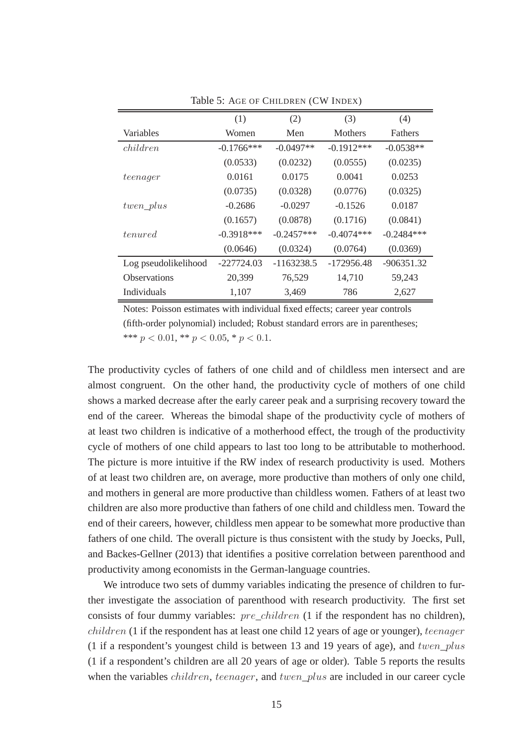|                      | (1)           | (2)          | (3)          | (4)            |
|----------------------|---------------|--------------|--------------|----------------|
| Variables            | Women         | Men          | Mothers      | <b>Fathers</b> |
| children             | $-0.1766$ *** | $-0.0497**$  | $-0.1912***$ | $-0.0538**$    |
|                      | (0.0533)      | (0.0232)     | (0.0555)     | (0.0235)       |
| teenager             | 0.0161        | 0.0175       | 0.0041       | 0.0253         |
|                      | (0.0735)      | (0.0328)     | (0.0776)     | (0.0325)       |
| $twen\_plus$         | $-0.2686$     | $-0.0297$    | $-0.1526$    | 0.0187         |
|                      | (0.1657)      | (0.0878)     | (0.1716)     | (0.0841)       |
| <i>tenured</i>       | $-0.3918***$  | $-0.2457***$ | $-0.4074***$ | $-0.2484***$   |
|                      | (0.0646)      | (0.0324)     | (0.0764)     | (0.0369)       |
| Log pseudolikelihood | $-227724.03$  | $-1163238.5$ | $-172956.48$ | $-906351.32$   |
| <b>Observations</b>  | 20,399        | 76,529       | 14,710       | 59,243         |
| Individuals          | 1,107         | 3,469        | 786          | 2,627          |

Table 5: AGE OF CHILDREN (CW INDEX)

The productivity cycles of fathers of one child and of childless men intersect and are almost congruent. On the other hand, the productivity cycle of mothers of one child shows a marked decrease after the early career peak and a surprising recovery toward the end of the career. Whereas the bimodal shape of the productivity cycle of mothers of at least two children is indicative of a motherhood effect, the trough of the productivity cycle of mothers of one child appears to last too long to be attributable to motherhood. The picture is more intuitive if the RW index of research productivity is used. Mothers of at least two children are, on average, more productive than mothers of only one child, and mothers in general are more productive than childless women. Fathers of at least two children are also more productive than fathers of one child and childless men. Toward the end of their careers, however, childless men appear to be somewhat more productive than fathers of one child. The overall picture is thus consistent with the study by Joecks, Pull, and Backes-Gellner (2013) that identifies a positive correlation between parenthood and productivity among economists in the German-language countries.

We introduce two sets of dummy variables indicating the presence of children to further investigate the association of parenthood with research productivity. The first set consists of four dummy variables:  $pre$  *children* (1 if the respondent has no children), children (1 if the respondent has at least one child 12 years of age or younger), teenager (1 if a respondent's youngest child is between 13 and 19 years of age), and  $twen\_plus$ (1 if a respondent's children are all 20 years of age or older). Table 5 reports the results when the variables *children*, teenager, and twen\_plus are included in our career cycle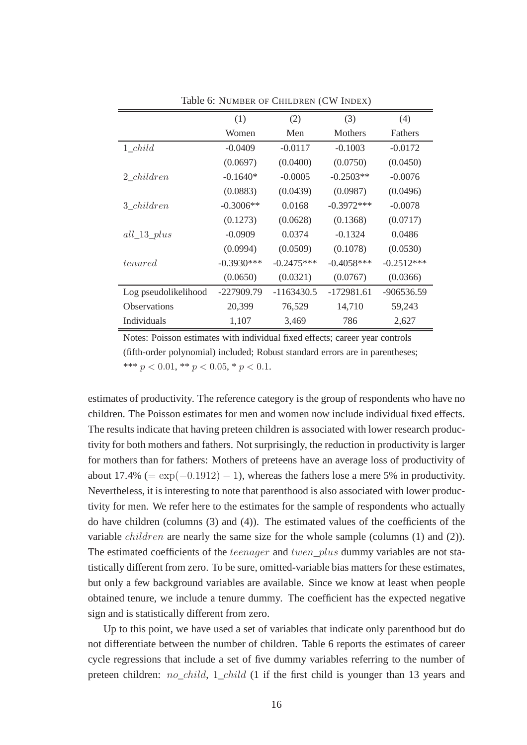|                      | (1)          | (2)          | (3)            | (4)            |
|----------------------|--------------|--------------|----------------|----------------|
|                      | Women        | Men          | <b>Mothers</b> | <b>Fathers</b> |
| $1 \ child$          | $-0.0409$    | $-0.0117$    | $-0.1003$      | $-0.0172$      |
|                      | (0.0697)     | (0.0400)     | (0.0750)       | (0.0450)       |
| 2 <i>children</i>    | $-0.1640*$   | $-0.0005$    | $-0.2503**$    | $-0.0076$      |
|                      | (0.0883)     | (0.0439)     | (0.0987)       | (0.0496)       |
| 3 children           | $-0.3006**$  | 0.0168       | $-0.3972***$   | $-0.0078$      |
|                      | (0.1273)     | (0.0628)     | (0.1368)       | (0.0717)       |
| $all\_13\_plus$      | $-0.0909$    | 0.0374       | $-0.1324$      | 0.0486         |
|                      | (0.0994)     | (0.0509)     | (0.1078)       | (0.0530)       |
| <i>tenured</i>       | $-0.3930***$ | $-0.2475***$ | $-0.4058***$   | $-0.2512***$   |
|                      | (0.0650)     | (0.0321)     | (0.0767)       | (0.0366)       |
| Log pseudolikelihood | -227909.79   | $-1163430.5$ | $-172981.61$   | -906536.59     |
| <b>Observations</b>  | 20,399       | 76,529       | 14,710         | 59,243         |
| Individuals          | 1,107        | 3,469        | 786            | 2,627          |

Table 6: NUMBER OF CHILDREN (CW INDEX)

estimates of productivity. The reference category is the group of respondents who have no children. The Poisson estimates for men and women now include individual fixed effects. The results indicate that having preteen children is associated with lower research productivity for both mothers and fathers. Not surprisingly, the reduction in productivity is larger for mothers than for fathers: Mothers of preteens have an average loss of productivity of about 17.4% (=  $\exp(-0.1912) - 1$ ), whereas the fathers lose a mere 5% in productivity. Nevertheless, it is interesting to note that parenthood is also associated with lower productivity for men. We refer here to the estimates for the sample of respondents who actually do have children (columns (3) and (4)). The estimated values of the coefficients of the variable children are nearly the same size for the whole sample (columns (1) and (2)). The estimated coefficients of the *teenager* and *twen* plus dummy variables are not statistically different from zero. To be sure, omitted-variable bias matters for these estimates, but only a few background variables are available. Since we know at least when people obtained tenure, we include a tenure dummy. The coefficient has the expected negative sign and is statistically different from zero.

Up to this point, we have used a set of variables that indicate only parenthood but do not differentiate between the number of children. Table 6 reports the estimates of career cycle regressions that include a set of five dummy variables referring to the number of preteen children: *no child*, 1 *child* (1 if the first child is younger than 13 years and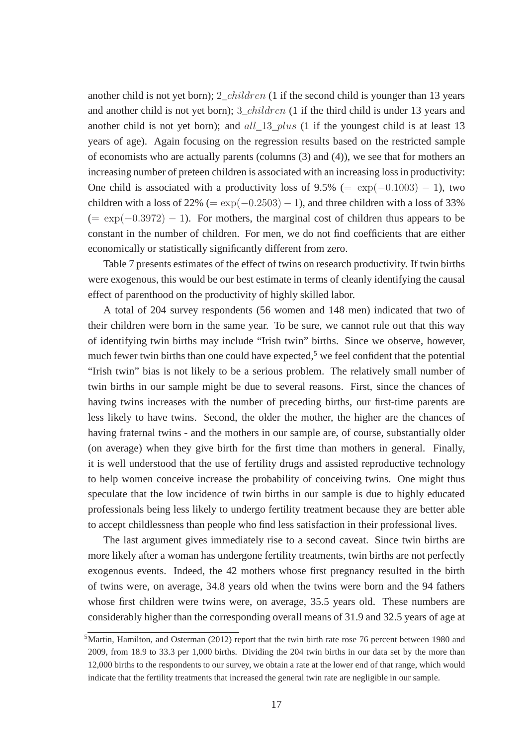another child is not yet born); 2\_children (1 if the second child is younger than 13 years and another child is not yet born); 3\_children (1 if the third child is under 13 years and another child is not yet born); and all 13\_plus (1 if the youngest child is at least 13 years of age). Again focusing on the regression results based on the restricted sample of economists who are actually parents (columns (3) and (4)), we see that for mothers an increasing number of preteen children is associated with an increasing loss in productivity: One child is associated with a productivity loss of  $9.5\%$  (= exp( $-0.1003$ ) – 1), two children with a loss of 22% (=  $\exp(-0.2503) - 1$ ), and three children with a loss of 33%  $(= \exp(-0.3972) - 1)$ . For mothers, the marginal cost of children thus appears to be constant in the number of children. For men, we do not find coefficients that are either economically or statistically significantly different from zero.

Table 7 presents estimates of the effect of twins on research productivity. If twin births were exogenous, this would be our best estimate in terms of cleanly identifying the causal effect of parenthood on the productivity of highly skilled labor.

A total of 204 survey respondents (56 women and 148 men) indicated that two of their children were born in the same year. To be sure, we cannot rule out that this way of identifying twin births may include "Irish twin" births. Since we observe, however, much fewer twin births than one could have expected,<sup>5</sup> we feel confident that the potential "Irish twin" bias is not likely to be a serious problem. The relatively small number of twin births in our sample might be due to several reasons. First, since the chances of having twins increases with the number of preceding births, our first-time parents are less likely to have twins. Second, the older the mother, the higher are the chances of having fraternal twins - and the mothers in our sample are, of course, substantially older (on average) when they give birth for the first time than mothers in general. Finally, it is well understood that the use of fertility drugs and assisted reproductive technology to help women conceive increase the probability of conceiving twins. One might thus speculate that the low incidence of twin births in our sample is due to highly educated professionals being less likely to undergo fertility treatment because they are better able to accept childlessness than people who find less satisfaction in their professional lives.

The last argument gives immediately rise to a second caveat. Since twin births are more likely after a woman has undergone fertility treatments, twin births are not perfectly exogenous events. Indeed, the 42 mothers whose first pregnancy resulted in the birth of twins were, on average, 34.8 years old when the twins were born and the 94 fathers whose first children were twins were, on average, 35.5 years old. These numbers are considerably higher than the corresponding overall means of 31.9 and 32.5 years of age at

 $5$ Martin, Hamilton, and Osterman (2012) report that the twin birth rate rose 76 percent between 1980 and 2009, from 18.9 to 33.3 per 1,000 births. Dividing the 204 twin births in our data set by the more than 12,000 births to the respondents to our survey, we obtain a rate at the lower end of that range, which would indicate that the fertility treatments that increased the general twin rate are negligible in our sample.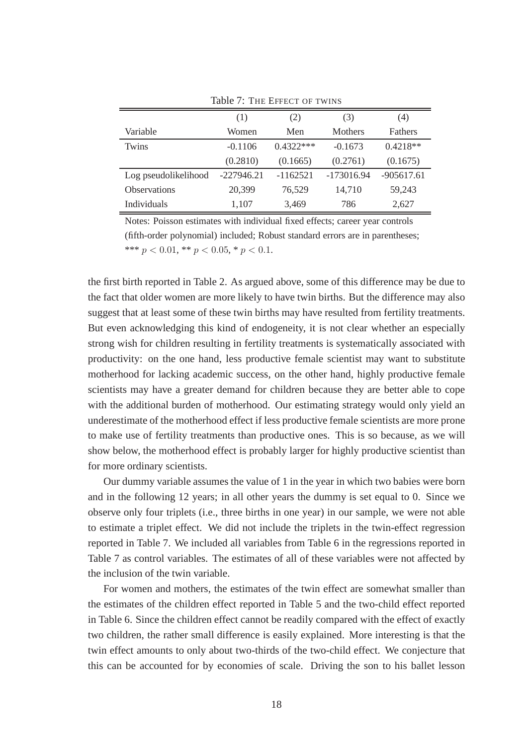|                      | (1)          | (2)         | (3)            | (4)          |
|----------------------|--------------|-------------|----------------|--------------|
| Variable             | Women        | Men         | <b>Mothers</b> | Fathers      |
| Twins                | $-0.1106$    | $0.4322***$ | $-0.1673$      | $0.4218**$   |
|                      | (0.2810)     | (0.1665)    | (0.2761)       | (0.1675)     |
| Log pseudolikelihood | $-227946.21$ | $-1162521$  | -173016.94     | $-905617.61$ |
| <b>Observations</b>  | 20,399       | 76,529      | 14,710         | 59,243       |
| Individuals          | 1,107        | 3,469       | 786            | 2,627        |

Table 7: THE EFFECT OF TWINS

the first birth reported in Table 2. As argued above, some of this difference may be due to the fact that older women are more likely to have twin births. But the difference may also suggest that at least some of these twin births may have resulted from fertility treatments. But even acknowledging this kind of endogeneity, it is not clear whether an especially strong wish for children resulting in fertility treatments is systematically associated with productivity: on the one hand, less productive female scientist may want to substitute motherhood for lacking academic success, on the other hand, highly productive female scientists may have a greater demand for children because they are better able to cope with the additional burden of motherhood. Our estimating strategy would only yield an underestimate of the motherhood effect if less productive female scientists are more prone to make use of fertility treatments than productive ones. This is so because, as we will show below, the motherhood effect is probably larger for highly productive scientist than for more ordinary scientists.

Our dummy variable assumes the value of 1 in the year in which two babies were born and in the following 12 years; in all other years the dummy is set equal to 0. Since we observe only four triplets (i.e., three births in one year) in our sample, we were not able to estimate a triplet effect. We did not include the triplets in the twin-effect regression reported in Table 7. We included all variables from Table 6 in the regressions reported in Table 7 as control variables. The estimates of all of these variables were not affected by the inclusion of the twin variable.

For women and mothers, the estimates of the twin effect are somewhat smaller than the estimates of the children effect reported in Table 5 and the two-child effect reported in Table 6. Since the children effect cannot be readily compared with the effect of exactly two children, the rather small difference is easily explained. More interesting is that the twin effect amounts to only about two-thirds of the two-child effect. We conjecture that this can be accounted for by economies of scale. Driving the son to his ballet lesson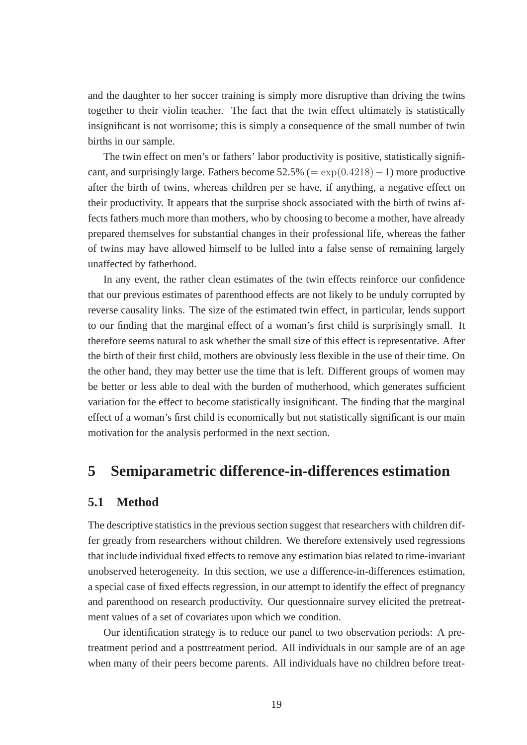and the daughter to her soccer training is simply more disruptive than driving the twins together to their violin teacher. The fact that the twin effect ultimately is statistically insignificant is not worrisome; this is simply a consequence of the small number of twin births in our sample.

The twin effect on men's or fathers' labor productivity is positive, statistically significant, and surprisingly large. Fathers become  $52.5\%$  (=  $\exp(0.4218)-1$ ) more productive after the birth of twins, whereas children per se have, if anything, a negative effect on their productivity. It appears that the surprise shock associated with the birth of twins affects fathers much more than mothers, who by choosing to become a mother, have already prepared themselves for substantial changes in their professional life, whereas the father of twins may have allowed himself to be lulled into a false sense of remaining largely unaffected by fatherhood.

In any event, the rather clean estimates of the twin effects reinforce our confidence that our previous estimates of parenthood effects are not likely to be unduly corrupted by reverse causality links. The size of the estimated twin effect, in particular, lends support to our finding that the marginal effect of a woman's first child is surprisingly small. It therefore seems natural to ask whether the small size of this effect is representative. After the birth of their first child, mothers are obviously less flexible in the use of their time. On the other hand, they may better use the time that is left. Different groups of women may be better or less able to deal with the burden of motherhood, which generates sufficient variation for the effect to become statistically insignificant. The finding that the marginal effect of a woman's first child is economically but not statistically significant is our main motivation for the analysis performed in the next section.

## **5 Semiparametric difference-in-differences estimation**

#### **5.1 Method**

The descriptive statistics in the previous section suggest that researchers with children differ greatly from researchers without children. We therefore extensively used regressions that include individual fixed effects to remove any estimation bias related to time-invariant unobserved heterogeneity. In this section, we use a difference-in-differences estimation, a special case of fixed effects regression, in our attempt to identify the effect of pregnancy and parenthood on research productivity. Our questionnaire survey elicited the pretreatment values of a set of covariates upon which we condition.

Our identification strategy is to reduce our panel to two observation periods: A pretreatment period and a posttreatment period. All individuals in our sample are of an age when many of their peers become parents. All individuals have no children before treat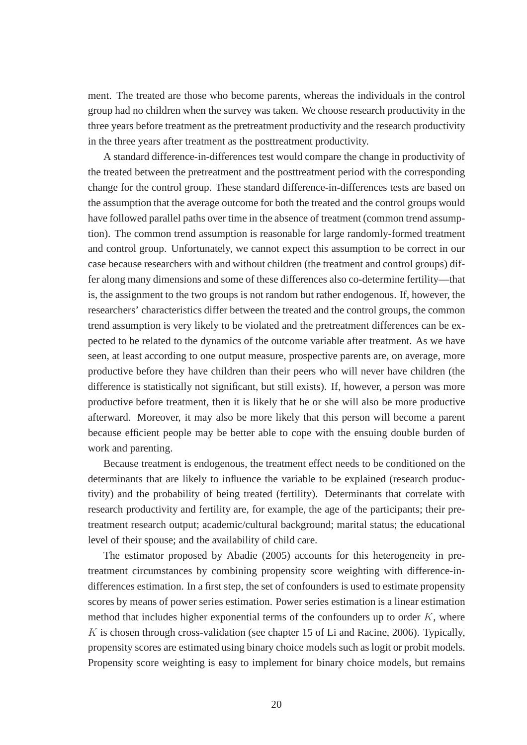ment. The treated are those who become parents, whereas the individuals in the control group had no children when the survey was taken. We choose research productivity in the three years before treatment as the pretreatment productivity and the research productivity in the three years after treatment as the posttreatment productivity.

A standard difference-in-differences test would compare the change in productivity of the treated between the pretreatment and the posttreatment period with the corresponding change for the control group. These standard difference-in-differences tests are based on the assumption that the average outcome for both the treated and the control groups would have followed parallel paths over time in the absence of treatment (common trend assumption). The common trend assumption is reasonable for large randomly-formed treatment and control group. Unfortunately, we cannot expect this assumption to be correct in our case because researchers with and without children (the treatment and control groups) differ along many dimensions and some of these differences also co-determine fertility—that is, the assignment to the two groups is not random but rather endogenous. If, however, the researchers' characteristics differ between the treated and the control groups, the common trend assumption is very likely to be violated and the pretreatment differences can be expected to be related to the dynamics of the outcome variable after treatment. As we have seen, at least according to one output measure, prospective parents are, on average, more productive before they have children than their peers who will never have children (the difference is statistically not significant, but still exists). If, however, a person was more productive before treatment, then it is likely that he or she will also be more productive afterward. Moreover, it may also be more likely that this person will become a parent because efficient people may be better able to cope with the ensuing double burden of work and parenting.

Because treatment is endogenous, the treatment effect needs to be conditioned on the determinants that are likely to influence the variable to be explained (research productivity) and the probability of being treated (fertility). Determinants that correlate with research productivity and fertility are, for example, the age of the participants; their pretreatment research output; academic/cultural background; marital status; the educational level of their spouse; and the availability of child care.

The estimator proposed by Abadie (2005) accounts for this heterogeneity in pretreatment circumstances by combining propensity score weighting with difference-indifferences estimation. In a first step, the set of confounders is used to estimate propensity scores by means of power series estimation. Power series estimation is a linear estimation method that includes higher exponential terms of the confounders up to order  $K$ , where  $K$  is chosen through cross-validation (see chapter 15 of Li and Racine, 2006). Typically, propensity scores are estimated using binary choice models such as logit or probit models. Propensity score weighting is easy to implement for binary choice models, but remains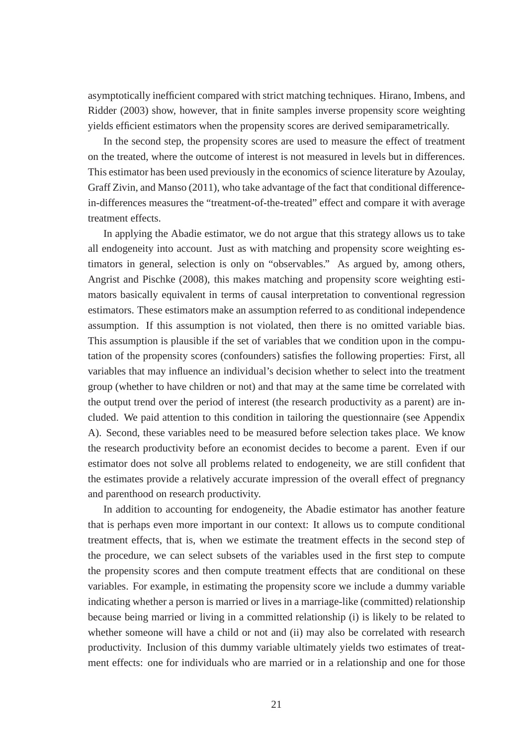asymptotically inefficient compared with strict matching techniques. Hirano, Imbens, and Ridder (2003) show, however, that in finite samples inverse propensity score weighting yields efficient estimators when the propensity scores are derived semiparametrically.

In the second step, the propensity scores are used to measure the effect of treatment on the treated, where the outcome of interest is not measured in levels but in differences. This estimator has been used previously in the economics of science literature by Azoulay, Graff Zivin, and Manso (2011), who take advantage of the fact that conditional differencein-differences measures the "treatment-of-the-treated" effect and compare it with average treatment effects.

In applying the Abadie estimator, we do not argue that this strategy allows us to take all endogeneity into account. Just as with matching and propensity score weighting estimators in general, selection is only on "observables." As argued by, among others, Angrist and Pischke (2008), this makes matching and propensity score weighting estimators basically equivalent in terms of causal interpretation to conventional regression estimators. These estimators make an assumption referred to as conditional independence assumption. If this assumption is not violated, then there is no omitted variable bias. This assumption is plausible if the set of variables that we condition upon in the computation of the propensity scores (confounders) satisfies the following properties: First, all variables that may influence an individual's decision whether to select into the treatment group (whether to have children or not) and that may at the same time be correlated with the output trend over the period of interest (the research productivity as a parent) are included. We paid attention to this condition in tailoring the questionnaire (see Appendix A). Second, these variables need to be measured before selection takes place. We know the research productivity before an economist decides to become a parent. Even if our estimator does not solve all problems related to endogeneity, we are still confident that the estimates provide a relatively accurate impression of the overall effect of pregnancy and parenthood on research productivity.

In addition to accounting for endogeneity, the Abadie estimator has another feature that is perhaps even more important in our context: It allows us to compute conditional treatment effects, that is, when we estimate the treatment effects in the second step of the procedure, we can select subsets of the variables used in the first step to compute the propensity scores and then compute treatment effects that are conditional on these variables. For example, in estimating the propensity score we include a dummy variable indicating whether a person is married or lives in a marriage-like (committed) relationship because being married or living in a committed relationship (i) is likely to be related to whether someone will have a child or not and (ii) may also be correlated with research productivity. Inclusion of this dummy variable ultimately yields two estimates of treatment effects: one for individuals who are married or in a relationship and one for those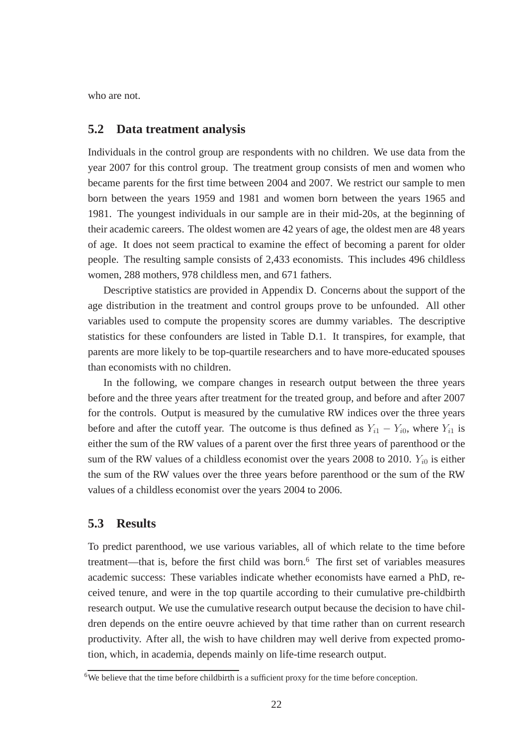who are not.

#### **5.2 Data treatment analysis**

Individuals in the control group are respondents with no children. We use data from the year 2007 for this control group. The treatment group consists of men and women who became parents for the first time between 2004 and 2007. We restrict our sample to men born between the years 1959 and 1981 and women born between the years 1965 and 1981. The youngest individuals in our sample are in their mid-20s, at the beginning of their academic careers. The oldest women are 42 years of age, the oldest men are 48 years of age. It does not seem practical to examine the effect of becoming a parent for older people. The resulting sample consists of 2,433 economists. This includes 496 childless women, 288 mothers, 978 childless men, and 671 fathers.

Descriptive statistics are provided in Appendix D. Concerns about the support of the age distribution in the treatment and control groups prove to be unfounded. All other variables used to compute the propensity scores are dummy variables. The descriptive statistics for these confounders are listed in Table D.1. It transpires, for example, that parents are more likely to be top-quartile researchers and to have more-educated spouses than economists with no children.

In the following, we compare changes in research output between the three years before and the three years after treatment for the treated group, and before and after 2007 for the controls. Output is measured by the cumulative RW indices over the three years before and after the cutoff year. The outcome is thus defined as  $Y_{i1} - Y_{i0}$ , where  $Y_{i1}$  is either the sum of the RW values of a parent over the first three years of parenthood or the sum of the RW values of a childless economist over the years 2008 to 2010.  $Y_{i0}$  is either the sum of the RW values over the three years before parenthood or the sum of the RW values of a childless economist over the years 2004 to 2006.

#### **5.3 Results**

To predict parenthood, we use various variables, all of which relate to the time before treatment—that is, before the first child was born.<sup>6</sup> The first set of variables measures academic success: These variables indicate whether economists have earned a PhD, received tenure, and were in the top quartile according to their cumulative pre-childbirth research output. We use the cumulative research output because the decision to have children depends on the entire oeuvre achieved by that time rather than on current research productivity. After all, the wish to have children may well derive from expected promotion, which, in academia, depends mainly on life-time research output.

<sup>&</sup>lt;sup>6</sup>We believe that the time before childbirth is a sufficient proxy for the time before conception.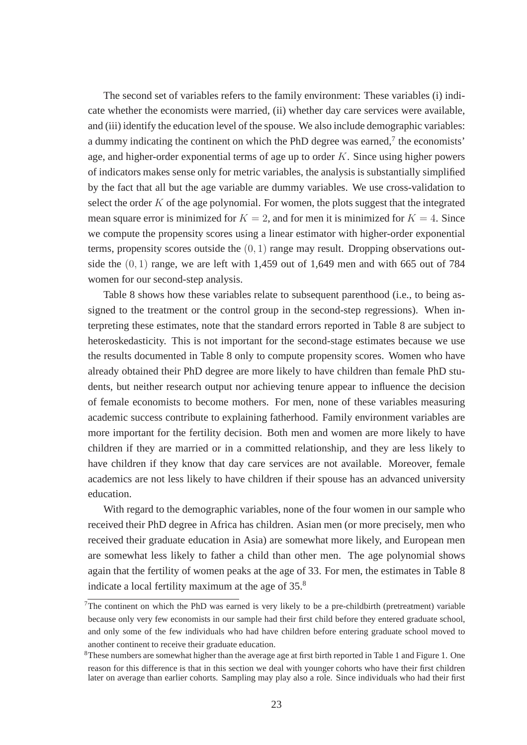The second set of variables refers to the family environment: These variables (i) indicate whether the economists were married, (ii) whether day care services were available, and (iii) identify the education level of the spouse. We also include demographic variables: a dummy indicating the continent on which the PhD degree was earned, $\frac{7}{1}$  the economists' age, and higher-order exponential terms of age up to order  $K$ . Since using higher powers of indicators makes sense only for metric variables, the analysis is substantially simplified by the fact that all but the age variable are dummy variables. We use cross-validation to select the order  $K$  of the age polynomial. For women, the plots suggest that the integrated mean square error is minimized for  $K = 2$ , and for men it is minimized for  $K = 4$ . Since we compute the propensity scores using a linear estimator with higher-order exponential terms, propensity scores outside the  $(0, 1)$  range may result. Dropping observations outside the  $(0, 1)$  range, we are left with 1,459 out of 1,649 men and with 665 out of 784 women for our second-step analysis.

Table 8 shows how these variables relate to subsequent parenthood (i.e., to being assigned to the treatment or the control group in the second-step regressions). When interpreting these estimates, note that the standard errors reported in Table 8 are subject to heteroskedasticity. This is not important for the second-stage estimates because we use the results documented in Table 8 only to compute propensity scores. Women who have already obtained their PhD degree are more likely to have children than female PhD students, but neither research output nor achieving tenure appear to influence the decision of female economists to become mothers. For men, none of these variables measuring academic success contribute to explaining fatherhood. Family environment variables are more important for the fertility decision. Both men and women are more likely to have children if they are married or in a committed relationship, and they are less likely to have children if they know that day care services are not available. Moreover, female academics are not less likely to have children if their spouse has an advanced university education.

With regard to the demographic variables, none of the four women in our sample who received their PhD degree in Africa has children. Asian men (or more precisely, men who received their graduate education in Asia) are somewhat more likely, and European men are somewhat less likely to father a child than other men. The age polynomial shows again that the fertility of women peaks at the age of 33. For men, the estimates in Table 8 indicate a local fertility maximum at the age of 35.<sup>8</sup>

 $7$ The continent on which the PhD was earned is very likely to be a pre-childbirth (pretreatment) variable because only very few economists in our sample had their first child before they entered graduate school, and only some of the few individuals who had have children before entering graduate school moved to another continent to receive their graduate education.

<sup>8</sup>These numbers are somewhat higher than the average age at first birth reported in Table 1 and Figure 1. One reason for this difference is that in this section we deal with younger cohorts who have their first children later on average than earlier cohorts. Sampling may play also a role. Since individuals who had their first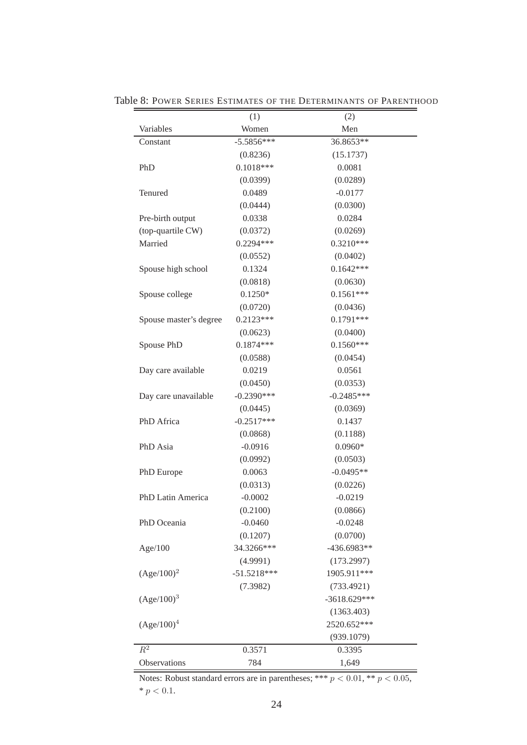| (1)           | (2)                                                                                      |
|---------------|------------------------------------------------------------------------------------------|
| Women         | Men                                                                                      |
| $-5.5856***$  | 36.8653**                                                                                |
| (0.8236)      | (15.1737)                                                                                |
| $0.1018***$   | 0.0081                                                                                   |
| (0.0399)      | (0.0289)                                                                                 |
| 0.0489        | $-0.0177$                                                                                |
| (0.0444)      | (0.0300)                                                                                 |
| 0.0338        | 0.0284                                                                                   |
| (0.0372)      | (0.0269)                                                                                 |
| 0.2294 ***    | $0.3210***$                                                                              |
| (0.0552)      | (0.0402)                                                                                 |
| 0.1324        | $0.1642***$                                                                              |
| (0.0818)      | (0.0630)                                                                                 |
| $0.1250*$     | $0.1561***$                                                                              |
| (0.0720)      | (0.0436)                                                                                 |
| $0.2123***$   | $0.1791***$                                                                              |
| (0.0623)      | (0.0400)                                                                                 |
| $0.1874***$   | $0.1560***$                                                                              |
| (0.0588)      | (0.0454)                                                                                 |
| 0.0219        | 0.0561                                                                                   |
| (0.0450)      | (0.0353)                                                                                 |
| $-0.2390***$  | $-0.2485***$                                                                             |
| (0.0445)      | (0.0369)                                                                                 |
| $-0.2517***$  | 0.1437                                                                                   |
| (0.0868)      | (0.1188)                                                                                 |
| $-0.0916$     | $0.0960*$                                                                                |
|               | (0.0503)                                                                                 |
| 0.0063        | $-0.0495**$                                                                              |
| (0.0313)      | (0.0226)                                                                                 |
| $-0.0002$     | $-0.0219$                                                                                |
| (0.2100)      | (0.0866)                                                                                 |
|               | $-0.0248$                                                                                |
|               | (0.0700)                                                                                 |
|               | $-436.6983**$                                                                            |
|               | (173.2997)                                                                               |
| $-51.5218***$ | 1905.911***                                                                              |
|               | (733.4921)                                                                               |
|               | $-3618.629***$                                                                           |
|               | (1363.403)                                                                               |
|               | 2520.652***                                                                              |
|               | (939.1079)                                                                               |
|               | 0.3395                                                                                   |
|               | 1,649                                                                                    |
|               | (0.0992)<br>$-0.0460$<br>(0.1207)<br>34.3266***<br>(4.9991)<br>(7.3982)<br>0.3571<br>784 |

Table 8: POWER SERIES ESTIMATES OF THE DETERMINANTS OF PARENTHOOD

Notes: Robust standard errors are in parentheses; \*\*\*  $p < 0.01$ , \*\*  $p < 0.05$ ,  $^{\ast}$   $p$   $<$  0.1.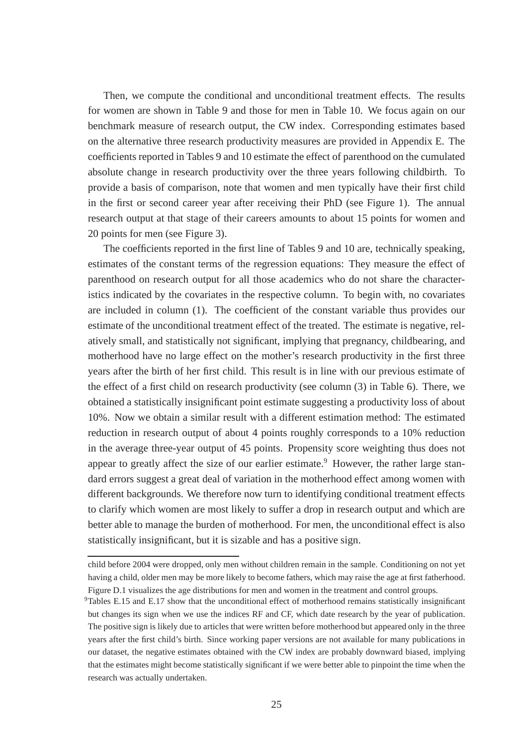Then, we compute the conditional and unconditional treatment effects. The results for women are shown in Table 9 and those for men in Table 10. We focus again on our benchmark measure of research output, the CW index. Corresponding estimates based on the alternative three research productivity measures are provided in Appendix E. The coefficients reported in Tables 9 and 10 estimate the effect of parenthood on the cumulated absolute change in research productivity over the three years following childbirth. To provide a basis of comparison, note that women and men typically have their first child in the first or second career year after receiving their PhD (see Figure 1). The annual research output at that stage of their careers amounts to about 15 points for women and 20 points for men (see Figure 3).

The coefficients reported in the first line of Tables 9 and 10 are, technically speaking, estimates of the constant terms of the regression equations: They measure the effect of parenthood on research output for all those academics who do not share the characteristics indicated by the covariates in the respective column. To begin with, no covariates are included in column (1). The coefficient of the constant variable thus provides our estimate of the unconditional treatment effect of the treated. The estimate is negative, relatively small, and statistically not significant, implying that pregnancy, childbearing, and motherhood have no large effect on the mother's research productivity in the first three years after the birth of her first child. This result is in line with our previous estimate of the effect of a first child on research productivity (see column (3) in Table 6). There, we obtained a statistically insignificant point estimate suggesting a productivity loss of about 10%. Now we obtain a similar result with a different estimation method: The estimated reduction in research output of about 4 points roughly corresponds to a 10% reduction in the average three-year output of 45 points. Propensity score weighting thus does not appear to greatly affect the size of our earlier estimate.<sup>9</sup> However, the rather large standard errors suggest a great deal of variation in the motherhood effect among women with different backgrounds. We therefore now turn to identifying conditional treatment effects to clarify which women are most likely to suffer a drop in research output and which are better able to manage the burden of motherhood. For men, the unconditional effect is also statistically insignificant, but it is sizable and has a positive sign.

child before 2004 were dropped, only men without children remain in the sample. Conditioning on not yet having a child, older men may be more likely to become fathers, which may raise the age at first fatherhood. Figure D.1 visualizes the age distributions for men and women in the treatment and control groups.

 $9$ Tables E.15 and E.17 show that the unconditional effect of motherhood remains statistically insignificant but changes its sign when we use the indices RF and CF, which date research by the year of publication. The positive sign is likely due to articles that were written before motherhood but appeared only in the three years after the first child's birth. Since working paper versions are not available for many publications in our dataset, the negative estimates obtained with the CW index are probably downward biased, implying that the estimates might become statistically significant if we were better able to pinpoint the time when the research was actually undertaken.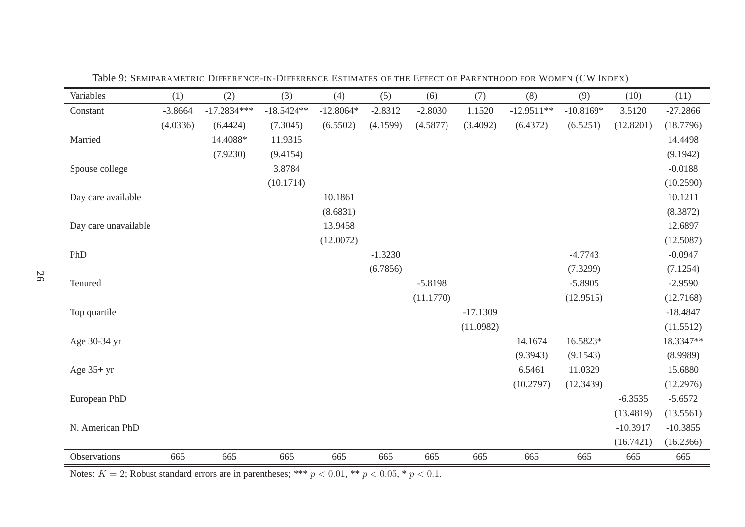| Variables            | (1)       | (2)           | (3)          | (4)         | (5)       | (6)       | (7)        | (8)          | (9)         | (10)       | (11)       |
|----------------------|-----------|---------------|--------------|-------------|-----------|-----------|------------|--------------|-------------|------------|------------|
| Constant             | $-3.8664$ | $-17.2834***$ | $-18.5424**$ | $-12.8064*$ | $-2.8312$ | $-2.8030$ | 1.1520     | $-12.9511**$ | $-10.8169*$ | 3.5120     | $-27.2866$ |
|                      | (4.0336)  | (6.4424)      | (7.3045)     | (6.5502)    | (4.1599)  | (4.5877)  | (3.4092)   | (6.4372)     | (6.5251)    | (12.8201)  | (18.7796)  |
| Married              |           | 14.4088*      | 11.9315      |             |           |           |            |              |             |            | 14.4498    |
|                      |           | (7.9230)      | (9.4154)     |             |           |           |            |              |             |            | (9.1942)   |
| Spouse college       |           |               | 3.8784       |             |           |           |            |              |             |            | $-0.0188$  |
|                      |           |               | (10.1714)    |             |           |           |            |              |             |            | (10.2590)  |
| Day care available   |           |               |              | 10.1861     |           |           |            |              |             |            | 10.1211    |
|                      |           |               |              | (8.6831)    |           |           |            |              |             |            | (8.3872)   |
| Day care unavailable |           |               |              | 13.9458     |           |           |            |              |             |            | 12.6897    |
|                      |           |               |              | (12.0072)   |           |           |            |              |             |            | (12.5087)  |
| PhD                  |           |               |              |             | $-1.3230$ |           |            |              | $-4.7743$   |            | $-0.0947$  |
|                      |           |               |              |             | (6.7856)  |           |            |              | (7.3299)    |            | (7.1254)   |
| Tenured              |           |               |              |             |           | $-5.8198$ |            |              | $-5.8905$   |            | $-2.9590$  |
|                      |           |               |              |             |           | (11.1770) |            |              | (12.9515)   |            | (12.7168)  |
| Top quartile         |           |               |              |             |           |           | $-17.1309$ |              |             |            | $-18.4847$ |
|                      |           |               |              |             |           |           | (11.0982)  |              |             |            | (11.5512)  |
| Age 30-34 yr         |           |               |              |             |           |           |            | 14.1674      | 16.5823*    |            | 18.3347**  |
|                      |           |               |              |             |           |           |            | (9.3943)     | (9.1543)    |            | (8.9989)   |
| Age $35+yr$          |           |               |              |             |           |           |            | 6.5461       | 11.0329     |            | 15.6880    |
|                      |           |               |              |             |           |           |            | (10.2797)    | (12.3439)   |            | (12.2976)  |
| European PhD         |           |               |              |             |           |           |            |              |             | $-6.3535$  | $-5.6572$  |
|                      |           |               |              |             |           |           |            |              |             | (13.4819)  | (13.5561)  |
| N. American PhD      |           |               |              |             |           |           |            |              |             | $-10.3917$ | $-10.3855$ |
|                      |           |               |              |             |           |           |            |              |             | (16.7421)  | (16.2366)  |
| Observations         | 665       | 665           | 665          | 665         | 665       | 665       | 665        | 665          | 665         | 665        | 665        |

Table 9: SEMIPARAMETRIC <sup>D</sup>IFFERENCE-IN-DIFFERENCE <sup>E</sup>STIMATES OF THE <sup>E</sup>FFECT OF <sup>P</sup>ARENTHOOD FOR <sup>W</sup>OMEN (CW <sup>I</sup>NDEX)

Notes:  $K = 2$ ; Robust standard errors are in parentheses; \*\*\*  $p < 0.01$ , \*\*  $p < 0.05$ , \*  $p < 0.1$ .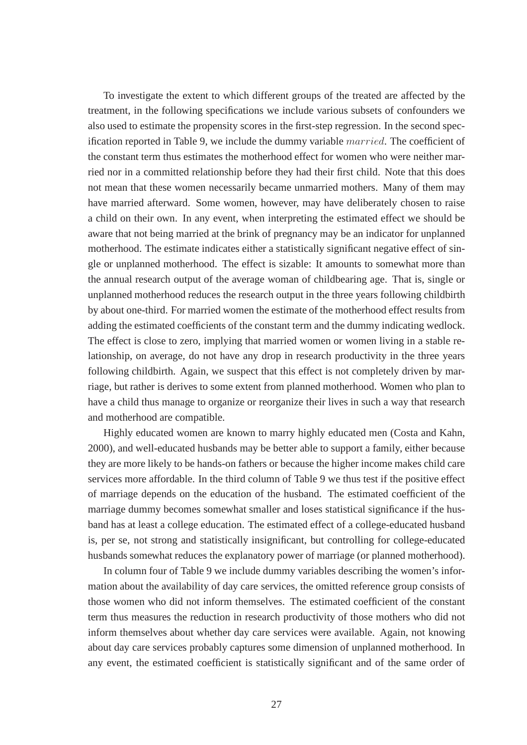To investigate the extent to which different groups of the treated are affected by the treatment, in the following specifications we include various subsets of confounders we also used to estimate the propensity scores in the first-step regression. In the second specification reported in Table 9, we include the dummy variable married. The coefficient of the constant term thus estimates the motherhood effect for women who were neither married nor in a committed relationship before they had their first child. Note that this does not mean that these women necessarily became unmarried mothers. Many of them may have married afterward. Some women, however, may have deliberately chosen to raise a child on their own. In any event, when interpreting the estimated effect we should be aware that not being married at the brink of pregnancy may be an indicator for unplanned motherhood. The estimate indicates either a statistically significant negative effect of single or unplanned motherhood. The effect is sizable: It amounts to somewhat more than the annual research output of the average woman of childbearing age. That is, single or unplanned motherhood reduces the research output in the three years following childbirth by about one-third. For married women the estimate of the motherhood effect results from adding the estimated coefficients of the constant term and the dummy indicating wedlock. The effect is close to zero, implying that married women or women living in a stable relationship, on average, do not have any drop in research productivity in the three years following childbirth. Again, we suspect that this effect is not completely driven by marriage, but rather is derives to some extent from planned motherhood. Women who plan to have a child thus manage to organize or reorganize their lives in such a way that research and motherhood are compatible.

Highly educated women are known to marry highly educated men (Costa and Kahn, 2000), and well-educated husbands may be better able to support a family, either because they are more likely to be hands-on fathers or because the higher income makes child care services more affordable. In the third column of Table 9 we thus test if the positive effect of marriage depends on the education of the husband. The estimated coefficient of the marriage dummy becomes somewhat smaller and loses statistical significance if the husband has at least a college education. The estimated effect of a college-educated husband is, per se, not strong and statistically insignificant, but controlling for college-educated husbands somewhat reduces the explanatory power of marriage (or planned motherhood).

In column four of Table 9 we include dummy variables describing the women's information about the availability of day care services, the omitted reference group consists of those women who did not inform themselves. The estimated coefficient of the constant term thus measures the reduction in research productivity of those mothers who did not inform themselves about whether day care services were available. Again, not knowing about day care services probably captures some dimension of unplanned motherhood. In any event, the estimated coefficient is statistically significant and of the same order of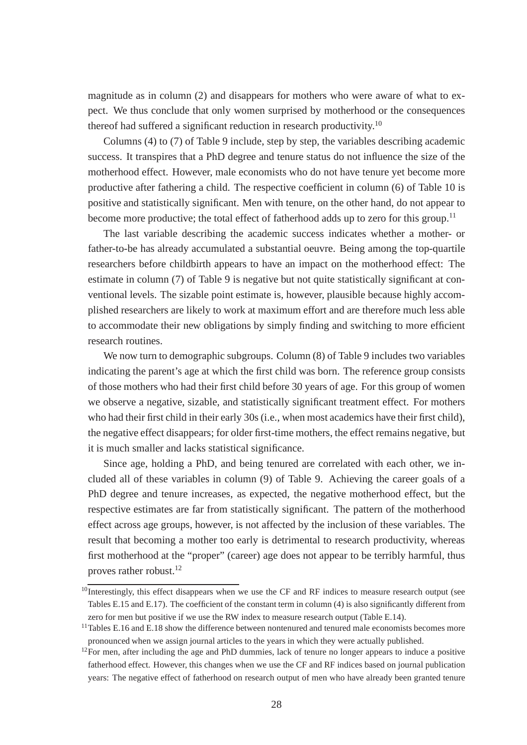magnitude as in column (2) and disappears for mothers who were aware of what to expect. We thus conclude that only women surprised by motherhood or the consequences thereof had suffered a significant reduction in research productivity.<sup>10</sup>

Columns (4) to (7) of Table 9 include, step by step, the variables describing academic success. It transpires that a PhD degree and tenure status do not influence the size of the motherhood effect. However, male economists who do not have tenure yet become more productive after fathering a child. The respective coefficient in column (6) of Table 10 is positive and statistically significant. Men with tenure, on the other hand, do not appear to become more productive; the total effect of fatherhood adds up to zero for this group.<sup>11</sup>

The last variable describing the academic success indicates whether a mother- or father-to-be has already accumulated a substantial oeuvre. Being among the top-quartile researchers before childbirth appears to have an impact on the motherhood effect: The estimate in column (7) of Table 9 is negative but not quite statistically significant at conventional levels. The sizable point estimate is, however, plausible because highly accomplished researchers are likely to work at maximum effort and are therefore much less able to accommodate their new obligations by simply finding and switching to more efficient research routines.

We now turn to demographic subgroups. Column (8) of Table 9 includes two variables indicating the parent's age at which the first child was born. The reference group consists of those mothers who had their first child before 30 years of age. For this group of women we observe a negative, sizable, and statistically significant treatment effect. For mothers who had their first child in their early 30s (i.e., when most academics have their first child), the negative effect disappears; for older first-time mothers, the effect remains negative, but it is much smaller and lacks statistical significance.

Since age, holding a PhD, and being tenured are correlated with each other, we included all of these variables in column (9) of Table 9. Achieving the career goals of a PhD degree and tenure increases, as expected, the negative motherhood effect, but the respective estimates are far from statistically significant. The pattern of the motherhood effect across age groups, however, is not affected by the inclusion of these variables. The result that becoming a mother too early is detrimental to research productivity, whereas first motherhood at the "proper" (career) age does not appear to be terribly harmful, thus proves rather robust.<sup>12</sup>

 $10$ Interestingly, this effect disappears when we use the CF and RF indices to measure research output (see Tables E.15 and E.17). The coefficient of the constant term in column (4) is also significantly different from zero for men but positive if we use the RW index to measure research output (Table E.14).

<sup>&</sup>lt;sup>11</sup>Tables E.16 and E.18 show the difference between nontenured and tenured male economists becomes more pronounced when we assign journal articles to the years in which they were actually published.

 $12$ For men, after including the age and PhD dummies, lack of tenure no longer appears to induce a positive fatherhood effect. However, this changes when we use the CF and RF indices based on journal publication years: The negative effect of fatherhood on research output of men who have already been granted tenure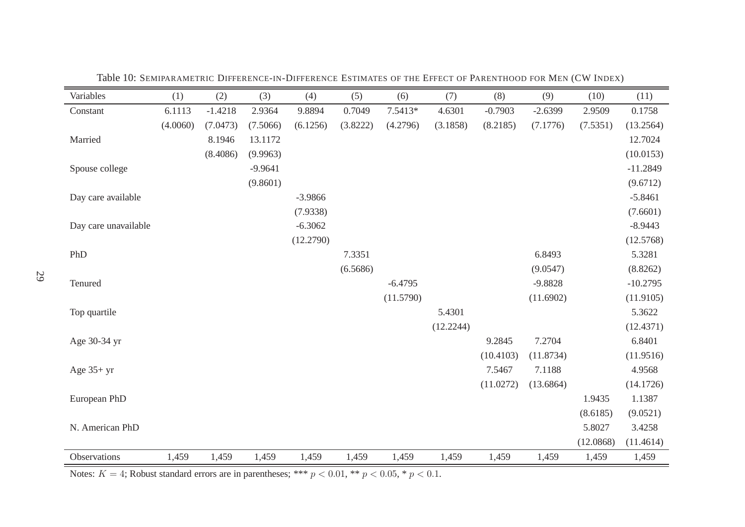| Variables            | (1)      | (2)       | (3)       | (4)       | (5)      | (6)       | (7)       | (8)       | (9)       | (10)      | (11)       |
|----------------------|----------|-----------|-----------|-----------|----------|-----------|-----------|-----------|-----------|-----------|------------|
| Constant             | 6.1113   | $-1.4218$ | 2.9364    | 9.8894    | 0.7049   | $7.5413*$ | 4.6301    | $-0.7903$ | $-2.6399$ | 2.9509    | 0.1758     |
|                      | (4.0060) | (7.0473)  | (7.5066)  | (6.1256)  | (3.8222) | (4.2796)  | (3.1858)  | (8.2185)  | (7.1776)  | (7.5351)  | (13.2564)  |
| Married              |          | 8.1946    | 13.1172   |           |          |           |           |           |           |           | 12.7024    |
|                      |          | (8.4086)  | (9.9963)  |           |          |           |           |           |           |           | (10.0153)  |
| Spouse college       |          |           | $-9.9641$ |           |          |           |           |           |           |           | $-11.2849$ |
|                      |          |           | (9.8601)  |           |          |           |           |           |           |           | (9.6712)   |
| Day care available   |          |           |           | $-3.9866$ |          |           |           |           |           |           | $-5.8461$  |
|                      |          |           |           | (7.9338)  |          |           |           |           |           |           | (7.6601)   |
| Day care unavailable |          |           |           | $-6.3062$ |          |           |           |           |           |           | $-8.9443$  |
|                      |          |           |           | (12.2790) |          |           |           |           |           |           | (12.5768)  |
| PhD                  |          |           |           |           | 7.3351   |           |           |           | 6.8493    |           | 5.3281     |
|                      |          |           |           |           | (6.5686) |           |           |           | (9.0547)  |           | (8.8262)   |
| Tenured              |          |           |           |           |          | $-6.4795$ |           |           | $-9.8828$ |           | $-10.2795$ |
|                      |          |           |           |           |          | (11.5790) |           |           | (11.6902) |           | (11.9105)  |
| Top quartile         |          |           |           |           |          |           | 5.4301    |           |           |           | 5.3622     |
|                      |          |           |           |           |          |           | (12.2244) |           |           |           | (12.4371)  |
| Age 30-34 yr         |          |           |           |           |          |           |           | 9.2845    | 7.2704    |           | 6.8401     |
|                      |          |           |           |           |          |           |           | (10.4103) | (11.8734) |           | (11.9516)  |
| Age $35+yr$          |          |           |           |           |          |           |           | 7.5467    | 7.1188    |           | 4.9568     |
|                      |          |           |           |           |          |           |           | (11.0272) | (13.6864) |           | (14.1726)  |
| European PhD         |          |           |           |           |          |           |           |           |           | 1.9435    | 1.1387     |
|                      |          |           |           |           |          |           |           |           |           | (8.6185)  | (9.0521)   |
| N. American PhD      |          |           |           |           |          |           |           |           |           | 5.8027    | 3.4258     |
|                      |          |           |           |           |          |           |           |           |           | (12.0868) | (11.4614)  |
| Observations         | 1,459    | 1,459     | 1,459     | 1,459     | 1,459    | 1,459     | 1,459     | 1,459     | 1,459     | 1,459     | 1,459      |

Table 10: SEMIPARAMETRIC <sup>D</sup>IFFERENCE-IN-DIFFERENCE <sup>E</sup>STIMATES OF THE <sup>E</sup>FFECT OF <sup>P</sup>ARENTHOOD FOR <sup>M</sup>EN (CW <sup>I</sup>NDEX)

Notes:  $K = 4$ ; Robust standard errors are in parentheses; \*\*\*  $p < 0.01$ , \*\*  $p < 0.05$ , \*  $p < 0.1$ .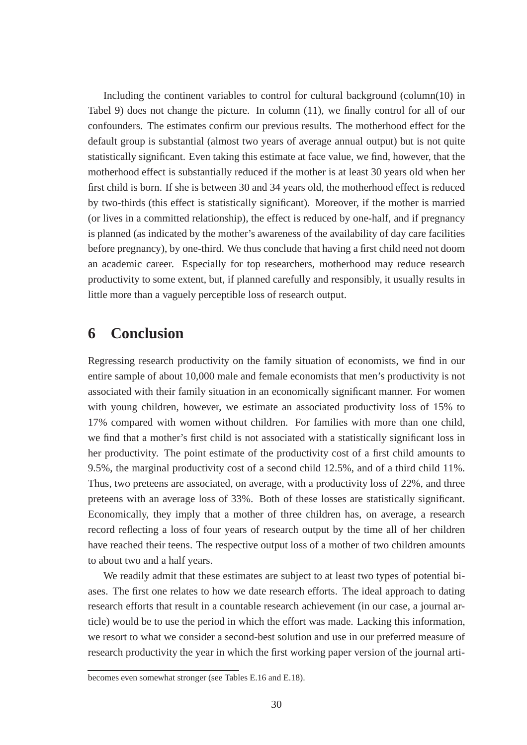Including the continent variables to control for cultural background (column(10) in Tabel 9) does not change the picture. In column (11), we finally control for all of our confounders. The estimates confirm our previous results. The motherhood effect for the default group is substantial (almost two years of average annual output) but is not quite statistically significant. Even taking this estimate at face value, we find, however, that the motherhood effect is substantially reduced if the mother is at least 30 years old when her first child is born. If she is between 30 and 34 years old, the motherhood effect is reduced by two-thirds (this effect is statistically significant). Moreover, if the mother is married (or lives in a committed relationship), the effect is reduced by one-half, and if pregnancy is planned (as indicated by the mother's awareness of the availability of day care facilities before pregnancy), by one-third. We thus conclude that having a first child need not doom an academic career. Especially for top researchers, motherhood may reduce research productivity to some extent, but, if planned carefully and responsibly, it usually results in little more than a vaguely perceptible loss of research output.

# **6 Conclusion**

Regressing research productivity on the family situation of economists, we find in our entire sample of about 10,000 male and female economists that men's productivity is not associated with their family situation in an economically significant manner. For women with young children, however, we estimate an associated productivity loss of 15% to 17% compared with women without children. For families with more than one child, we find that a mother's first child is not associated with a statistically significant loss in her productivity. The point estimate of the productivity cost of a first child amounts to 9.5%, the marginal productivity cost of a second child 12.5%, and of a third child 11%. Thus, two preteens are associated, on average, with a productivity loss of 22%, and three preteens with an average loss of 33%. Both of these losses are statistically significant. Economically, they imply that a mother of three children has, on average, a research record reflecting a loss of four years of research output by the time all of her children have reached their teens. The respective output loss of a mother of two children amounts to about two and a half years.

We readily admit that these estimates are subject to at least two types of potential biases. The first one relates to how we date research efforts. The ideal approach to dating research efforts that result in a countable research achievement (in our case, a journal article) would be to use the period in which the effort was made. Lacking this information, we resort to what we consider a second-best solution and use in our preferred measure of research productivity the year in which the first working paper version of the journal arti-

becomes even somewhat stronger (see Tables E.16 and E.18).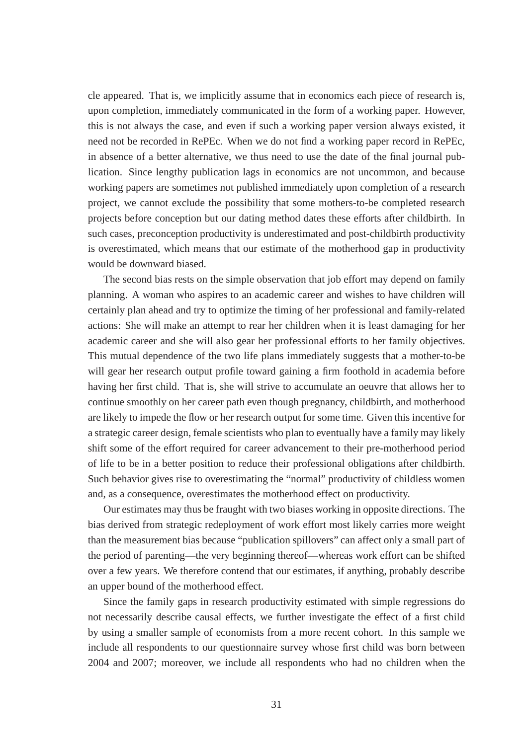cle appeared. That is, we implicitly assume that in economics each piece of research is, upon completion, immediately communicated in the form of a working paper. However, this is not always the case, and even if such a working paper version always existed, it need not be recorded in RePEc. When we do not find a working paper record in RePEc, in absence of a better alternative, we thus need to use the date of the final journal publication. Since lengthy publication lags in economics are not uncommon, and because working papers are sometimes not published immediately upon completion of a research project, we cannot exclude the possibility that some mothers-to-be completed research projects before conception but our dating method dates these efforts after childbirth. In such cases, preconception productivity is underestimated and post-childbirth productivity is overestimated, which means that our estimate of the motherhood gap in productivity would be downward biased.

The second bias rests on the simple observation that job effort may depend on family planning. A woman who aspires to an academic career and wishes to have children will certainly plan ahead and try to optimize the timing of her professional and family-related actions: She will make an attempt to rear her children when it is least damaging for her academic career and she will also gear her professional efforts to her family objectives. This mutual dependence of the two life plans immediately suggests that a mother-to-be will gear her research output profile toward gaining a firm foothold in academia before having her first child. That is, she will strive to accumulate an oeuvre that allows her to continue smoothly on her career path even though pregnancy, childbirth, and motherhood are likely to impede the flow or her research output for some time. Given this incentive for a strategic career design, female scientists who plan to eventually have a family may likely shift some of the effort required for career advancement to their pre-motherhood period of life to be in a better position to reduce their professional obligations after childbirth. Such behavior gives rise to overestimating the "normal" productivity of childless women and, as a consequence, overestimates the motherhood effect on productivity.

Our estimates may thus be fraught with two biases working in opposite directions. The bias derived from strategic redeployment of work effort most likely carries more weight than the measurement bias because "publication spillovers" can affect only a small part of the period of parenting—the very beginning thereof—whereas work effort can be shifted over a few years. We therefore contend that our estimates, if anything, probably describe an upper bound of the motherhood effect.

Since the family gaps in research productivity estimated with simple regressions do not necessarily describe causal effects, we further investigate the effect of a first child by using a smaller sample of economists from a more recent cohort. In this sample we include all respondents to our questionnaire survey whose first child was born between 2004 and 2007; moreover, we include all respondents who had no children when the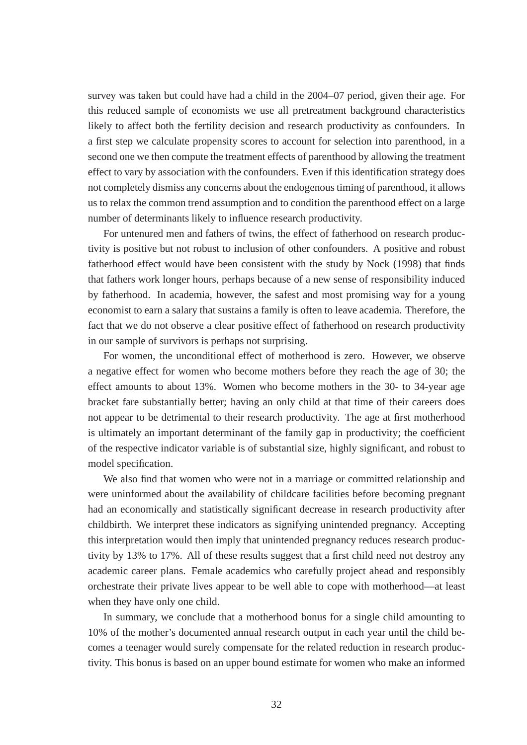survey was taken but could have had a child in the 2004–07 period, given their age. For this reduced sample of economists we use all pretreatment background characteristics likely to affect both the fertility decision and research productivity as confounders. In a first step we calculate propensity scores to account for selection into parenthood, in a second one we then compute the treatment effects of parenthood by allowing the treatment effect to vary by association with the confounders. Even if this identification strategy does not completely dismiss any concerns about the endogenous timing of parenthood, it allows us to relax the common trend assumption and to condition the parenthood effect on a large number of determinants likely to influence research productivity.

For untenured men and fathers of twins, the effect of fatherhood on research productivity is positive but not robust to inclusion of other confounders. A positive and robust fatherhood effect would have been consistent with the study by Nock (1998) that finds that fathers work longer hours, perhaps because of a new sense of responsibility induced by fatherhood. In academia, however, the safest and most promising way for a young economist to earn a salary that sustains a family is often to leave academia. Therefore, the fact that we do not observe a clear positive effect of fatherhood on research productivity in our sample of survivors is perhaps not surprising.

For women, the unconditional effect of motherhood is zero. However, we observe a negative effect for women who become mothers before they reach the age of 30; the effect amounts to about 13%. Women who become mothers in the 30- to 34-year age bracket fare substantially better; having an only child at that time of their careers does not appear to be detrimental to their research productivity. The age at first motherhood is ultimately an important determinant of the family gap in productivity; the coefficient of the respective indicator variable is of substantial size, highly significant, and robust to model specification.

We also find that women who were not in a marriage or committed relationship and were uninformed about the availability of childcare facilities before becoming pregnant had an economically and statistically significant decrease in research productivity after childbirth. We interpret these indicators as signifying unintended pregnancy. Accepting this interpretation would then imply that unintended pregnancy reduces research productivity by 13% to 17%. All of these results suggest that a first child need not destroy any academic career plans. Female academics who carefully project ahead and responsibly orchestrate their private lives appear to be well able to cope with motherhood—at least when they have only one child.

In summary, we conclude that a motherhood bonus for a single child amounting to 10% of the mother's documented annual research output in each year until the child becomes a teenager would surely compensate for the related reduction in research productivity. This bonus is based on an upper bound estimate for women who make an informed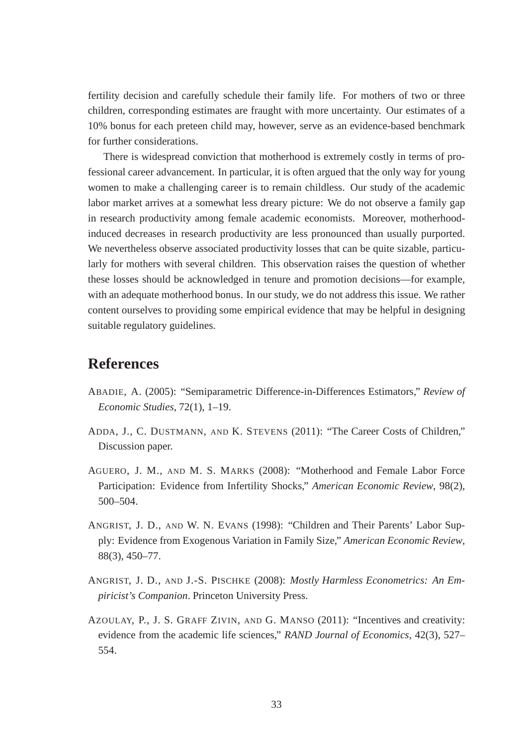fertility decision and carefully schedule their family life. For mothers of two or three children, corresponding estimates are fraught with more uncertainty. Our estimates of a 10% bonus for each preteen child may, however, serve as an evidence-based benchmark for further considerations.

There is widespread conviction that motherhood is extremely costly in terms of professional career advancement. In particular, it is often argued that the only way for young women to make a challenging career is to remain childless. Our study of the academic labor market arrives at a somewhat less dreary picture: We do not observe a family gap in research productivity among female academic economists. Moreover, motherhoodinduced decreases in research productivity are less pronounced than usually purported. We nevertheless observe associated productivity losses that can be quite sizable, particularly for mothers with several children. This observation raises the question of whether these losses should be acknowledged in tenure and promotion decisions—for example, with an adequate motherhood bonus. In our study, we do not address this issue. We rather content ourselves to providing some empirical evidence that may be helpful in designing suitable regulatory guidelines.

## **References**

- ABADIE, A. (2005): "Semiparametric Difference-in-Differences Estimators," *Review of Economic Studies*, 72(1), 1–19.
- ADDA, J., C. DUSTMANN, AND K. STEVENS (2011): "The Career Costs of Children," Discussion paper.
- AGUERO, J. M., AND M. S. MARKS (2008): "Motherhood and Female Labor Force Participation: Evidence from Infertility Shocks," *American Economic Review*, 98(2), 500–504.
- ANGRIST, J. D., AND W. N. EVANS (1998): "Children and Their Parents' Labor Supply: Evidence from Exogenous Variation in Family Size," *American Economic Review*, 88(3), 450–77.
- ANGRIST, J. D., AND J.-S. PISCHKE (2008): *Mostly Harmless Econometrics: An Empiricist's Companion*. Princeton University Press.
- AZOULAY, P., J. S. GRAFF ZIVIN, AND G. MANSO (2011): "Incentives and creativity: evidence from the academic life sciences," *RAND Journal of Economics*, 42(3), 527– 554.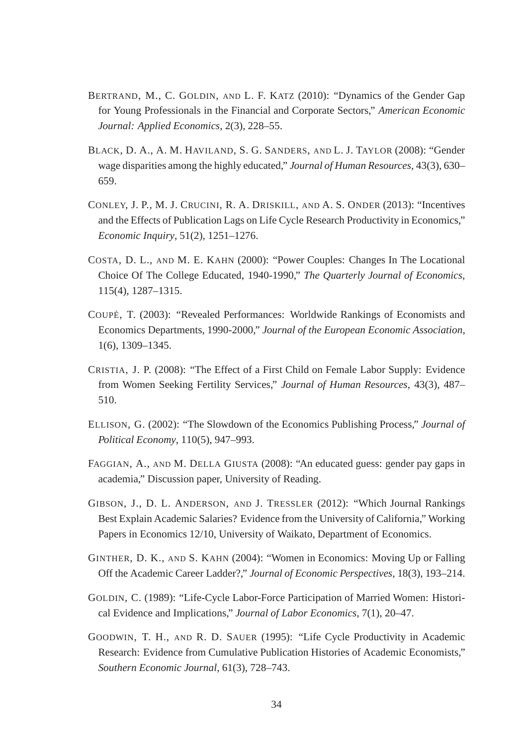- BERTRAND, M., C. GOLDIN, AND L. F. KATZ (2010): "Dynamics of the Gender Gap for Young Professionals in the Financial and Corporate Sectors," *American Economic Journal: Applied Economics*, 2(3), 228–55.
- BLACK, D. A., A. M. HAVILAND, S. G. SANDERS, AND L. J. TAYLOR (2008): "Gender wage disparities among the highly educated," *Journal of Human Resources*, 43(3), 630– 659.
- CONLEY, J. P., M. J. CRUCINI, R. A. DRISKILL, AND A. S. ONDER (2013): "Incentives and the Effects of Publication Lags on Life Cycle Research Productivity in Economics," *Economic Inquiry*, 51(2), 1251–1276.
- COSTA, D. L., AND M. E. KAHN (2000): "Power Couples: Changes In The Locational Choice Of The College Educated, 1940-1990," *The Quarterly Journal of Economics*, 115(4), 1287–1315.
- COUPÉ, T. (2003): "Revealed Performances: Worldwide Rankings of Economists and Economics Departments, 1990-2000," *Journal of the European Economic Association*, 1(6), 1309–1345.
- CRISTIA, J. P. (2008): "The Effect of a First Child on Female Labor Supply: Evidence from Women Seeking Fertility Services," *Journal of Human Resources*, 43(3), 487– 510.
- ELLISON, G. (2002): "The Slowdown of the Economics Publishing Process," *Journal of Political Economy*, 110(5), 947–993.
- FAGGIAN, A., AND M. DELLA GIUSTA (2008): "An educated guess: gender pay gaps in academia," Discussion paper, University of Reading.
- GIBSON, J., D. L. ANDERSON, AND J. TRESSLER (2012): "Which Journal Rankings Best Explain Academic Salaries? Evidence from the University of California," Working Papers in Economics 12/10, University of Waikato, Department of Economics.
- GINTHER, D. K., AND S. KAHN (2004): "Women in Economics: Moving Up or Falling Off the Academic Career Ladder?," *Journal of Economic Perspectives*, 18(3), 193–214.
- GOLDIN, C. (1989): "Life-Cycle Labor-Force Participation of Married Women: Historical Evidence and Implications," *Journal of Labor Economics*, 7(1), 20–47.
- GOODWIN, T. H., AND R. D. SAUER (1995): "Life Cycle Productivity in Academic Research: Evidence from Cumulative Publication Histories of Academic Economists," *Southern Economic Journal*, 61(3), 728–743.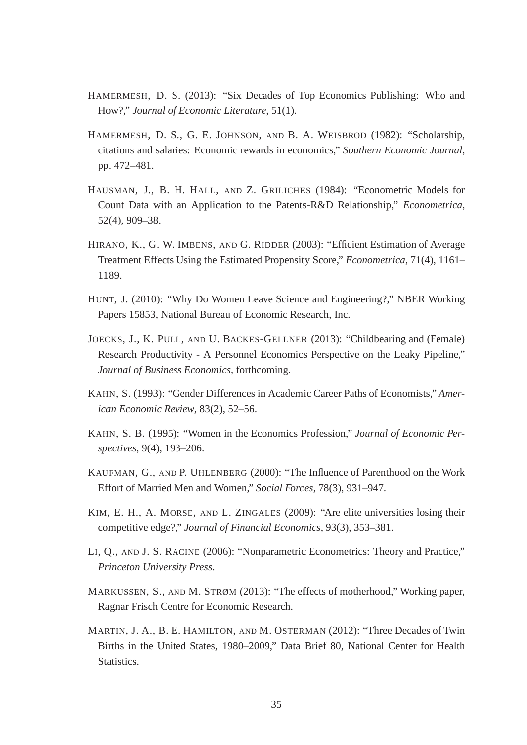- HAMERMESH, D. S. (2013): "Six Decades of Top Economics Publishing: Who and How?," *Journal of Economic Literature*, 51(1).
- HAMERMESH, D. S., G. E. JOHNSON, AND B. A. WEISBROD (1982): "Scholarship, citations and salaries: Economic rewards in economics," *Southern Economic Journal*, pp. 472–481.
- HAUSMAN, J., B. H. HALL, AND Z. GRILICHES (1984): "Econometric Models for Count Data with an Application to the Patents-R&D Relationship," *Econometrica*, 52(4), 909–38.
- HIRANO, K., G. W. IMBENS, AND G. RIDDER (2003): "Efficient Estimation of Average Treatment Effects Using the Estimated Propensity Score," *Econometrica*, 71(4), 1161– 1189.
- HUNT, J. (2010): "Why Do Women Leave Science and Engineering?," NBER Working Papers 15853, National Bureau of Economic Research, Inc.
- JOECKS, J., K. PULL, AND U. BACKES-GELLNER (2013): "Childbearing and (Female) Research Productivity - A Personnel Economics Perspective on the Leaky Pipeline," *Journal of Business Economics*, forthcoming.
- KAHN, S. (1993): "Gender Differences in Academic Career Paths of Economists," *American Economic Review*, 83(2), 52–56.
- KAHN, S. B. (1995): "Women in the Economics Profession," *Journal of Economic Perspectives*, 9(4), 193–206.
- KAUFMAN, G., AND P. UHLENBERG (2000): "The Influence of Parenthood on the Work Effort of Married Men and Women," *Social Forces*, 78(3), 931–947.
- KIM, E. H., A. MORSE, AND L. ZINGALES (2009): "Are elite universities losing their competitive edge?," *Journal of Financial Economics*, 93(3), 353–381.
- LI, Q., AND J. S. RACINE (2006): "Nonparametric Econometrics: Theory and Practice," *Princeton University Press*.
- MARKUSSEN, S., AND M. STRØM (2013): "The effects of motherhood," Working paper, Ragnar Frisch Centre for Economic Research.
- MARTIN, J. A., B. E. HAMILTON, AND M. OSTERMAN (2012): "Three Decades of Twin Births in the United States, 1980–2009," Data Brief 80, National Center for Health Statistics.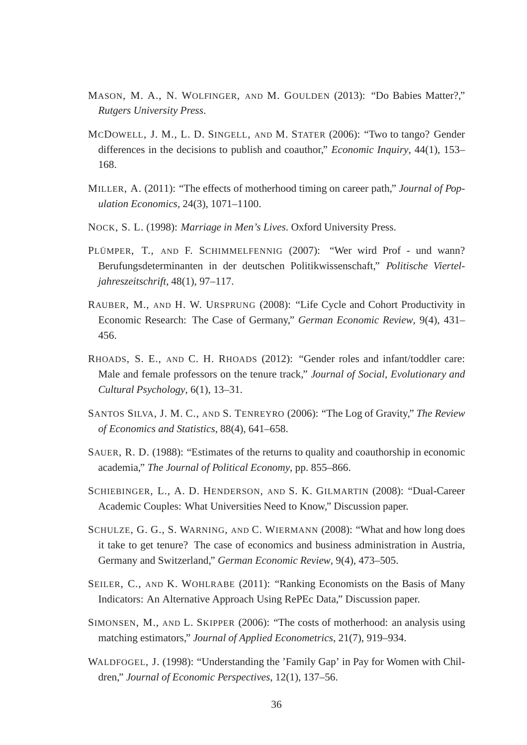- MASON, M. A., N. WOLFINGER, AND M. GOULDEN (2013): "Do Babies Matter?," *Rutgers University Press*.
- MCDOWELL, J. M., L. D. SINGELL, AND M. STATER (2006): "Two to tango? Gender differences in the decisions to publish and coauthor," *Economic Inquiry*, 44(1), 153– 168.
- MILLER, A. (2011): "The effects of motherhood timing on career path," *Journal of Population Economics*, 24(3), 1071–1100.
- NOCK, S. L. (1998): *Marriage in Men's Lives*. Oxford University Press.
- PLÜMPER, T., AND F. SCHIMMELFENNIG (2007): "Wer wird Prof und wann? Berufungsdeterminanten in der deutschen Politikwissenschaft," *Politische Vierteljahreszeitschrift*, 48(1), 97–117.
- RAUBER, M., AND H. W. URSPRUNG (2008): "Life Cycle and Cohort Productivity in Economic Research: The Case of Germany," *German Economic Review*, 9(4), 431– 456.
- RHOADS, S. E., AND C. H. RHOADS (2012): "Gender roles and infant/toddler care: Male and female professors on the tenure track," *Journal of Social, Evolutionary and Cultural Psychology*, 6(1), 13–31.
- SANTOS SILVA, J. M. C., AND S. TENREYRO (2006): "The Log of Gravity," *The Review of Economics and Statistics*, 88(4), 641–658.
- SAUER, R. D. (1988): "Estimates of the returns to quality and coauthorship in economic academia," *The Journal of Political Economy*, pp. 855–866.
- SCHIEBINGER, L., A. D. HENDERSON, AND S. K. GILMARTIN (2008): "Dual-Career Academic Couples: What Universities Need to Know," Discussion paper.
- SCHULZE, G. G., S. WARNING, AND C. WIERMANN (2008): "What and how long does it take to get tenure? The case of economics and business administration in Austria, Germany and Switzerland," *German Economic Review*, 9(4), 473–505.
- SEILER, C., AND K. WOHLRABE (2011): "Ranking Economists on the Basis of Many Indicators: An Alternative Approach Using RePEc Data," Discussion paper.
- SIMONSEN, M., AND L. SKIPPER (2006): "The costs of motherhood: an analysis using matching estimators," *Journal of Applied Econometrics*, 21(7), 919–934.
- WALDFOGEL, J. (1998): "Understanding the 'Family Gap' in Pay for Women with Children," *Journal of Economic Perspectives*, 12(1), 137–56.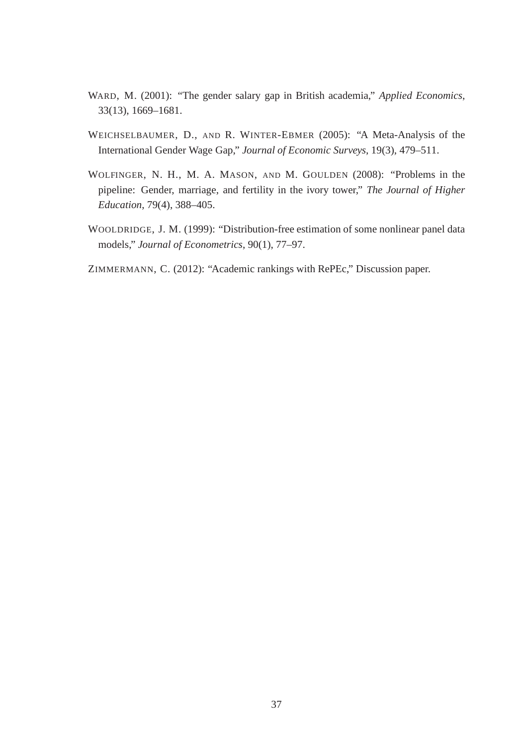- WARD, M. (2001): "The gender salary gap in British academia," *Applied Economics*, 33(13), 1669–1681.
- WEICHSELBAUMER, D., AND R. WINTER-EBMER (2005): "A Meta-Analysis of the International Gender Wage Gap," *Journal of Economic Surveys*, 19(3), 479–511.
- WOLFINGER, N. H., M. A. MASON, AND M. GOULDEN (2008): "Problems in the pipeline: Gender, marriage, and fertility in the ivory tower," *The Journal of Higher Education*, 79(4), 388–405.
- WOOLDRIDGE, J. M. (1999): "Distribution-free estimation of some nonlinear panel data models," *Journal of Econometrics*, 90(1), 77–97.
- ZIMMERMANN, C. (2012): "Academic rankings with RePEc," Discussion paper.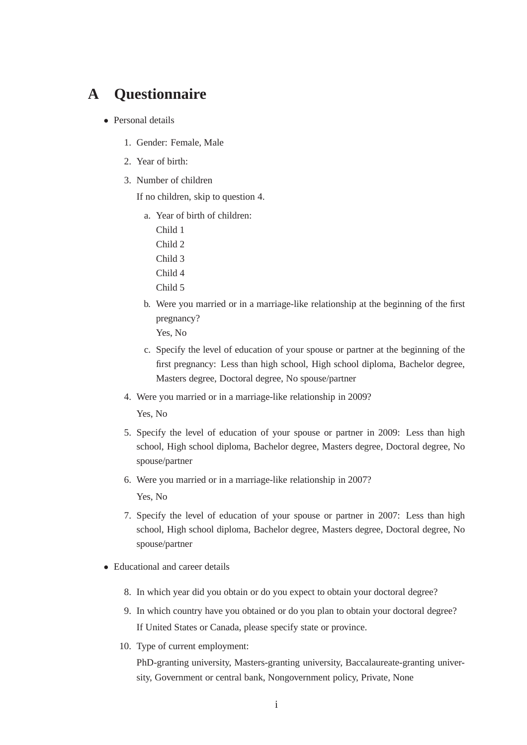# **A Questionnaire**

- Personal details
	- 1. Gender: Female, Male
	- 2. Year of birth:
	- 3. Number of children

If no children, skip to question 4.

- a. Year of birth of children:
	- Child 1 Child 2 Child 3 Child 4
	- Child 5
- b. Were you married or in a marriage-like relationship at the beginning of the first pregnancy? Yes, No
- c. Specify the level of education of your spouse or partner at the beginning of the first pregnancy: Less than high school, High school diploma, Bachelor degree, Masters degree, Doctoral degree, No spouse/partner
- 4. Were you married or in a marriage-like relationship in 2009?

Yes, No

- 5. Specify the level of education of your spouse or partner in 2009: Less than high school, High school diploma, Bachelor degree, Masters degree, Doctoral degree, No spouse/partner
- 6. Were you married or in a marriage-like relationship in 2007? Yes, No
- 7. Specify the level of education of your spouse or partner in 2007: Less than high school, High school diploma, Bachelor degree, Masters degree, Doctoral degree, No spouse/partner
- Educational and career details
	- 8. In which year did you obtain or do you expect to obtain your doctoral degree?
	- 9. In which country have you obtained or do you plan to obtain your doctoral degree? If United States or Canada, please specify state or province.
	- 10. Type of current employment:

PhD-granting university, Masters-granting university, Baccalaureate-granting university, Government or central bank, Nongovernment policy, Private, None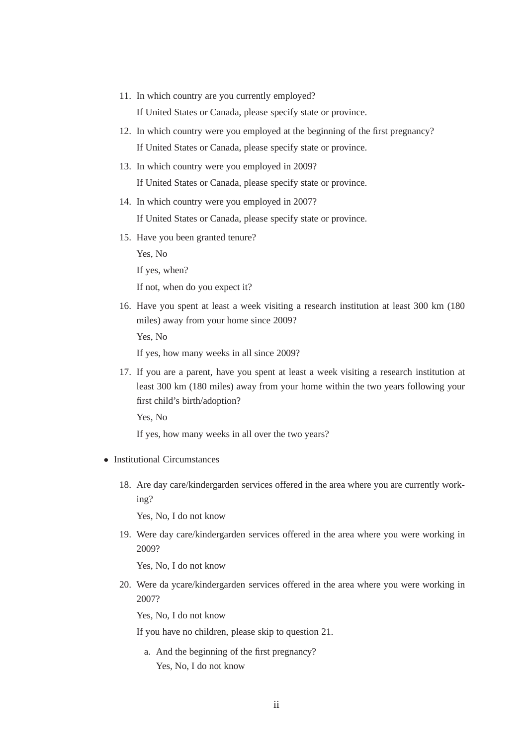11. In which country are you currently employed?

If United States or Canada, please specify state or province.

- 12. In which country were you employed at the beginning of the first pregnancy? If United States or Canada, please specify state or province.
- 13. In which country were you employed in 2009? If United States or Canada, please specify state or province.
- 14. In which country were you employed in 2007?

If United States or Canada, please specify state or province.

15. Have you been granted tenure?

Yes, No

If yes, when?

If not, when do you expect it?

16. Have you spent at least a week visiting a research institution at least 300 km (180 miles) away from your home since 2009?

Yes, No

If yes, how many weeks in all since 2009?

17. If you are a parent, have you spent at least a week visiting a research institution at least 300 km (180 miles) away from your home within the two years following your first child's birth/adoption?

Yes, No

If yes, how many weeks in all over the two years?

- Institutional Circumstances
	- 18. Are day care/kindergarden services offered in the area where you are currently working?

Yes, No, I do not know

19. Were day care/kindergarden services offered in the area where you were working in 2009?

Yes, No, I do not know

20. Were da ycare/kindergarden services offered in the area where you were working in 2007?

Yes, No, I do not know

If you have no children, please skip to question 21.

a. And the beginning of the first pregnancy? Yes, No, I do not know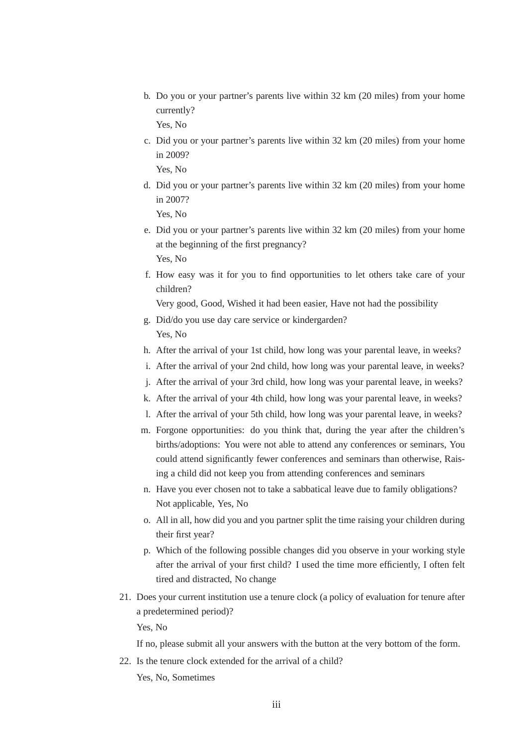- b. Do you or your partner's parents live within 32 km (20 miles) from your home currently? Yes, No
- c. Did you or your partner's parents live within 32 km (20 miles) from your home in 2009?

Yes, No

- d. Did you or your partner's parents live within 32 km (20 miles) from your home in 2007? Yes, No
- e. Did you or your partner's parents live within 32 km (20 miles) from your home at the beginning of the first pregnancy? Yes, No
- f. How easy was it for you to find opportunities to let others take care of your children?

Very good, Good, Wished it had been easier, Have not had the possibility

- g. Did/do you use day care service or kindergarden? Yes, No
- h. After the arrival of your 1st child, how long was your parental leave, in weeks?
- i. After the arrival of your 2nd child, how long was your parental leave, in weeks?
- j. After the arrival of your 3rd child, how long was your parental leave, in weeks?
- k. After the arrival of your 4th child, how long was your parental leave, in weeks?
- l. After the arrival of your 5th child, how long was your parental leave, in weeks?
- m. Forgone opportunities: do you think that, during the year after the children's births/adoptions: You were not able to attend any conferences or seminars, You could attend significantly fewer conferences and seminars than otherwise, Raising a child did not keep you from attending conferences and seminars
- n. Have you ever chosen not to take a sabbatical leave due to family obligations? Not applicable, Yes, No
- o. All in all, how did you and you partner split the time raising your children during their first year?
- p. Which of the following possible changes did you observe in your working style after the arrival of your first child? I used the time more efficiently, I often felt tired and distracted, No change
- 21. Does your current institution use a tenure clock (a policy of evaluation for tenure after a predetermined period)?

Yes, No

If no, please submit all your answers with the button at the very bottom of the form.

22. Is the tenure clock extended for the arrival of a child? Yes, No, Sometimes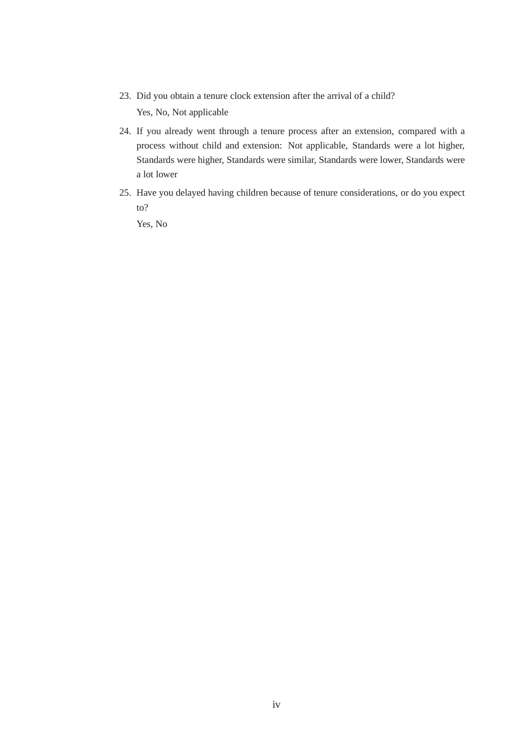- 23. Did you obtain a tenure clock extension after the arrival of a child? Yes, No, Not applicable
- 24. If you already went through a tenure process after an extension, compared with a process without child and extension: Not applicable, Standards were a lot higher, Standards were higher, Standards were similar, Standards were lower, Standards were a lot lower
- 25. Have you delayed having children because of tenure considerations, or do you expect to?

Yes, No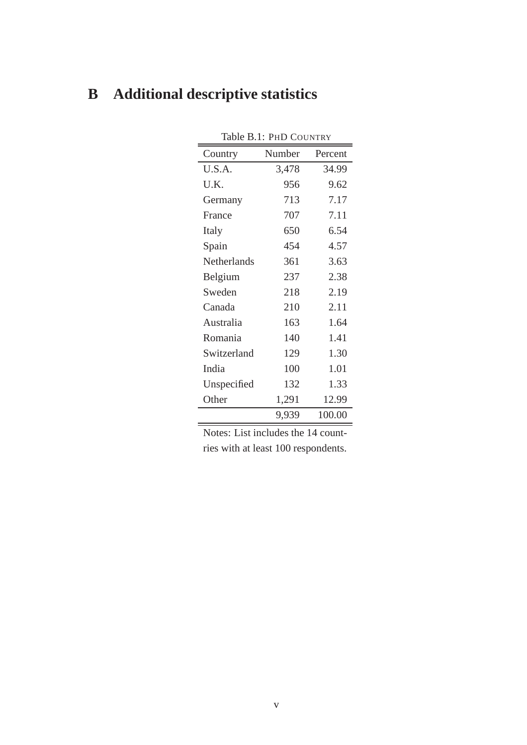| Table B.1: PHD COUNTRY |        |         |  |  |  |  |  |  |
|------------------------|--------|---------|--|--|--|--|--|--|
| Country                | Number | Percent |  |  |  |  |  |  |
| U.S.A.                 | 3,478  | 34.99   |  |  |  |  |  |  |
| U.K.                   | 956    | 9.62    |  |  |  |  |  |  |
| Germany                | 713    | 7.17    |  |  |  |  |  |  |
| France                 | 707    | 7.11    |  |  |  |  |  |  |
| Italy                  | 650    | 6.54    |  |  |  |  |  |  |
| Spain                  | 454    | 4.57    |  |  |  |  |  |  |
| Netherlands            | 361    | 3.63    |  |  |  |  |  |  |
| Belgium                | 237    | 2.38    |  |  |  |  |  |  |
| Sweden                 | 218    | 2.19    |  |  |  |  |  |  |
| Canada                 | 210    | 2.11    |  |  |  |  |  |  |
| Australia              | 163    | 1.64    |  |  |  |  |  |  |
| Romania                | 140    | 1.41    |  |  |  |  |  |  |
| Switzerland            | 129    | 1.30    |  |  |  |  |  |  |
| India                  | 100    | 1.01    |  |  |  |  |  |  |
| Unspecified            | 132    | 1.33    |  |  |  |  |  |  |
| Other                  | 1,291  | 12.99   |  |  |  |  |  |  |
|                        | 9,939  | 100.00  |  |  |  |  |  |  |

# **B Additional descriptive statistics**

Notes: List includes the 14 countries with at least 100 respondents.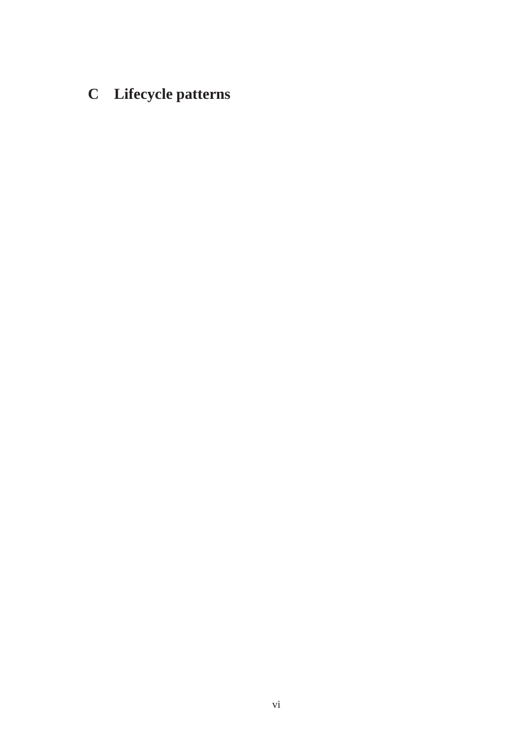# **C Lifecycle patterns**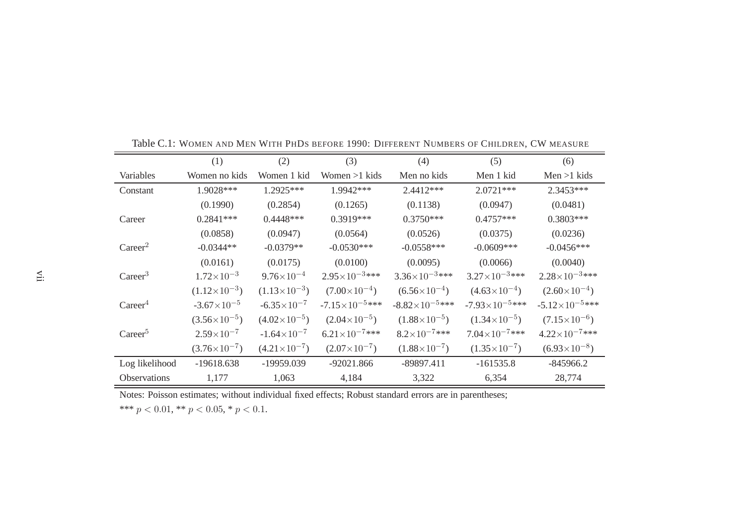|                     | (1)                   | (2)                    | (3)                       | (4)                     | (5)                       | (6)                      |
|---------------------|-----------------------|------------------------|---------------------------|-------------------------|---------------------------|--------------------------|
| Variables           | Women no kids         | Women 1 kid            | Women $>1$ kids           | Men no kids             | Men 1 kid                 | $Men > 1$ kids           |
| Constant            | 1.9028***             | 1.2925***              | 1.9942***                 | $2.4412***$             | $2.0721***$               | 2.3453***                |
|                     | (0.1990)              | (0.2854)               | (0.1265)                  | (0.1138)                | (0.0947)                  | (0.0481)                 |
| Career              | $0.2841***$           | $0.4448***$            | $0.3919***$               | $0.3750***$             | $0.4757***$               | $0.3803***$              |
|                     | (0.0858)              | (0.0947)               | (0.0564)                  | (0.0526)                | (0.0375)                  | (0.0236)                 |
| Career <sup>2</sup> | $-0.0344**$           | $-0.0379**$            | $-0.0530***$              | $-0.0558***$            | $-0.0609***$              | $-0.0456***$             |
|                     | (0.0161)              | (0.0175)               | (0.0100)                  | (0.0095)                | (0.0066)                  | (0.0040)                 |
| Career <sup>3</sup> | $1.72\times10^{-3}$   | $9.76\times10^{-4}$    | $2.95\times10^{-3***}$    | $3.36\times10^{-3***}$  | $3.27\times10^{-3***}$    | $2.28 \times 10^{-3***}$ |
|                     | $(1.12\times10^{-3})$ | $(1.13\times10^{-3})$  | $(7.00\times10^{-4})$     | $(6.56\times10^{-4})$   | $(4.63\times10^{-4})$     | $(2.60\times10^{-4})$    |
| Career <sup>4</sup> | $-3.67\times10^{-5}$  | $-6.35 \times 10^{-7}$ | $-7.15 \times 10^{-5***}$ | $-8.82\times10^{-5***}$ | $-7.93 \times 10^{-5***}$ | $-5.12\times10^{-5***}$  |
|                     | $(3.56\times10^{-5})$ | $(4.02\times10^{-5})$  | $(2.04\times10^{-5})$     | $(1.88\times10^{-5})$   | $(1.34\times10^{-5})$     | $(7.15\times10^{-6})$    |
| Career <sup>5</sup> | $2.59\times10^{-7}$   | $-1.64\times10^{-7}$   | $6.21\times10^{-7***}$    | $8.2 \times 10^{-7***}$ | $7.04\times10^{-7***}$    | $4.22 \times 10^{-7***}$ |
|                     | $(3.76\times10^{-7})$ | $(4.21\times10^{-7})$  | $(2.07\times10^{-7})$     | $(1.88\times10^{-7})$   | $(1.35\times10^{-7})$     | $(6.93\times10^{-8})$    |
| Log likelihood      | $-19618.638$          | -19959.039             | $-92021.866$              | $-89897.411$            | $-161535.8$               | $-845966.2$              |
| <b>Observations</b> | 1,177                 | 1,063                  | 4,184                     | 3,322                   | 6,354                     | 28,774                   |

Table C.1: <sup>W</sup>OMEN AND <sup>M</sup>EN <sup>W</sup>ITH <sup>P</sup>HD<sup>S</sup> BEFORE 1990: <sup>D</sup>IFFERENT <sup>N</sup>UMBERS OF <sup>C</sup>HILDREN, CW MEASURE

\*\*\*  $p < 0.01$ , \*\*  $p < 0.05$ , \*  $p < 0.1$ .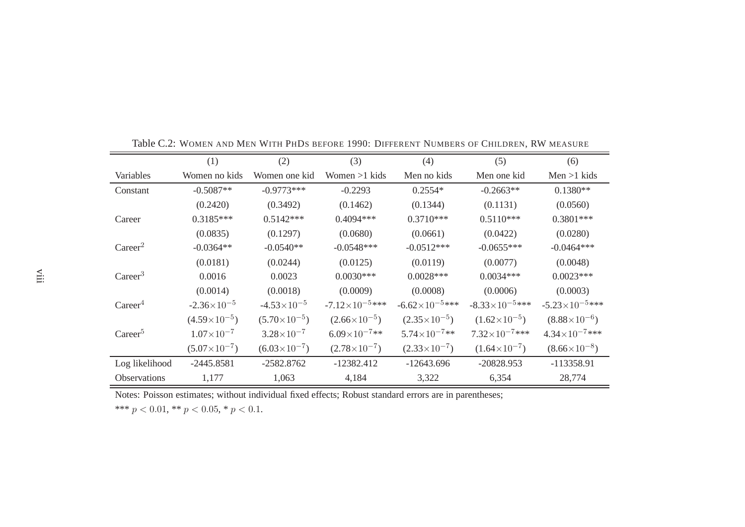|                     | (1)                    | (2)                   | (3)                     | (4)                     | (5)                     | (6)                     |
|---------------------|------------------------|-----------------------|-------------------------|-------------------------|-------------------------|-------------------------|
| Variables           | Women no kids          | Women one kid         | Women $>1$ kids         | Men no kids             | Men one kid             | $Men > 1$ kids          |
| Constant            | $-0.5087**$            | $-0.9773***$          | $-0.2293$               | $0.2554*$               | $-0.2663**$             | $0.1380**$              |
|                     | (0.2420)               | (0.3492)              | (0.1462)                | (0.1344)                | (0.1131)                | (0.0560)                |
| Career              | $0.3185***$            | $0.5142***$           | $0.4094***$             | $0.3710***$             | $0.5110***$             | $0.3801***$             |
|                     | (0.0835)               | (0.1297)              | (0.0680)                | (0.0661)                | (0.0422)                | (0.0280)                |
| Career <sup>2</sup> | $-0.0364**$            | $-0.0540**$           | $-0.0548***$            | $-0.0512***$            | $-0.0655***$            | $-0.0464***$            |
|                     | (0.0181)               | (0.0244)              | (0.0125)                | (0.0119)                | (0.0077)                | (0.0048)                |
| Career <sup>3</sup> | 0.0016                 | 0.0023                | $0.0030***$             | $0.0028***$             | $0.0034***$             | $0.0023***$             |
|                     | (0.0014)               | (0.0018)              | (0.0009)                | (0.0008)                | (0.0006)                | (0.0003)                |
| Career <sup>4</sup> | $-2.36 \times 10^{-5}$ | $-4.53\times10^{-5}$  | $-7.12\times10^{-5***}$ | $-6.62\times10^{-5***}$ | $-8.33\times10^{-5***}$ | $-5.23\times10^{-5***}$ |
|                     | $(4.59\times10^{-5})$  | $(5.70\times10^{-5})$ | $(2.66\times10^{-5})$   | $(2.35\times10^{-5})$   | $(1.62\times10^{-5})$   | $(8.88\times10^{-6})$   |
| Career <sup>5</sup> | $1.07\times10^{-7}$    | $3.28 \times 10^{-7}$ | $6.09\times10^{-7**}$   | $5.74\times10^{-7**}$   | $7.32\times10^{-7***}$  | $4.34\times10^{-7***}$  |
|                     | $(5.07\times10^{-7})$  | $(6.03\times10^{-7})$ | $(2.78\times10^{-7})$   | $(2.33\times10^{-7})$   | $(1.64\times10^{-7})$   | $(8.66\times10^{-8})$   |
| Log likelihood      | $-2445.8581$           | $-2582.8762$          | $-12382.412$            | $-12643.696$            | $-20828.953$            | -113358.91              |
| <b>Observations</b> | 1,177                  | 1,063                 | 4,184                   | 3,322                   | 6,354                   | 28,774                  |

Table C.2: <sup>W</sup>OMEN AND <sup>M</sup>EN <sup>W</sup>ITH <sup>P</sup>HD<sup>S</sup> BEFORE 1990: <sup>D</sup>IFFERENT <sup>N</sup>UMBERS OF <sup>C</sup>HILDREN, RW MEASURE

\*\*\*  $p < 0.01$ , \*\*  $p < 0.05$ , \*  $p < 0.1$ .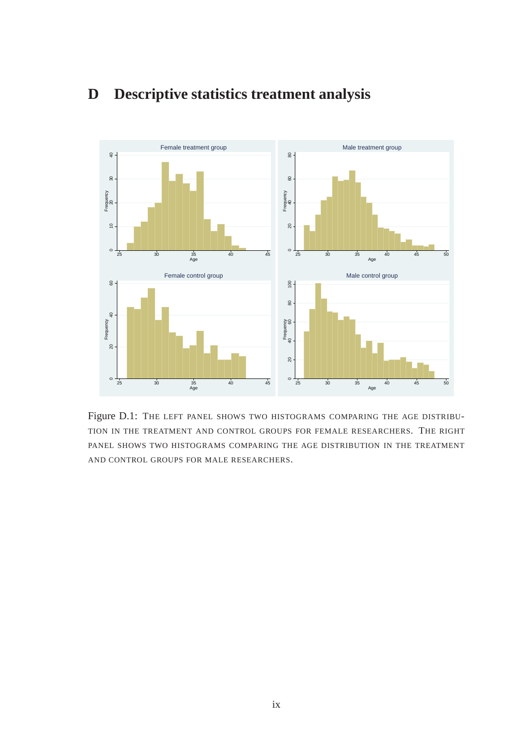

# **D Descriptive statistics treatment analysis**

Figure D.1: THE LEFT PANEL SHOWS TWO HISTOGRAMS COMPARING THE AGE DISTRIBU-TION IN THE TREATMENT AND CONTROL GROUPS FOR FEMALE RESEARCHERS. THE RIGHT PANEL SHOWS TWO HISTOGRAMS COMPARING THE AGE DISTRIBUTION IN THE TREATMENT AND CONTROL GROUPS FOR MALE RESEARCHERS.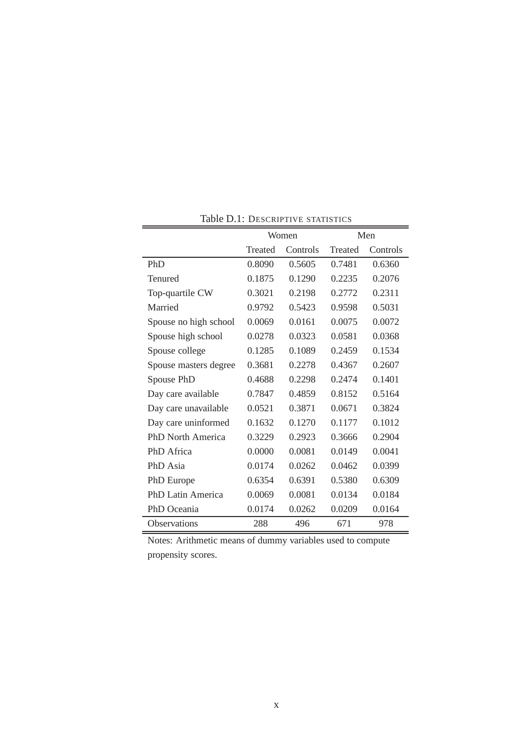|                          |         | Women    |                | Men      |
|--------------------------|---------|----------|----------------|----------|
|                          | Treated | Controls | <b>Treated</b> | Controls |
| PhD                      | 0.8090  | 0.5605   | 0.7481         | 0.6360   |
| Tenured                  | 0.1875  | 0.1290   | 0.2235         | 0.2076   |
| Top-quartile CW          | 0.3021  | 0.2198   | 0.2772         | 0.2311   |
| Married                  | 0.9792  | 0.5423   | 0.9598         | 0.5031   |
| Spouse no high school    | 0.0069  | 0.0161   | 0.0075         | 0.0072   |
| Spouse high school       | 0.0278  | 0.0323   | 0.0581         | 0.0368   |
| Spouse college           | 0.1285  | 0.1089   | 0.2459         | 0.1534   |
| Spouse masters degree    | 0.3681  | 0.2278   | 0.4367         | 0.2607   |
| Spouse PhD               | 0.4688  | 0.2298   | 0.2474         | 0.1401   |
| Day care available       | 0.7847  | 0.4859   | 0.8152         | 0.5164   |
| Day care unavailable     | 0.0521  | 0.3871   | 0.0671         | 0.3824   |
| Day care uninformed      | 0.1632  | 0.1270   | 0.1177         | 0.1012   |
| <b>PhD North America</b> | 0.3229  | 0.2923   | 0.3666         | 0.2904   |
| PhD Africa               | 0.0000  | 0.0081   | 0.0149         | 0.0041   |
| PhD Asia                 | 0.0174  | 0.0262   | 0.0462         | 0.0399   |
| PhD Europe               | 0.6354  | 0.6391   | 0.5380         | 0.6309   |
| <b>PhD Latin America</b> | 0.0069  | 0.0081   | 0.0134         | 0.0184   |
| PhD Oceania              | 0.0174  | 0.0262   | 0.0209         | 0.0164   |
| <b>Observations</b>      | 288     | 496      | 671            | 978      |

Table D.1: DESCRIPTIVE STATISTICS

Notes: Arithmetic means of dummy variables used to compute propensity scores.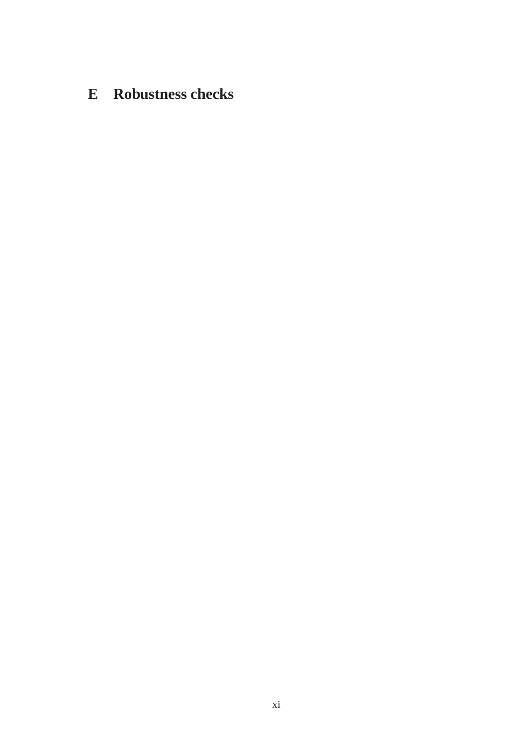# **E Robustness checks**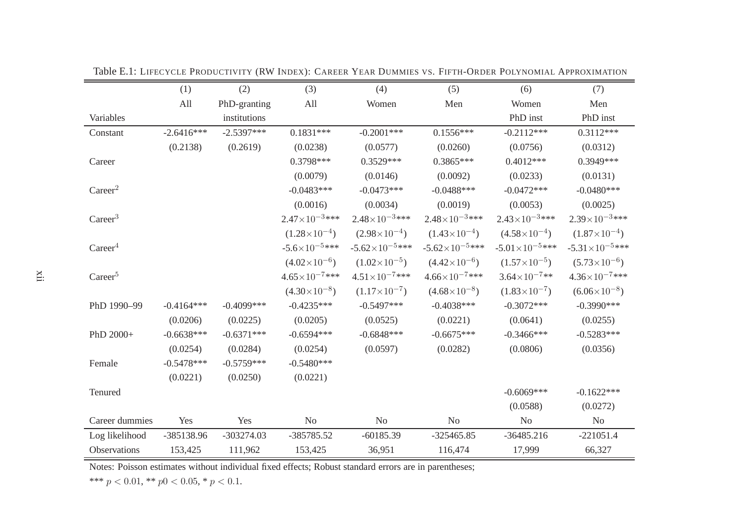|                     | (1)          | (2)          | (3)                      | (4)                      | (5)                      | (6)                     | (7)                     |
|---------------------|--------------|--------------|--------------------------|--------------------------|--------------------------|-------------------------|-------------------------|
|                     | All          | PhD-granting | All                      | Women                    | Men                      | Women                   | Men                     |
| Variables           |              | institutions |                          |                          |                          | PhD inst                | PhD inst                |
| Constant            | $-2.6416***$ | $-2.5397***$ | $0.1831***$              | $-0.2001***$             | $0.1556***$              | $-0.2112***$            | $0.3112***$             |
|                     | (0.2138)     | (0.2619)     | (0.0238)                 | (0.0577)                 | (0.0260)                 | (0.0756)                | (0.0312)                |
| Career              |              |              | 0.3798***                | $0.3529***$              | $0.3865***$              | $0.4012***$             | 0.3949***               |
|                     |              |              | (0.0079)                 | (0.0146)                 | (0.0092)                 | (0.0233)                | (0.0131)                |
| Career <sup>2</sup> |              |              | $-0.0483***$             | $-0.0473***$             | $-0.0488***$             | $-0.0472***$            | $-0.0480***$            |
|                     |              |              | (0.0016)                 | (0.0034)                 | (0.0019)                 | (0.0053)                | (0.0025)                |
| Career <sup>3</sup> |              |              | $2.47\times10^{-3***}$   | $2.48 \times 10^{-3***}$ | $2.48\times10^{-3***}$   | $2.43\times10^{-3***}$  | $2.39\times10^{-3***}$  |
|                     |              |              | $(1.28\times10^{-4})$    | $(2.98\times10^{-4})$    | $(1.43\times10^{-4})$    | $(4.58\times10^{-4})$   | $(1.87\times10^{-4})$   |
| Career <sup>4</sup> |              |              | $-5.6 \times 10^{-5***}$ | $-5.62\times10^{-5***}$  | $-5.62\times10^{-5***}$  | $-5.01\times10^{-5***}$ | $-5.31\times10^{-5***}$ |
|                     |              |              | $(4.02\times10^{-6})$    | $(1.02\times10^{-5})$    | $(4.42\times10^{-6})$    | $(1.57\times10^{-5})$   | $(5.73\times10^{-6})$   |
| Career <sup>5</sup> |              |              | $4.65 \times 10^{-7***}$ | $4.51 \times 10^{-7***}$ | $4.66 \times 10^{-7***}$ | $3.64\times10^{-7**}$   | $4.36\times10^{-7***}$  |
|                     |              |              | $(4.30\times10^{-8})$    | $(1.17\times10^{-7})$    | $(4.68\times10^{-8})$    | $(1.83\times10^{-7})$   | $(6.06\times10^{-8})$   |
| PhD 1990-99         | $-0.4164***$ | $-0.4099***$ | $-0.4235***$             | $-0.5497***$             | $-0.4038***$             | $-0.3072***$            | $-0.3990$ ***           |
|                     | (0.0206)     | (0.0225)     | (0.0205)                 | (0.0525)                 | (0.0221)                 | (0.0641)                | (0.0255)                |
| PhD 2000+           | $-0.6638***$ | $-0.6371***$ | $-0.6594***$             | $-0.6848***$             | $-0.6675***$             | $-0.3466$ ***           | $-0.5283***$            |
|                     | (0.0254)     | (0.0284)     | (0.0254)                 | (0.0597)                 | (0.0282)                 | (0.0806)                | (0.0356)                |
| Female              | $-0.5478***$ | $-0.5759***$ | $-0.5480***$             |                          |                          |                         |                         |
|                     | (0.0221)     | (0.0250)     | (0.0221)                 |                          |                          |                         |                         |
| Tenured             |              |              |                          |                          |                          | $-0.6069***$            | $-0.1622***$            |
|                     |              |              |                          |                          |                          | (0.0588)                | (0.0272)                |
| Career dummies      | Yes          | Yes          | N <sub>o</sub>           | No                       | N <sub>o</sub>           | No                      | N <sub>o</sub>          |
| Log likelihood      | -385138.96   | $-303274.03$ | -385785.52               | $-60185.39$              | $-325465.85$             | $-36485.216$            | $-221051.4$             |
| Observations        | 153,425      | 111,962      | 153,425                  | 36,951                   | 116,474                  | 17,999                  | 66,327                  |

Table E.1: <sup>L</sup>IFECYCLE <sup>P</sup>RODUCTIVITY (RW <sup>I</sup>NDEX): <sup>C</sup>AREER <sup>Y</sup>EAR <sup>D</sup>UMMIES VS. <sup>F</sup>IFTH-ORDER <sup>P</sup>OLYNOMIAL <sup>A</sup>PPROXIMATION

\*\*\*  $p < 0.01$ , \*\*  $p0 < 0.05$ , \*  $p < 0.1$ .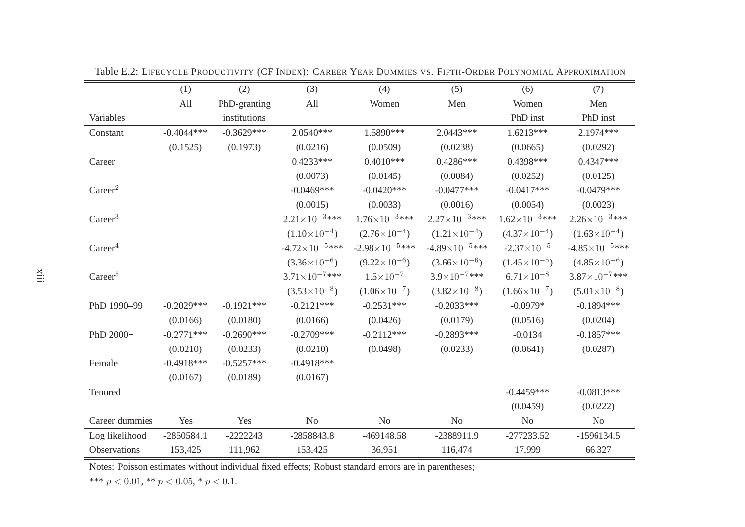|                     | (1)          | (2)          | (3)                      | (4)                     | (5)                      | (6)                    | (7)                      |
|---------------------|--------------|--------------|--------------------------|-------------------------|--------------------------|------------------------|--------------------------|
|                     | All          | PhD-granting | All                      | Women                   | Men                      | Women                  | Men                      |
| Variables           |              | institutions |                          |                         |                          | PhD inst               | PhD inst                 |
| Constant            | $-0.4044***$ | $-0.3629***$ | 2.0540***                | 1.5890***               | $2.0443***$              | $1.6213***$            | 2.1974 ***               |
|                     | (0.1525)     | (0.1973)     | (0.0216)                 | (0.0509)                | (0.0238)                 | (0.0665)               | (0.0292)                 |
| Career              |              |              | $0.4233***$              | $0.4010***$             | $0.4286***$              | 0.4398***              | $0.4347***$              |
|                     |              |              | (0.0073)                 | (0.0145)                | (0.0084)                 | (0.0252)               | (0.0125)                 |
| Career <sup>2</sup> |              |              | $-0.0469***$             | $-0.0420***$            | $-0.0477***$             | $-0.0417***$           | $-0.0479***$             |
|                     |              |              | (0.0015)                 | (0.0033)                | (0.0016)                 | (0.0054)               | (0.0023)                 |
| Career <sup>3</sup> |              |              | $2.21 \times 10^{-3***}$ | $1.76\times10^{-3***}$  | $2.27 \times 10^{-3***}$ | $1.62\times10^{-3***}$ | $2.26 \times 10^{-3***}$ |
|                     |              |              | $(1.10\times10^{-4})$    | $(2.76\times10^{-4})$   | $(1.21 \times 10^{-4})$  | $(4.37\times10^{-4})$  | $(1.63\times10^{-4})$    |
| Career <sup>4</sup> |              |              | $-4.72\times10^{-5***}$  | $-2.98\times10^{-5***}$ | $-4.89\times10^{-5***}$  | $-2.37\times10^{-5}$   | $-4.85\times10^{-5***}$  |
|                     |              |              | $(3.36\times10^{-6})$    | $(9.22\times10^{-6})$   | $(3.66\times10^{-6})$    | $(1.45\times10^{-5})$  | $(4.85\times10^{-6})$    |
| Career <sup>5</sup> |              |              | $3.71 \times 10^{-7***}$ | $1.5 \times 10^{-7}$    | $3.9\times10^{-7***}$    | $6.71\times10^{-8}$    | $3.87\times10^{-7***}$   |
|                     |              |              | $(3.53\times10^{-8})$    | $(1.06\times10^{-7})$   | $(3.82\times10^{-8})$    | $(1.66\times10^{-7})$  | $(5.01\times10^{-8})$    |
| PhD 1990-99         | $-0.2029***$ | $-0.1921***$ | $-0.2121***$             | $-0.2531***$            | $-0.2033***$             | $-0.0979*$             | $-0.1894***$             |
|                     | (0.0166)     | (0.0180)     | (0.0166)                 | (0.0426)                | (0.0179)                 | (0.0516)               | (0.0204)                 |
| PhD 2000+           | $-0.2771***$ | $-0.2690***$ | $-0.2709***$             | $-0.2112***$            | $-0.2893***$             | $-0.0134$              | $-0.1857***$             |
|                     | (0.0210)     | (0.0233)     | (0.0210)                 | (0.0498)                | (0.0233)                 | (0.0641)               | (0.0287)                 |
| Female              | $-0.4918***$ | $-0.5257***$ | $-0.4918***$             |                         |                          |                        |                          |
|                     | (0.0167)     | (0.0189)     | (0.0167)                 |                         |                          |                        |                          |
| Tenured             |              |              |                          |                         |                          | $-0.4459***$           | $-0.0813***$             |
|                     |              |              |                          |                         |                          | (0.0459)               | (0.0222)                 |
| Career dummies      | Yes          | Yes          | No                       | No                      | N <sub>o</sub>           | N <sub>o</sub>         | N <sub>0</sub>           |
| Log likelihood      | $-2850584.1$ | $-2222243$   | -2858843.8               | -469148.58              | -2388911.9               | $-277233.52$           | $-1596134.5$             |
| Observations        | 153,425      | 111,962      | 153,425                  | 36,951                  | 116,474                  | 17,999                 | 66,327                   |

Table E.2: <sup>L</sup>IFECYCLE <sup>P</sup>RODUCTIVITY (CF <sup>I</sup>NDEX): <sup>C</sup>AREER <sup>Y</sup>EAR <sup>D</sup>UMMIES VS. <sup>F</sup>IFTH-ORDER <sup>P</sup>OLYNOMIAL <sup>A</sup>PPROXIMATION

\*\*\*  $p < 0.01$ , \*\*  $p < 0.05$ , \*  $p < 0.1$ .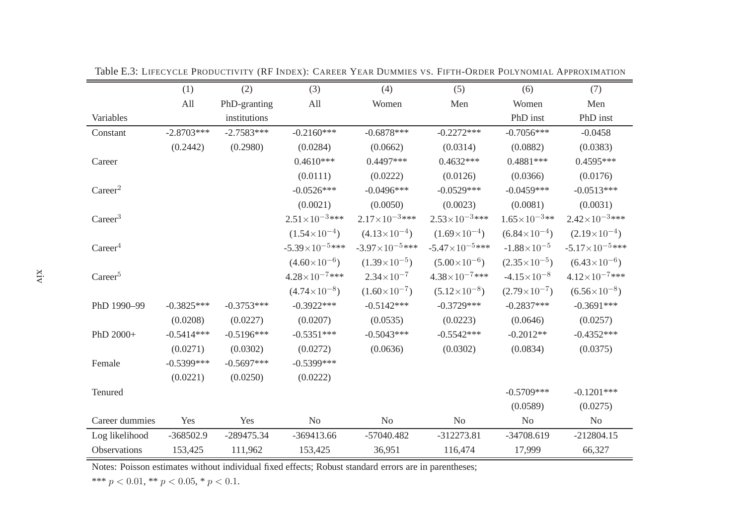|                     | (1)          | (2)          | (3)                      | (4)                     | (5)                      | (6)                    | (7)                     |
|---------------------|--------------|--------------|--------------------------|-------------------------|--------------------------|------------------------|-------------------------|
|                     | All          | PhD-granting | All                      | Women                   | Men                      | Women                  | Men                     |
| Variables           |              | institutions |                          |                         |                          | PhD inst               | PhD inst                |
| Constant            | $-2.8703***$ | $-2.7583***$ | $-0.2160***$             | $-0.6878***$            | $-0.2272***$             | $-0.7056***$           | $-0.0458$               |
|                     | (0.2442)     | (0.2980)     | (0.0284)                 | (0.0662)                | (0.0314)                 | (0.0882)               | (0.0383)                |
| Career              |              |              | $0.4610***$              | 0.4497***               | $0.4632***$              | $0.4881***$            | $0.4595***$             |
|                     |              |              | (0.0111)                 | (0.0222)                | (0.0126)                 | (0.0366)               | (0.0176)                |
| Career <sup>2</sup> |              |              | $-0.0526***$             | $-0.0496***$            | $-0.0529***$             | $-0.0459***$           | $-0.0513***$            |
|                     |              |              | (0.0021)                 | (0.0050)                | (0.0023)                 | (0.0081)               | (0.0031)                |
| Career <sup>3</sup> |              |              | $2.51\times10^{-3***}$   | $2.17\times10^{-3***}$  | $2.53 \times 10^{-3***}$ | $1.65\times10^{-3**}$  | $2.42\times10^{-3***}$  |
|                     |              |              | $(1.54\times10^{-4})$    | $(4.13\times10^{-4})$   | $(1.69\times10^{-4})$    | $(6.84\times10^{-4})$  | $(2.19\times10^{-4})$   |
| Career <sup>4</sup> |              |              | $-5.39\times10^{-5***}$  | $-3.97\times10^{-5***}$ | $-5.47\times10^{-5***}$  | $-1.88 \times 10^{-5}$ | $-5.17\times10^{-5***}$ |
|                     |              |              | $(4.60\times10^{-6})$    | $(1.39\times10^{-5})$   | $(5.00\times10^{-6})$    | $(2.35\times10^{-5})$  | $(6.43\times10^{-6})$   |
| Career <sup>5</sup> |              |              | $4.28 \times 10^{-7***}$ | $2.34\times10^{-7}$     | $4.38\times10^{-7***}$   | $-4.15 \times 10^{-8}$ | $4.12\times10^{-7***}$  |
|                     |              |              | $(4.74\times10^{-8})$    | $(1.60\times10^{-7})$   | $(5.12\times10^{-8})$    | $(2.79\times10^{-7})$  | $(6.56\times10^{-8})$   |
| PhD 1990-99         | $-0.3825***$ | $-0.3753***$ | $-0.3922***$             | $-0.5142***$            | $-0.3729***$             | $-0.2837***$           | $-0.3691***$            |
|                     | (0.0208)     | (0.0227)     | (0.0207)                 | (0.0535)                | (0.0223)                 | (0.0646)               | (0.0257)                |
| PhD 2000+           | $-0.5414***$ | $-0.5196***$ | $-0.5351***$             | $-0.5043***$            | $-0.5542***$             | $-0.2012**$            | $-0.4352***$            |
|                     | (0.0271)     | (0.0302)     | (0.0272)                 | (0.0636)                | (0.0302)                 | (0.0834)               | (0.0375)                |
| Female              | $-0.5399***$ | $-0.5697***$ | $-0.5399***$             |                         |                          |                        |                         |
|                     | (0.0221)     | (0.0250)     | (0.0222)                 |                         |                          |                        |                         |
| Tenured             |              |              |                          |                         |                          | $-0.5709***$           | $-0.1201***$            |
|                     |              |              |                          |                         |                          | (0.0589)               | (0.0275)                |
| Career dummies      | Yes          | Yes          | No                       | No                      | No                       | No                     | No                      |
| Log likelihood      | $-368502.9$  | $-289475.34$ | -369413.66               | -57040.482              | $-312273.81$             | $-34708.619$           | $-212804.15$            |
| Observations        | 153,425      | 111,962      | 153,425                  | 36,951                  | 116,474                  | 17,999                 | 66,327                  |

Table E.3: <sup>L</sup>IFECYCLE <sup>P</sup>RODUCTIVITY (RF <sup>I</sup>NDEX): <sup>C</sup>AREER <sup>Y</sup>EAR <sup>D</sup>UMMIES VS. <sup>F</sup>IFTH-ORDER <sup>P</sup>OLYNOMIAL <sup>A</sup>PPROXIMATION

\*\*\*  $p < 0.01$ , \*\*  $p < 0.05$ , \*  $p < 0.1$ .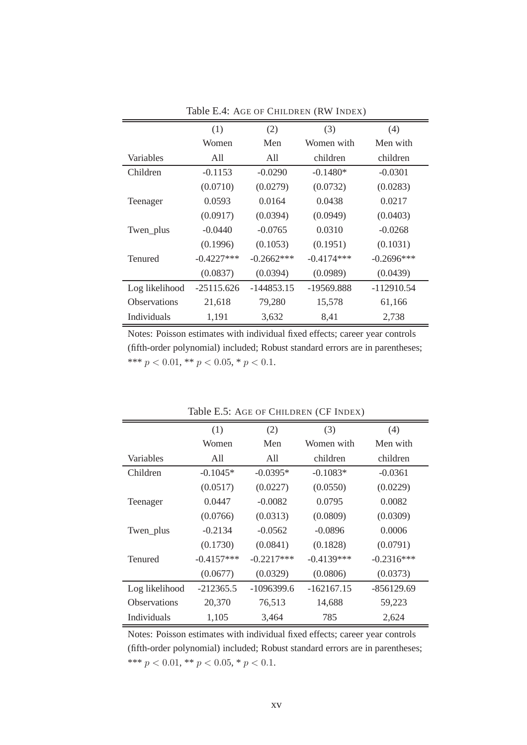|                     | (1)           | (2)          | (3)          | (4)          |
|---------------------|---------------|--------------|--------------|--------------|
|                     | Women         | Men          | Women with   | Men with     |
| Variables           | A11           | All          | children     | children     |
| Children            | $-0.1153$     | $-0.0290$    | $-0.1480*$   | $-0.0301$    |
|                     | (0.0710)      | (0.0279)     | (0.0732)     | (0.0283)     |
| Teenager            | 0.0593        | 0.0164       | 0.0438       | 0.0217       |
|                     | (0.0917)      | (0.0394)     | (0.0949)     | (0.0403)     |
| Twen_plus           | $-0.0440$     | $-0.0765$    | 0.0310       | $-0.0268$    |
|                     | (0.1996)      | (0.1053)     | (0.1951)     | (0.1031)     |
| Tenured             | $-0.4227$ *** | $-0.2662***$ | $-0.4174***$ | $-0.2696***$ |
|                     | (0.0837)      | (0.0394)     | (0.0989)     | (0.0439)     |
| Log likelihood      | $-25115.626$  | $-144853.15$ | -19569.888   | $-112910.54$ |
| <b>Observations</b> | 21,618        | 79,280       | 15,578       | 61,166       |
| <b>Individuals</b>  | 1,191         | 3,632        | 8,41         | 2,738        |

Table E.4: AGE OF CHILDREN (RW INDEX)

|                     | (1)          | (2)          | (3)          | (4)          |
|---------------------|--------------|--------------|--------------|--------------|
|                     | Women        | Men          | Women with   | Men with     |
| Variables           | All          | A11          | children     | children     |
| Children            | $-0.1045*$   | $-0.0395*$   | $-0.1083*$   | $-0.0361$    |
|                     | (0.0517)     | (0.0227)     | (0.0550)     | (0.0229)     |
| Teenager            | 0.0447       | $-0.0082$    | 0.0795       | 0.0082       |
|                     | (0.0766)     | (0.0313)     | (0.0809)     | (0.0309)     |
| Twen_plus           | $-0.2134$    | $-0.0562$    | $-0.0896$    | 0.0006       |
|                     | (0.1730)     | (0.0841)     | (0.1828)     | (0.0791)     |
| <b>Tenured</b>      | $-0.4157***$ | $-0.2217***$ | $-0.4139***$ | $-0.2316***$ |
|                     | (0.0677)     | (0.0329)     | (0.0806)     | (0.0373)     |
| Log likelihood      | $-212365.5$  | $-1096399.6$ | $-162167.15$ | $-856129.69$ |
| <b>Observations</b> | 20,370       | 76,513       | 14,688       | 59,223       |
| Individuals         | 1,105        | 3,464        | 785          | 2,624        |

Table E.5: AGE OF CHILDREN (CF INDEX)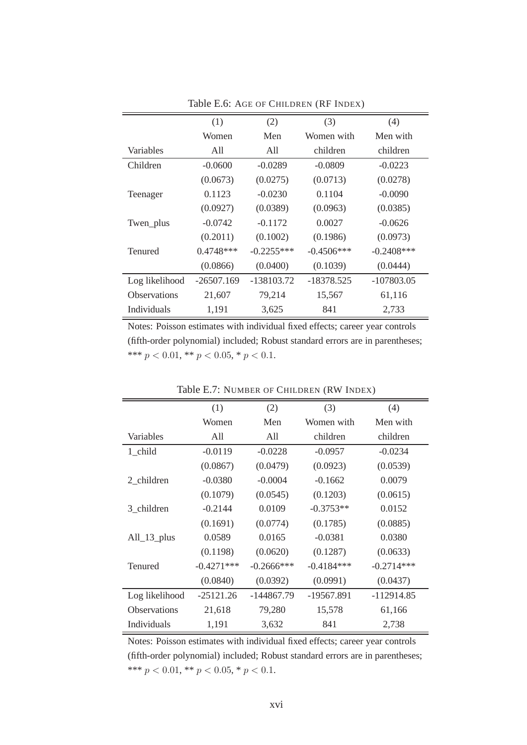|                     | (1)          | (2)          | (3)          | (4)           |
|---------------------|--------------|--------------|--------------|---------------|
|                     | Women        | Men          | Women with   | Men with      |
| Variables           | All          | All          | children     | children      |
| Children            | $-0.0600$    | $-0.0289$    | $-0.0809$    | $-0.0223$     |
|                     | (0.0673)     | (0.0275)     | (0.0713)     | (0.0278)      |
| Teenager            | 0.1123       | $-0.0230$    | 0.1104       | $-0.0090$     |
|                     | (0.0927)     | (0.0389)     | (0.0963)     | (0.0385)      |
| Twen_plus           | $-0.0742$    | $-0.1172$    | 0.0027       | $-0.0626$     |
|                     | (0.2011)     | (0.1002)     | (0.1986)     | (0.0973)      |
| Tenured             | $0.4748***$  | $-0.2255***$ | $-0.4506***$ | $-0.2408$ *** |
|                     | (0.0866)     | (0.0400)     | (0.1039)     | (0.0444)      |
| Log likelihood      | $-26507.169$ | -138103.72   | -18378.525   | $-107803.05$  |
| <b>Observations</b> | 21,607       | 79,214       | 15,567       | 61,116        |
| <b>Individuals</b>  | 1,191        | 3,625        | 841          | 2,733         |

Table E.6: AGE OF CHILDREN (RF INDEX)

|                     | (1)           | (2)           | (3)          | (4)          |
|---------------------|---------------|---------------|--------------|--------------|
|                     | Women         | Men           | Women with   | Men with     |
| Variables           | All           | All           | children     | children     |
| 1 child             | $-0.0119$     | $-0.0228$     | $-0.0957$    | $-0.0234$    |
|                     | (0.0867)      | (0.0479)      | (0.0923)     | (0.0539)     |
| 2_children          | $-0.0380$     | $-0.0004$     | $-0.1662$    | 0.0079       |
|                     | (0.1079)      | (0.0545)      | (0.1203)     | (0.0615)     |
| 3_children          | $-0.2144$     | 0.0109        | $-0.3753**$  | 0.0152       |
|                     | (0.1691)      | (0.0774)      | (0.1785)     | (0.0885)     |
| $All_13_plus$       | 0.0589        | 0.0165        | $-0.0381$    | 0.0380       |
|                     | (0.1198)      | (0.0620)      | (0.1287)     | (0.0633)     |
| <b>Tenured</b>      | $-0.4271$ *** | $-0.2666$ *** | $-0.4184***$ | $-0.2714***$ |
|                     | (0.0840)      | (0.0392)      | (0.0991)     | (0.0437)     |
| Log likelihood      | $-25121.26$   | -144867.79    | -19567.891   | $-112914.85$ |
| <b>Observations</b> | 21,618        | 79,280        | 15,578       | 61,166       |
| Individuals         | 1,191         | 3,632         | 841          | 2,738        |

Table E.7: NUMBER OF CHILDREN (RW INDEX)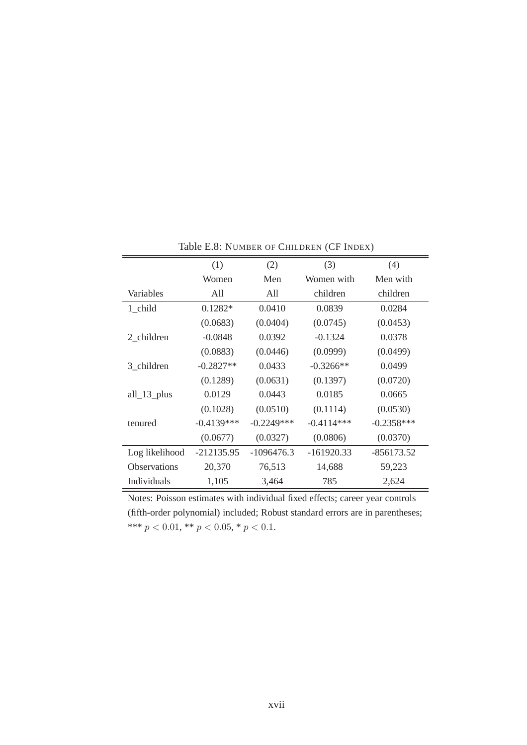|                     | (1)          | (2)          | (3)          | (4)          |
|---------------------|--------------|--------------|--------------|--------------|
|                     | Women        | Men          | Women with   | Men with     |
| Variables           | All          | All          | children     | children     |
| 1 child             | $0.1282*$    | 0.0410       | 0.0839       | 0.0284       |
|                     | (0.0683)     | (0.0404)     | (0.0745)     | (0.0453)     |
| 2 children          | $-0.0848$    | 0.0392       | $-0.1324$    | 0.0378       |
|                     | (0.0883)     | (0.0446)     | (0.0999)     | (0.0499)     |
| 3 children          | $-0.2827**$  | 0.0433       | $-0.3266**$  | 0.0499       |
|                     | (0.1289)     | (0.0631)     | (0.1397)     | (0.0720)     |
| $all_13_$           | 0.0129       | 0.0443       | 0.0185       | 0.0665       |
|                     | (0.1028)     | (0.0510)     | (0.1114)     | (0.0530)     |
| tenured             | $-0.4139***$ | $-0.2249***$ | $-0.4114***$ | $-0.2358***$ |
|                     | (0.0677)     | (0.0327)     | (0.0806)     | (0.0370)     |
| Log likelihood      | -212135.95   | $-1096476.3$ | $-161920.33$ | $-856173.52$ |
| <b>Observations</b> | 20,370       | 76,513       | 14,688       | 59,223       |
| Individuals         | 1,105        | 3,464        | 785          | 2,624        |

Table E.8: NUMBER OF CHILDREN (CF INDEX)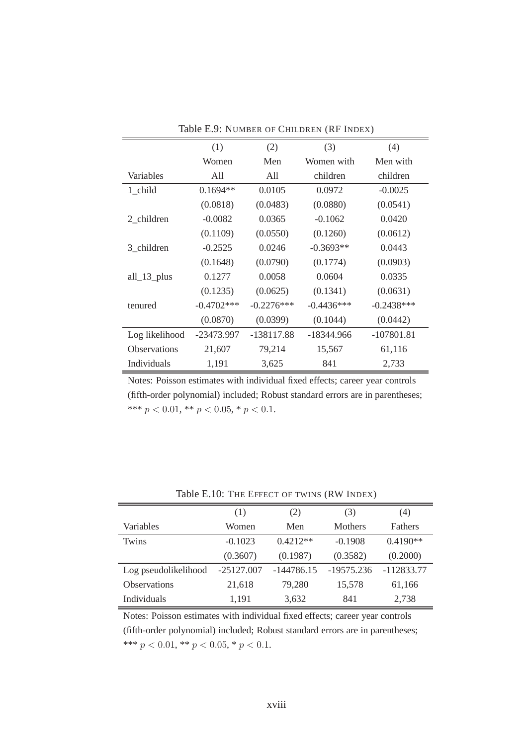| THE LIVING OF CHILDREN (IN HYDEA) |              |              |              |              |  |
|-----------------------------------|--------------|--------------|--------------|--------------|--|
|                                   | (1)          | (2)          | (3)          | (4)          |  |
|                                   | Women        | Men          | Women with   | Men with     |  |
| Variables                         | A11          | All          | children     | children     |  |
| 1_child                           | $0.1694**$   | 0.0105       | 0.0972       | $-0.0025$    |  |
|                                   | (0.0818)     | (0.0483)     | (0.0880)     | (0.0541)     |  |
| 2 children                        | $-0.0082$    | 0.0365       | $-0.1062$    | 0.0420       |  |
|                                   | (0.1109)     | (0.0550)     | (0.1260)     | (0.0612)     |  |
| 3_children                        | $-0.2525$    | 0.0246       | $-0.3693**$  | 0.0443       |  |
|                                   | (0.1648)     | (0.0790)     | (0.1774)     | (0.0903)     |  |
| $all_13_$                         | 0.1277       | 0.0058       | 0.0604       | 0.0335       |  |
|                                   | (0.1235)     | (0.0625)     | (0.1341)     | (0.0631)     |  |
| tenured                           | $-0.4702***$ | $-0.2276***$ | $-0.4436***$ | $-0.2438***$ |  |
|                                   | (0.0870)     | (0.0399)     | (0.1044)     | (0.0442)     |  |
| Log likelihood                    | -23473.997   | -138117.88   | -18344.966   | $-107801.81$ |  |
| Observations                      | 21,607       | 79,214       | 15,567       | 61,116       |  |
| Individuals                       | 1,191        | 3,625        | 841          | 2,733        |  |

Table E.9: NUMBER OF CHILDREN (RF INDEX)

|                      | (1)          | (2)          | (3)            | (4)            |
|----------------------|--------------|--------------|----------------|----------------|
| Variables            | Women        | Men          | <b>Mothers</b> | <b>Fathers</b> |
| Twins                | $-0.1023$    | $0.4212**$   | $-0.1908$      | $0.4190**$     |
|                      | (0.3607)     | (0.1987)     | (0.3582)       | (0.2000)       |
| Log pseudolikelihood | $-25127.007$ | $-144786.15$ | $-19575.236$   | $-112833.77$   |
| <b>Observations</b>  | 21,618       | 79,280       | 15,578         | 61,166         |
| <b>Individuals</b>   | 1,191        | 3,632        | 841            | 2,738          |

Table E.10: THE EFFECT OF TWINS (RW INDEX)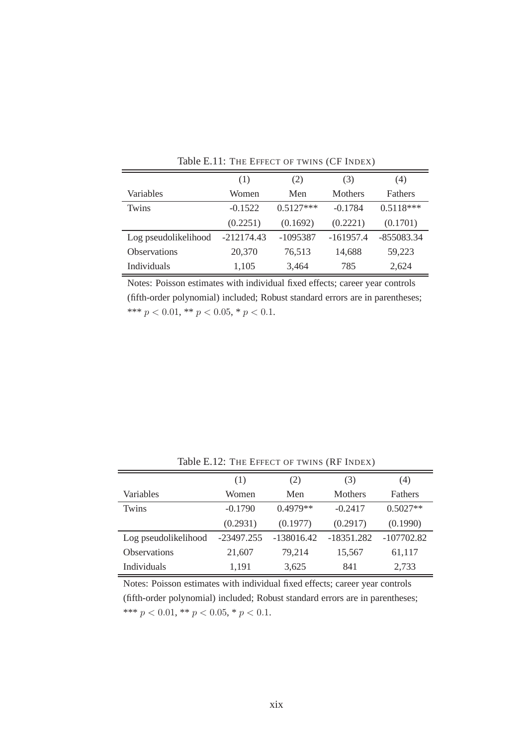|                      | (1)          | (2)         | (3)            | (4)            |
|----------------------|--------------|-------------|----------------|----------------|
| Variables            | Women        | Men         | <b>Mothers</b> | <b>Fathers</b> |
| Twins                | $-0.1522$    | $0.5127***$ | $-0.1784$      | $0.5118***$    |
|                      | (0.2251)     | (0.1692)    | (0.2221)       | (0.1701)       |
| Log pseudolikelihood | $-212174.43$ | -1095387    | $-161957.4$    | $-855083.34$   |
| <b>Observations</b>  | 20,370       | 76,513      | 14,688         | 59,223         |
| <b>Individuals</b>   | 1,105        | 3,464       | 785            | 2,624          |

Table E.11: THE EFFECT OF TWINS (CF INDEX)

|                      | (1)          | (2)          | (3)            | (4)            |
|----------------------|--------------|--------------|----------------|----------------|
| Variables            | Women        | Men          | <b>Mothers</b> | <b>Fathers</b> |
| Twins                | $-0.1790$    | $0.4979**$   | $-0.2417$      | $0.5027**$     |
|                      | (0.2931)     | (0.1977)     | (0.2917)       | (0.1990)       |
| Log pseudolikelihood | $-23497.255$ | $-138016.42$ | $-18351.282$   | $-107702.82$   |
| <b>Observations</b>  | 21,607       | 79,214       | 15,567         | 61,117         |
| <b>Individuals</b>   | 1,191        | 3,625        | 841            | 2,733          |

Table E.12: THE EFFECT OF TWINS (RF INDEX)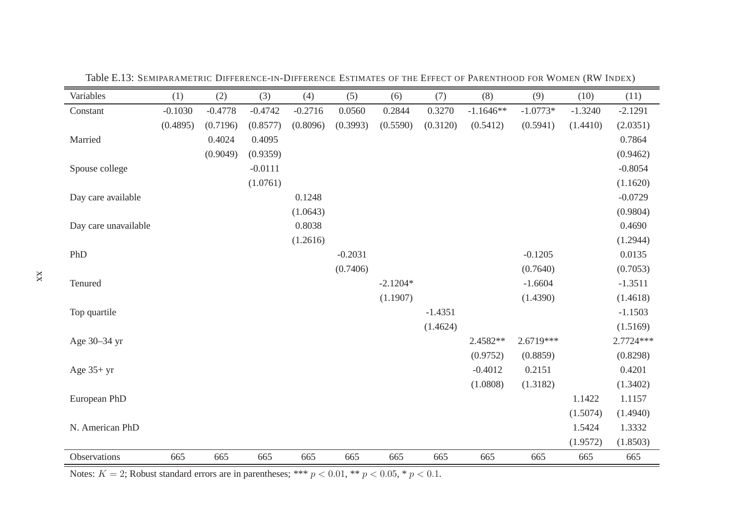| Variables            | (1)       | (2)       | (3)       | (4)       | (5)       | (6)        | (7)       | (8)         | (9)        | (10)      | (11)       |
|----------------------|-----------|-----------|-----------|-----------|-----------|------------|-----------|-------------|------------|-----------|------------|
| Constant             | $-0.1030$ | $-0.4778$ | $-0.4742$ | $-0.2716$ | 0.0560    | 0.2844     | 0.3270    | $-1.1646**$ | $-1.0773*$ | $-1.3240$ | $-2.1291$  |
|                      | (0.4895)  | (0.7196)  | (0.8577)  | (0.8096)  | (0.3993)  | (0.5590)   | (0.3120)  | (0.5412)    | (0.5941)   | (1.4410)  | (2.0351)   |
| Married              |           | 0.4024    | 0.4095    |           |           |            |           |             |            |           | 0.7864     |
|                      |           | (0.9049)  | (0.9359)  |           |           |            |           |             |            |           | (0.9462)   |
| Spouse college       |           |           | $-0.0111$ |           |           |            |           |             |            |           | $-0.8054$  |
|                      |           |           | (1.0761)  |           |           |            |           |             |            |           | (1.1620)   |
| Day care available   |           |           |           | 0.1248    |           |            |           |             |            |           | $-0.0729$  |
|                      |           |           |           | (1.0643)  |           |            |           |             |            |           | (0.9804)   |
| Day care unavailable |           |           |           | 0.8038    |           |            |           |             |            |           | 0.4690     |
|                      |           |           |           | (1.2616)  |           |            |           |             |            |           | (1.2944)   |
| PhD                  |           |           |           |           | $-0.2031$ |            |           |             | $-0.1205$  |           | 0.0135     |
|                      |           |           |           |           | (0.7406)  |            |           |             | (0.7640)   |           | (0.7053)   |
| Tenured              |           |           |           |           |           | $-2.1204*$ |           |             | $-1.6604$  |           | $-1.3511$  |
|                      |           |           |           |           |           | (1.1907)   |           |             | (1.4390)   |           | (1.4618)   |
| Top quartile         |           |           |           |           |           |            | $-1.4351$ |             |            |           | $-1.1503$  |
|                      |           |           |           |           |           |            | (1.4624)  |             |            |           | (1.5169)   |
| Age 30-34 yr         |           |           |           |           |           |            |           | 2.4582**    | 2.6719***  |           | 2.7724 *** |
|                      |           |           |           |           |           |            |           | (0.9752)    | (0.8859)   |           | (0.8298)   |
| Age $35+yr$          |           |           |           |           |           |            |           | $-0.4012$   | 0.2151     |           | 0.4201     |
|                      |           |           |           |           |           |            |           | (1.0808)    | (1.3182)   |           | (1.3402)   |
| European PhD         |           |           |           |           |           |            |           |             |            | 1.1422    | 1.1157     |
|                      |           |           |           |           |           |            |           |             |            | (1.5074)  | (1.4940)   |
| N. American PhD      |           |           |           |           |           |            |           |             |            | 1.5424    | 1.3332     |
|                      |           |           |           |           |           |            |           |             |            | (1.9572)  | (1.8503)   |
| Observations         | 665       | 665       | 665       | 665       | 665       | 665        | 665       | 665         | 665        | 665       | 665        |

Table E.13: SEMIPARAMETRIC <sup>D</sup>IFFERENCE-IN-DIFFERENCE <sup>E</sup>STIMATES OF THE <sup>E</sup>FFECT OF <sup>P</sup>ARENTHOOD FOR <sup>W</sup>OMEN (RW <sup>I</sup>NDEX)

Notes:  $K = 2$ ; Robust standard errors are in parentheses; \*\*\*  $p < 0.01$ , \*\*  $p < 0.05$ , \*  $p < 0.1$ .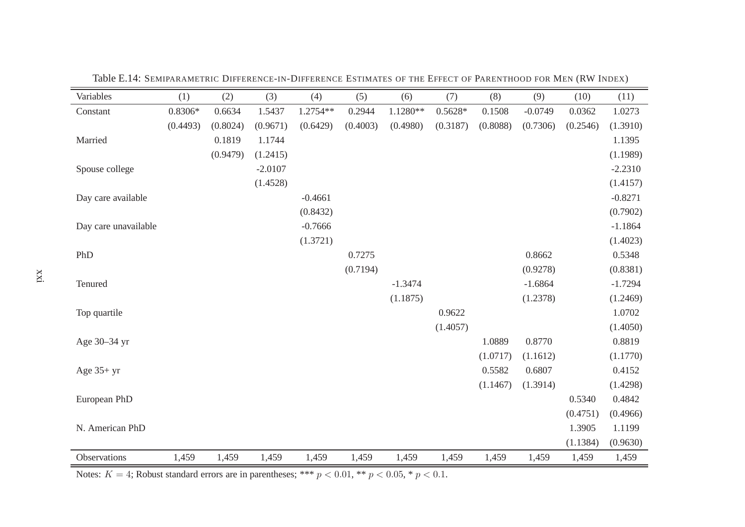| Variables            | (1)       | (2)      | (3)       | (4)       | (5)      | (6)       | (7)       | (8)      | (9)       | (10)     | (11)      |
|----------------------|-----------|----------|-----------|-----------|----------|-----------|-----------|----------|-----------|----------|-----------|
| Constant             | $0.8306*$ | 0.6634   | 1.5437    | 1.2754**  | 0.2944   | 1.1280**  | $0.5628*$ | 0.1508   | $-0.0749$ | 0.0362   | 1.0273    |
|                      | (0.4493)  | (0.8024) | (0.9671)  | (0.6429)  | (0.4003) | (0.4980)  | (0.3187)  | (0.8088) | (0.7306)  | (0.2546) | (1.3910)  |
| Married              |           | 0.1819   | 1.1744    |           |          |           |           |          |           |          | 1.1395    |
|                      |           | (0.9479) | (1.2415)  |           |          |           |           |          |           |          | (1.1989)  |
| Spouse college       |           |          | $-2.0107$ |           |          |           |           |          |           |          | $-2.2310$ |
|                      |           |          | (1.4528)  |           |          |           |           |          |           |          | (1.4157)  |
| Day care available   |           |          |           | $-0.4661$ |          |           |           |          |           |          | $-0.8271$ |
|                      |           |          |           | (0.8432)  |          |           |           |          |           |          | (0.7902)  |
| Day care unavailable |           |          |           | $-0.7666$ |          |           |           |          |           |          | $-1.1864$ |
|                      |           |          |           | (1.3721)  |          |           |           |          |           |          | (1.4023)  |
| PhD                  |           |          |           |           | 0.7275   |           |           |          | 0.8662    |          | 0.5348    |
|                      |           |          |           |           | (0.7194) |           |           |          | (0.9278)  |          | (0.8381)  |
| Tenured              |           |          |           |           |          | $-1.3474$ |           |          | $-1.6864$ |          | $-1.7294$ |
|                      |           |          |           |           |          | (1.1875)  |           |          | (1.2378)  |          | (1.2469)  |
| Top quartile         |           |          |           |           |          |           | 0.9622    |          |           |          | 1.0702    |
|                      |           |          |           |           |          |           | (1.4057)  |          |           |          | (1.4050)  |
| Age 30-34 yr         |           |          |           |           |          |           |           | 1.0889   | 0.8770    |          | 0.8819    |
|                      |           |          |           |           |          |           |           | (1.0717) | (1.1612)  |          | (1.1770)  |
| Age $35+yr$          |           |          |           |           |          |           |           | 0.5582   | 0.6807    |          | 0.4152    |
|                      |           |          |           |           |          |           |           | (1.1467) | (1.3914)  |          | (1.4298)  |
| European PhD         |           |          |           |           |          |           |           |          |           | 0.5340   | 0.4842    |
|                      |           |          |           |           |          |           |           |          |           | (0.4751) | (0.4966)  |
| N. American PhD      |           |          |           |           |          |           |           |          |           | 1.3905   | 1.1199    |
|                      |           |          |           |           |          |           |           |          |           | (1.1384) | (0.9630)  |
| Observations         | 1,459     | 1,459    | 1,459     | 1,459     | 1,459    | 1,459     | 1,459     | 1,459    | 1,459     | 1,459    | 1,459     |

Table E.14: SEMIPARAMETRIC <sup>D</sup>IFFERENCE-IN-DIFFERENCE <sup>E</sup>STIMATES OF THE <sup>E</sup>FFECT OF <sup>P</sup>ARENTHOOD FOR <sup>M</sup>EN (RW <sup>I</sup>NDEX)

Notes:  $K = 4$ ; Robust standard errors are in parentheses; \*\*\*  $p < 0.01$ , \*\*  $p < 0.05$ , \*  $p < 0.1$ .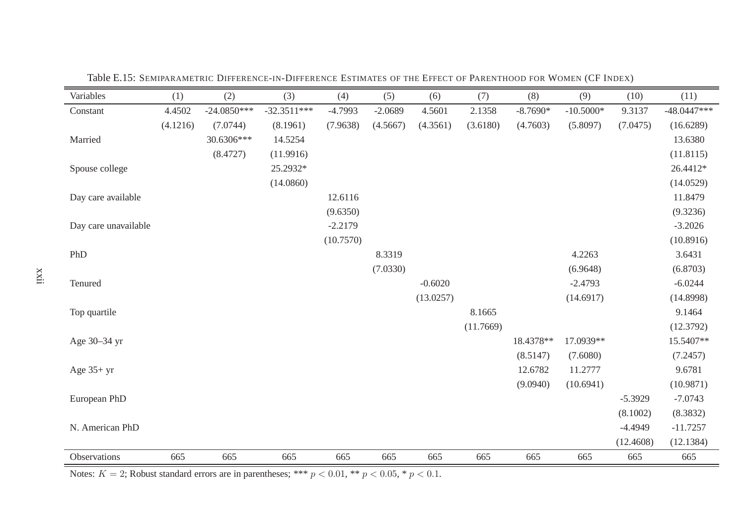| Variables            | (1)      | (2)           | (3)           | (4)       | (5)       | (6)       | (7)       | (8)        | (9)         | (10)      | (11)          |
|----------------------|----------|---------------|---------------|-----------|-----------|-----------|-----------|------------|-------------|-----------|---------------|
| Constant             | 4.4502   | $-24.0850***$ | $-32.3511***$ | $-4.7993$ | $-2.0689$ | 4.5601    | 2.1358    | $-8.7690*$ | $-10.5000*$ | 9.3137    | $-48.0447***$ |
|                      | (4.1216) | (7.0744)      | (8.1961)      | (7.9638)  | (4.5667)  | (4.3561)  | (3.6180)  | (4.7603)   | (5.8097)    | (7.0475)  | (16.6289)     |
| Married              |          | 30.6306***    | 14.5254       |           |           |           |           |            |             |           | 13.6380       |
|                      |          | (8.4727)      | (11.9916)     |           |           |           |           |            |             |           | (11.8115)     |
| Spouse college       |          |               | 25.2932*      |           |           |           |           |            |             |           | 26.4412*      |
|                      |          |               | (14.0860)     |           |           |           |           |            |             |           | (14.0529)     |
| Day care available   |          |               |               | 12.6116   |           |           |           |            |             |           | 11.8479       |
|                      |          |               |               | (9.6350)  |           |           |           |            |             |           | (9.3236)      |
| Day care unavailable |          |               |               | $-2.2179$ |           |           |           |            |             |           | $-3.2026$     |
|                      |          |               |               | (10.7570) |           |           |           |            |             |           | (10.8916)     |
| PhD                  |          |               |               |           | 8.3319    |           |           |            | 4.2263      |           | 3.6431        |
|                      |          |               |               |           | (7.0330)  |           |           |            | (6.9648)    |           | (6.8703)      |
| Tenured              |          |               |               |           |           | $-0.6020$ |           |            | $-2.4793$   |           | $-6.0244$     |
|                      |          |               |               |           |           | (13.0257) |           |            | (14.6917)   |           | (14.8998)     |
| Top quartile         |          |               |               |           |           |           | 8.1665    |            |             |           | 9.1464        |
|                      |          |               |               |           |           |           | (11.7669) |            |             |           | (12.3792)     |
| Age 30–34 yr         |          |               |               |           |           |           |           | 18.4378**  | 17.0939**   |           | 15.5407**     |
|                      |          |               |               |           |           |           |           | (8.5147)   | (7.6080)    |           | (7.2457)      |
| Age $35+yr$          |          |               |               |           |           |           |           | 12.6782    | 11.2777     |           | 9.6781        |
|                      |          |               |               |           |           |           |           | (9.0940)   | (10.6941)   |           | (10.9871)     |
| European PhD         |          |               |               |           |           |           |           |            |             | $-5.3929$ | $-7.0743$     |
|                      |          |               |               |           |           |           |           |            |             | (8.1002)  | (8.3832)      |
| N. American PhD      |          |               |               |           |           |           |           |            |             | $-4.4949$ | $-11.7257$    |
|                      |          |               |               |           |           |           |           |            |             | (12.4608) | (12.1384)     |
| Observations         | 665      | 665           | 665           | 665       | 665       | 665       | 665       | 665        | 665         | 665       | 665           |

Table E.15: SEMIPARAMETRIC <sup>D</sup>IFFERENCE-IN-DIFFERENCE <sup>E</sup>STIMATES OF THE <sup>E</sup>FFECT OF <sup>P</sup>ARENTHOOD FOR <sup>W</sup>OMEN (CF <sup>I</sup>NDEX)

Notes:  $K = 2$ ; Robust standard errors are in parentheses; \*\*\*  $p < 0.01$ , \*\*  $p < 0.05$ , \*  $p < 0.1$ .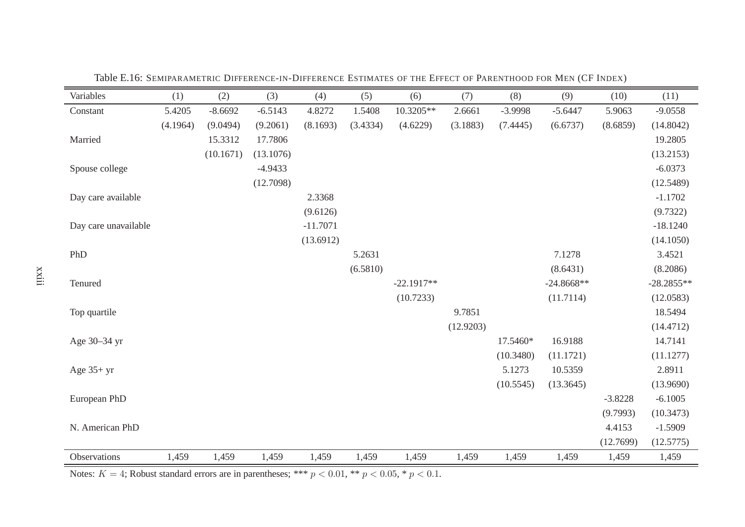| Variables            | (1)      | (2)       | (3)       | (4)        | (5)      | (6)          | (7)       | (8)       | (9)          | (10)      | (11)         |
|----------------------|----------|-----------|-----------|------------|----------|--------------|-----------|-----------|--------------|-----------|--------------|
| Constant             | 5.4205   | $-8.6692$ | $-6.5143$ | 4.8272     | 1.5408   | 10.3205**    | 2.6661    | -3.9998   | $-5.6447$    | 5.9063    | $-9.0558$    |
|                      | (4.1964) | (9.0494)  | (9.2061)  | (8.1693)   | (3.4334) | (4.6229)     | (3.1883)  | (7.4445)  | (6.6737)     | (8.6859)  | (14.8042)    |
| Married              |          | 15.3312   | 17.7806   |            |          |              |           |           |              |           | 19.2805      |
|                      |          | (10.1671) | (13.1076) |            |          |              |           |           |              |           | (13.2153)    |
| Spouse college       |          |           | $-4.9433$ |            |          |              |           |           |              |           | $-6.0373$    |
|                      |          |           | (12.7098) |            |          |              |           |           |              |           | (12.5489)    |
| Day care available   |          |           |           | 2.3368     |          |              |           |           |              |           | $-1.1702$    |
|                      |          |           |           | (9.6126)   |          |              |           |           |              |           | (9.7322)     |
| Day care unavailable |          |           |           | $-11.7071$ |          |              |           |           |              |           | $-18.1240$   |
|                      |          |           |           | (13.6912)  |          |              |           |           |              |           | (14.1050)    |
| PhD                  |          |           |           |            | 5.2631   |              |           |           | 7.1278       |           | 3.4521       |
|                      |          |           |           |            | (6.5810) |              |           |           | (8.6431)     |           | (8.2086)     |
| Tenured              |          |           |           |            |          | $-22.1917**$ |           |           | $-24.8668**$ |           | $-28.2855**$ |
|                      |          |           |           |            |          | (10.7233)    |           |           | (11.7114)    |           | (12.0583)    |
| Top quartile         |          |           |           |            |          |              | 9.7851    |           |              |           | 18.5494      |
|                      |          |           |           |            |          |              | (12.9203) |           |              |           | (14.4712)    |
| Age 30-34 yr         |          |           |           |            |          |              |           | 17.5460*  | 16.9188      |           | 14.7141      |
|                      |          |           |           |            |          |              |           | (10.3480) | (11.1721)    |           | (11.1277)    |
| Age $35+yr$          |          |           |           |            |          |              |           | 5.1273    | 10.5359      |           | 2.8911       |
|                      |          |           |           |            |          |              |           | (10.5545) | (13.3645)    |           | (13.9690)    |
| European PhD         |          |           |           |            |          |              |           |           |              | $-3.8228$ | $-6.1005$    |
|                      |          |           |           |            |          |              |           |           |              | (9.7993)  | (10.3473)    |
| N. American PhD      |          |           |           |            |          |              |           |           |              | 4.4153    | $-1.5909$    |
|                      |          |           |           |            |          |              |           |           |              | (12.7699) | (12.5775)    |
| Observations         | 1,459    | 1,459     | 1,459     | 1,459      | 1,459    | 1,459        | 1,459     | 1,459     | 1,459        | 1,459     | 1,459        |

Table E.16: SEMIPARAMETRIC <sup>D</sup>IFFERENCE-IN-DIFFERENCE <sup>E</sup>STIMATES OF THE <sup>E</sup>FFECT OF <sup>P</sup>ARENTHOOD FOR <sup>M</sup>EN (CF <sup>I</sup>NDEX)

Notes:  $K = 4$ ; Robust standard errors are in parentheses; \*\*\*  $p < 0.01$ , \*\*  $p < 0.05$ , \*  $p < 0.1$ .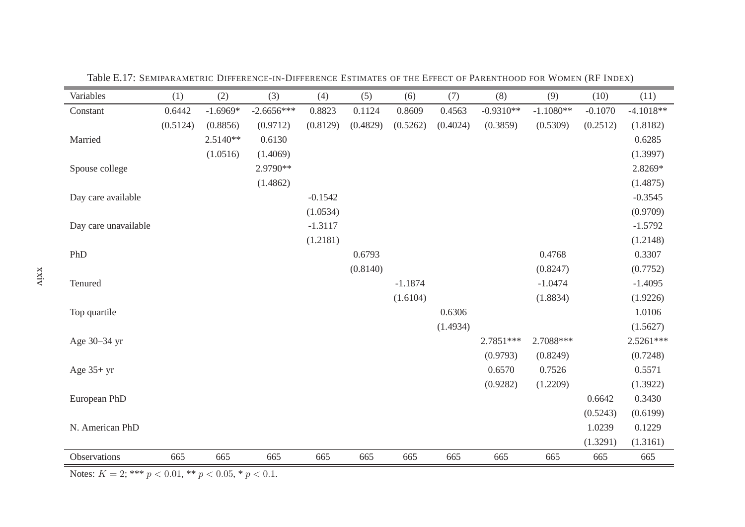| Variables            | (1)      | (2)        | (3)          | (4)       | (5)      | (6)       | (7)      | (8)         | (9)         | (10)      | (11)        |
|----------------------|----------|------------|--------------|-----------|----------|-----------|----------|-------------|-------------|-----------|-------------|
| Constant             | 0.6442   | $-1.6969*$ | $-2.6656***$ | 0.8823    | 0.1124   | 0.8609    | 0.4563   | $-0.9310**$ | $-1.1080**$ | $-0.1070$ | $-4.1018**$ |
|                      | (0.5124) | (0.8856)   | (0.9712)     | (0.8129)  | (0.4829) | (0.5262)  | (0.4024) | (0.3859)    | (0.5309)    | (0.2512)  | (1.8182)    |
| Married              |          | $2.5140**$ | 0.6130       |           |          |           |          |             |             |           | 0.6285      |
|                      |          | (1.0516)   | (1.4069)     |           |          |           |          |             |             |           | (1.3997)    |
| Spouse college       |          |            | 2.9790**     |           |          |           |          |             |             |           | 2.8269*     |
|                      |          |            | (1.4862)     |           |          |           |          |             |             |           | (1.4875)    |
| Day care available   |          |            |              | $-0.1542$ |          |           |          |             |             |           | $-0.3545$   |
|                      |          |            |              | (1.0534)  |          |           |          |             |             |           | (0.9709)    |
| Day care unavailable |          |            |              | $-1.3117$ |          |           |          |             |             |           | $-1.5792$   |
|                      |          |            |              | (1.2181)  |          |           |          |             |             |           | (1.2148)    |
| PhD                  |          |            |              |           | 0.6793   |           |          |             | 0.4768      |           | 0.3307      |
|                      |          |            |              |           | (0.8140) |           |          |             | (0.8247)    |           | (0.7752)    |
| Tenured              |          |            |              |           |          | $-1.1874$ |          |             | $-1.0474$   |           | $-1.4095$   |
|                      |          |            |              |           |          | (1.6104)  |          |             | (1.8834)    |           | (1.9226)    |
| Top quartile         |          |            |              |           |          |           | 0.6306   |             |             |           | 1.0106      |
|                      |          |            |              |           |          |           | (1.4934) |             |             |           | (1.5627)    |
| Age 30-34 yr         |          |            |              |           |          |           |          | $2.7851***$ | 2.7088***   |           | $2.5261***$ |
|                      |          |            |              |           |          |           |          | (0.9793)    | (0.8249)    |           | (0.7248)    |
| Age $35+yr$          |          |            |              |           |          |           |          | 0.6570      | 0.7526      |           | 0.5571      |
|                      |          |            |              |           |          |           |          | (0.9282)    | (1.2209)    |           | (1.3922)    |
| European PhD         |          |            |              |           |          |           |          |             |             | 0.6642    | 0.3430      |
|                      |          |            |              |           |          |           |          |             |             | (0.5243)  | (0.6199)    |
| N. American PhD      |          |            |              |           |          |           |          |             |             | 1.0239    | 0.1229      |
|                      |          |            |              |           |          |           |          |             |             | (1.3291)  | (1.3161)    |
| Observations         | 665      | 665        | 665          | 665       | 665      | 665       | 665      | 665         | 665         | 665       | 665         |

Table E.17: SEMIPARAMETRIC <sup>D</sup>IFFERENCE-IN-DIFFERENCE <sup>E</sup>STIMATES OF THE <sup>E</sup>FFECT OF <sup>P</sup>ARENTHOOD FOR <sup>W</sup>OMEN (RF <sup>I</sup>NDEX)

Notes:  $K = 2$ ; \*\*\*  $p < 0.01$ , \*\*  $p < 0.05$ , \*  $p < 0.1$ .